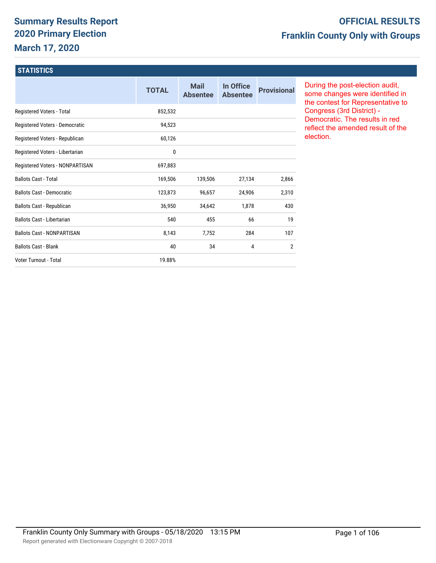# **Summary Results Report 2020 Primary Election March 17, 2020**

# **OFFICIAL RESULTS Franklin County Only with Groups**

#### **STATISTICS**

|                                   | <b>TOTAL</b> | <b>Mail</b><br><b>Absentee</b> | In Office<br><b>Absentee</b> | <b>Provisional</b> |
|-----------------------------------|--------------|--------------------------------|------------------------------|--------------------|
| Registered Voters - Total         | 852,532      |                                |                              |                    |
| Registered Voters - Democratic    | 94,523       |                                |                              |                    |
| Registered Voters - Republican    | 60,126       |                                |                              |                    |
| Registered Voters - Libertarian   | 0            |                                |                              |                    |
| Registered Voters - NONPARTISAN   | 697,883      |                                |                              |                    |
| <b>Ballots Cast - Total</b>       | 169,506      | 139,506                        | 27,134                       | 2,866              |
| <b>Ballots Cast - Democratic</b>  | 123,873      | 96,657                         | 24,906                       | 2,310              |
| Ballots Cast - Republican         | 36,950       | 34,642                         | 1,878                        | 430                |
| <b>Ballots Cast - Libertarian</b> | 540          | 455                            | 66                           | 19                 |
| <b>Ballots Cast - NONPARTISAN</b> | 8,143        | 7,752                          | 284                          | 107                |
| <b>Ballots Cast - Blank</b>       | 40           | 34                             | 4                            | 2                  |
| Voter Turnout - Total             | 19.88%       |                                |                              |                    |

During the post-election audit, some changes were identified in the contest for Representative to Congress (3rd District) - Democratic. The results in red reflect the amended result of the election.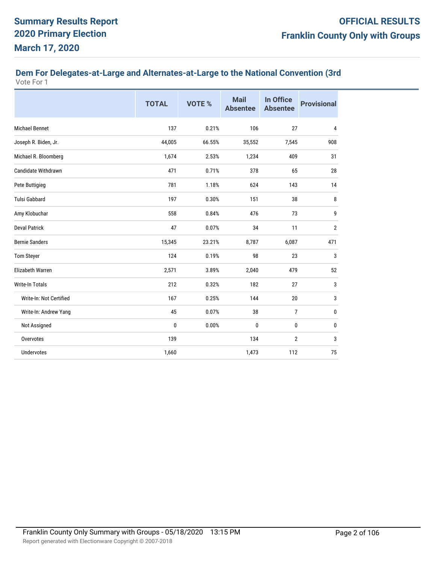#### **Dem For Delegates-at-Large and Alternates-at-Large to the National Convention (3rd**  Vote For 1

|                         | <b>TOTAL</b> | VOTE % | <b>Mail</b><br><b>Absentee</b> | In Office<br><b>Absentee</b> | <b>Provisional</b> |
|-------------------------|--------------|--------|--------------------------------|------------------------------|--------------------|
| <b>Michael Bennet</b>   | 137          | 0.21%  | 106                            | 27                           | 4                  |
| Joseph R. Biden, Jr.    | 44,005       | 66.55% | 35,552                         | 7,545                        | 908                |
| Michael R. Bloomberg    | 1,674        | 2.53%  | 1,234                          | 409                          | 31                 |
| Candidate Withdrawn     | 471          | 0.71%  | 378                            | 65                           | 28                 |
| Pete Buttigieg          | 781          | 1.18%  | 624                            | 143                          | 14                 |
| <b>Tulsi Gabbard</b>    | 197          | 0.30%  | 151                            | 38                           | 8                  |
| Amy Klobuchar           | 558          | 0.84%  | 476                            | 73                           | 9                  |
| <b>Deval Patrick</b>    | 47           | 0.07%  | 34                             | 11                           | $\overline{2}$     |
| <b>Bernie Sanders</b>   | 15,345       | 23.21% | 8,787                          | 6,087                        | 471                |
| <b>Tom Steyer</b>       | 124          | 0.19%  | 98                             | 23                           | 3                  |
| <b>Elizabeth Warren</b> | 2,571        | 3.89%  | 2,040                          | 479                          | 52                 |
| <b>Write-In Totals</b>  | 212          | 0.32%  | 182                            | 27                           | 3                  |
| Write-In: Not Certified | 167          | 0.25%  | 144                            | 20                           | 3                  |
| Write-In: Andrew Yang   | 45           | 0.07%  | 38                             | $\overline{7}$               | 0                  |
| Not Assigned            | $\pmb{0}$    | 0.00%  | $\mathbf{0}$                   | 0                            | 0                  |
| Overvotes               | 139          |        | 134                            | $\boldsymbol{2}$             | 3                  |
| <b>Undervotes</b>       | 1,660        |        | 1,473                          | 112                          | 75                 |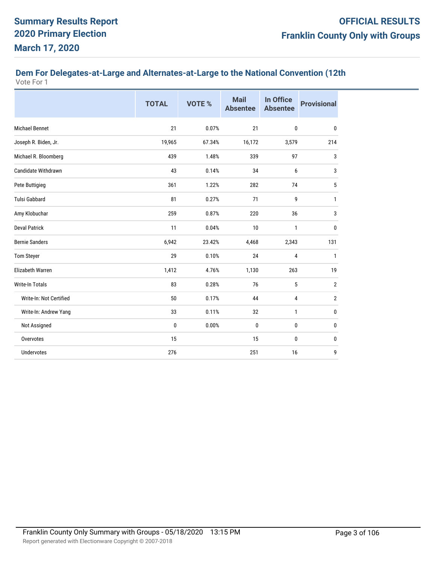# **Dem For Delegates-at-Large and Alternates-at-Large to the National Convention (12th**

|                            | <b>TOTAL</b> | VOTE % | <b>Mail</b><br><b>Absentee</b> | In Office<br><b>Absentee</b> | <b>Provisional</b> |
|----------------------------|--------------|--------|--------------------------------|------------------------------|--------------------|
| <b>Michael Bennet</b>      | 21           | 0.07%  | 21                             | $\bf{0}$                     | $\bf{0}$           |
| Joseph R. Biden, Jr.       | 19,965       | 67.34% | 16,172                         | 3,579                        | 214                |
| Michael R. Bloomberg       | 439          | 1.48%  | 339                            | 97                           | 3                  |
| <b>Candidate Withdrawn</b> | 43           | 0.14%  | 34                             | 6                            | 3                  |
| Pete Buttigieg             | 361          | 1.22%  | 282                            | 74                           | 5                  |
| Tulsi Gabbard              | 81           | 0.27%  | 71                             | 9                            | 1                  |
| Amy Klobuchar              | 259          | 0.87%  | 220                            | 36                           | 3                  |
| <b>Deval Patrick</b>       | 11           | 0.04%  | 10                             | 1                            | 0                  |
| <b>Bernie Sanders</b>      | 6,942        | 23.42% | 4,468                          | 2,343                        | 131                |
| <b>Tom Steyer</b>          | 29           | 0.10%  | 24                             | 4                            | 1                  |
| <b>Elizabeth Warren</b>    | 1,412        | 4.76%  | 1,130                          | 263                          | 19                 |
| <b>Write-In Totals</b>     | 83           | 0.28%  | 76                             | 5                            | $\overline{2}$     |
| Write-In: Not Certified    | 50           | 0.17%  | 44                             | 4                            | $\overline{2}$     |
| Write-In: Andrew Yang      | 33           | 0.11%  | 32                             | $\mathbf{1}$                 | 0                  |
| Not Assigned               | 0            | 0.00%  | $\mathbf{0}$                   | 0                            | 0                  |
| Overvotes                  | 15           |        | 15                             | $\mathbf{0}$                 | 0                  |
| Undervotes                 | 276          |        | 251                            | 16                           | 9                  |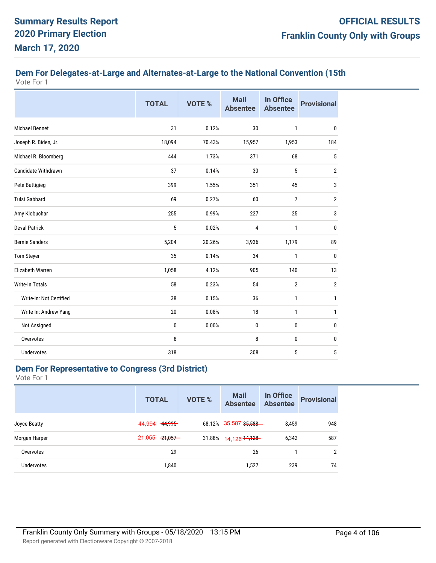# **Dem For Delegates-at-Large and Alternates-at-Large to the National Convention (15th**

| Vote For 1 |  |  |
|------------|--|--|
|------------|--|--|

|                            | <b>TOTAL</b> | <b>VOTE %</b> | <b>Mail</b><br><b>Absentee</b> | <b>In Office</b><br><b>Absentee</b> | <b>Provisional</b> |
|----------------------------|--------------|---------------|--------------------------------|-------------------------------------|--------------------|
| <b>Michael Bennet</b>      | 31           | 0.12%         | 30                             | $\mathbf{1}$                        | $\mathbf{0}$       |
| Joseph R. Biden, Jr.       | 18,094       | 70.43%        | 15,957                         | 1,953                               | 184                |
| Michael R. Bloomberg       | 444          | 1.73%         | 371                            | 68                                  | 5                  |
| <b>Candidate Withdrawn</b> | 37           | 0.14%         | 30                             | 5                                   | $\overline{2}$     |
| Pete Buttigieg             | 399          | 1.55%         | 351                            | 45                                  | 3                  |
| <b>Tulsi Gabbard</b>       | 69           | 0.27%         | 60                             | 7                                   | $\overline{2}$     |
| Amy Klobuchar              | 255          | 0.99%         | 227                            | 25                                  | 3                  |
| <b>Deval Patrick</b>       | 5            | 0.02%         | 4                              | $\mathbf{1}$                        | $\mathbf{0}$       |
| <b>Bernie Sanders</b>      | 5,204        | 20.26%        | 3,936                          | 1,179                               | 89                 |
| <b>Tom Steyer</b>          | 35           | 0.14%         | 34                             | $\mathbf{1}$                        | 0                  |
| <b>Elizabeth Warren</b>    | 1,058        | 4.12%         | 905                            | 140                                 | 13                 |
| <b>Write-In Totals</b>     | 58           | 0.23%         | 54                             | $\overline{2}$                      | $\overline{2}$     |
| Write-In: Not Certified    | 38           | 0.15%         | 36                             | $\mathbf{1}$                        | 1                  |
| Write-In: Andrew Yang      | 20           | 0.08%         | 18                             | $\mathbf{1}$                        | 1                  |
| Not Assigned               | 0            | 0.00%         | 0                              | 0                                   | 0                  |
| Overvotes                  | 8            |               | 8                              | $\mathbf{0}$                        | 0                  |
| Undervotes                 | 318          |               | 308                            | 5                                   | 5                  |

## **Dem For Representative to Congress (3rd District)**

|               | <b>TOTAL</b>      | <b>VOTE %</b> | <b>Mail</b><br><b>Absentee</b> | In Office<br><b>Absentee</b> | <b>Provisional</b> |
|---------------|-------------------|---------------|--------------------------------|------------------------------|--------------------|
| Joyce Beatty  | 44,994 44,995     |               | 68.12% 35,587 35,588-          | 8.459                        | 948                |
| Morgan Harper | $21,055$ $21,057$ |               | 31.88% 14,126 14,128           | 6,342                        | 587                |
| Overvotes     | 29                |               | 26                             |                              | 2                  |
| Undervotes    | 1,840             |               | 1,527                          | 239                          | 74                 |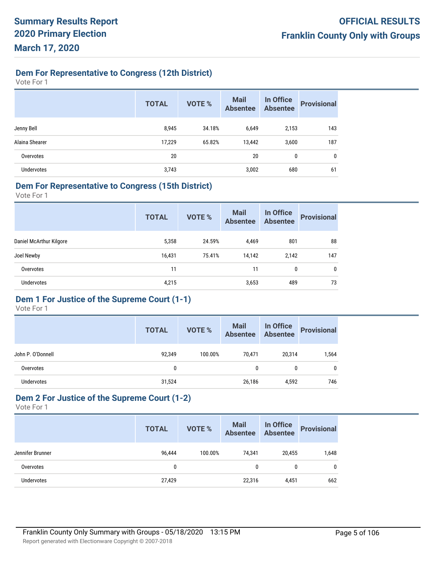## **Dem For Representative to Congress (12th District)**

Vote For 1

|                   | <b>TOTAL</b> | <b>VOTE %</b> | <b>Mail</b><br><b>Absentee</b> | In Office<br><b>Absentee</b> | <b>Provisional</b> |
|-------------------|--------------|---------------|--------------------------------|------------------------------|--------------------|
| Jenny Bell        | 8,945        | 34.18%        | 6,649                          | 2,153                        | 143                |
| Alaina Shearer    | 17,229       | 65.82%        | 13,442                         | 3,600                        | 187                |
| Overvotes         | 20           |               | 20                             | 0                            | 0                  |
| <b>Undervotes</b> | 3,743        |               | 3,002                          | 680                          | 61                 |

#### **Dem For Representative to Congress (15th District)**

Vote For 1

|                         | <b>TOTAL</b> | <b>VOTE %</b> | <b>Mail</b><br><b>Absentee</b> | In Office<br><b>Absentee</b> | <b>Provisional</b> |
|-------------------------|--------------|---------------|--------------------------------|------------------------------|--------------------|
| Daniel McArthur Kilgore | 5,358        | 24.59%        | 4,469                          | 801                          | 88                 |
| Joel Newby              | 16,431       | 75.41%        | 14,142                         | 2,142                        | 147                |
| Overvotes               | 11           |               | 11                             | 0                            | 0                  |
| <b>Undervotes</b>       | 4,215        |               | 3,653                          | 489                          | 73                 |

# **Dem 1 For Justice of the Supreme Court (1-1)**

Vote For 1

|                   | <b>TOTAL</b> | <b>VOTE %</b> | <b>Mail</b><br><b>Absentee</b> | In Office<br>Absentee | <b>Provisional</b> |
|-------------------|--------------|---------------|--------------------------------|-----------------------|--------------------|
| John P. O'Donnell | 92,349       | 100.00%       | 70,471                         | 20,314                | 1,564              |
| Overvotes         | 0            |               | 0                              |                       | $\mathbf{0}$       |
| <b>Undervotes</b> | 31,524       |               | 26,186                         | 4,592                 | 746                |

# **Dem 2 For Justice of the Supreme Court (1-2)**

|                   | <b>TOTAL</b> | <b>VOTE %</b> | <b>Mail</b><br>Absentee | In Office<br>Absentee | <b>Provisional</b> |
|-------------------|--------------|---------------|-------------------------|-----------------------|--------------------|
| Jennifer Brunner  | 96.444       | 100.00%       | 74.341                  | 20,455                | 1,648              |
| Overvotes         |              |               | 0                       |                       | 0                  |
| <b>Undervotes</b> | 27,429       |               | 22,316                  | 4,451                 | 662                |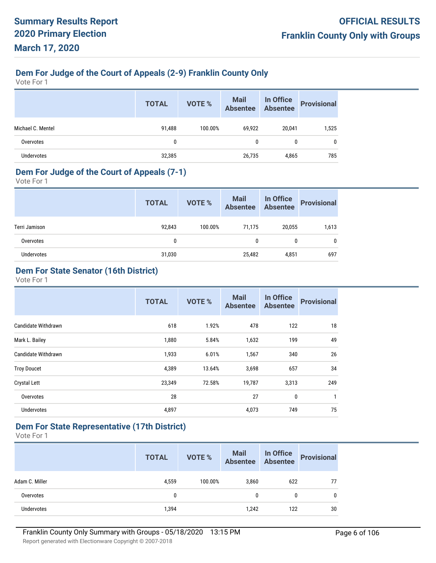# **Dem For Judge of the Court of Appeals (2-9) Franklin County Only**

Vote For 1

|                   | <b>TOTAL</b> | <b>VOTE %</b> | <b>Mail</b><br><b>Absentee</b> | In Office<br>Absentee | <b>Provisional</b> |
|-------------------|--------------|---------------|--------------------------------|-----------------------|--------------------|
| Michael C. Mentel | 91,488       | 100.00%       | 69,922                         | 20,041                | 1,525              |
| Overvotes         | 0            |               | 0                              | 0                     | $\mathbf{0}$       |
| Undervotes        | 32,385       |               | 26,735                         | 4,865                 | 785                |

#### **Dem For Judge of the Court of Appeals (7-1)**

Vote For 1

|               | <b>TOTAL</b> | VOTE %  | Mail In Office<br>Absentee Absentee |        | <b>Provisional</b> |
|---------------|--------------|---------|-------------------------------------|--------|--------------------|
| Terri Jamison | 92,843       | 100.00% | 71.175                              | 20,055 | 1,613              |
| Overvotes     | $\mathbf{0}$ |         | 0                                   |        | 0                  |
| Undervotes    | 31,030       |         | 25,482                              | 4,851  | 697                |

## **Dem For State Senator (16th District)**

Vote For 1

|                            | <b>TOTAL</b> | <b>VOTE %</b> | <b>Mail</b><br><b>Absentee</b> | In Office<br><b>Absentee</b> | <b>Provisional</b> |
|----------------------------|--------------|---------------|--------------------------------|------------------------------|--------------------|
| Candidate Withdrawn        | 618          | 1.92%         | 478                            | 122                          | 18                 |
| Mark L. Bailey             | 1,880        | 5.84%         | 1,632                          | 199                          | 49                 |
| <b>Candidate Withdrawn</b> | 1,933        | 6.01%         | 1,567                          | 340                          | 26                 |
| <b>Troy Doucet</b>         | 4,389        | 13.64%        | 3,698                          | 657                          | 34                 |
| <b>Crystal Lett</b>        | 23,349       | 72.58%        | 19,787                         | 3,313                        | 249                |
| Overvotes                  | 28           |               | 27                             | 0                            | 1                  |
| <b>Undervotes</b>          | 4,897        |               | 4,073                          | 749                          | 75                 |

## **Dem For State Representative (17th District)**

|                | <b>TOTAL</b> | VOTE %  | Mail In Office<br>Absentee Absentee |              | <b>Provisional</b> |
|----------------|--------------|---------|-------------------------------------|--------------|--------------------|
| Adam C. Miller | 4,559        | 100.00% | 3,860                               | 622          |                    |
| Overvotes      | 0            |         | 0                                   | $\mathbf{0}$ | $\mathbf{0}$       |
| Undervotes     | 1,394        |         | 1,242                               | 122          | 30                 |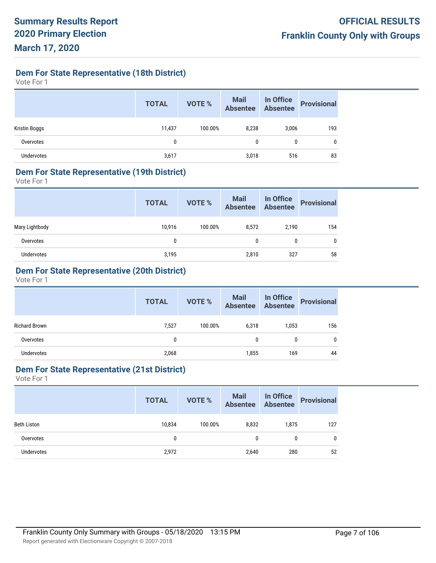**Dem For State Representative (18th District)**

Vote For 1

|               | <b>TOTAL</b> | <b>VOTE %</b> | Mail<br>Absentee | In Office<br>Absentee | <b>Provisional</b> |
|---------------|--------------|---------------|------------------|-----------------------|--------------------|
| Kristin Boggs | 11,437       | 100.00%       | 8,238            | 3,006                 | 193                |
| Overvotes     | 0            |               | 0                | 0                     | 0                  |
| Undervotes    | 3,617        |               | 3,018            | 516                   | 83                 |

#### **Dem For State Representative (19th District)**

Vote For 1

|                | <b>TOTAL</b> | <b>VOTE %</b> | Mail In Office<br>Absentee Absentee |       | <b>Provisional</b> |
|----------------|--------------|---------------|-------------------------------------|-------|--------------------|
| Mary Lightbody | 10,916       | 100.00%       | 8,572                               | 2,190 | 154                |
| Overvotes      | 0            |               | 0                                   | 0     | 0                  |
| Undervotes     | 3,195        |               | 2,810                               | 327   | 58                 |

## **Dem For State Representative (20th District)**

Vote For 1

|               | <b>TOTAL</b> | VOTE %  | Mail In Office<br>Absentee Absentee |       | <b>Provisional</b> |
|---------------|--------------|---------|-------------------------------------|-------|--------------------|
| Richard Brown | 7,527        | 100.00% | 6.318                               | 1,053 | 156                |
| Overvotes     | 0            |         | 0                                   | 0     | 0                  |
| Undervotes    | 2,068        |         | 1,855                               | 169   | 44                 |
|               |              |         |                                     |       |                    |

## **Dem For State Representative (21st District)**

|                    | <b>TOTAL</b> | <b>VOTE %</b> | <b>Mail</b><br>Absentee | In Office<br>Absentee | <b>Provisional</b> |
|--------------------|--------------|---------------|-------------------------|-----------------------|--------------------|
| <b>Beth Liston</b> | 10,834       | 100.00%       | 8,832                   | 1,875                 | 127                |
| Overvotes          | 0            |               | 0                       | 0                     | 0                  |
| <b>Undervotes</b>  | 2,972        |               | 2,640                   | 280                   | 52                 |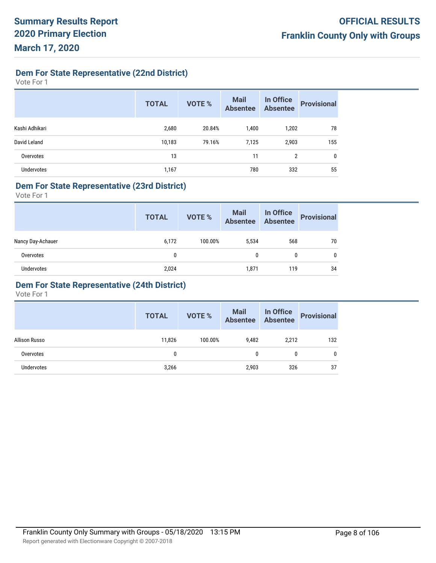**Dem For State Representative (22nd District)**

Vote For 1

|                   | <b>TOTAL</b> | <b>VOTE %</b> | <b>Mail</b><br><b>Absentee</b> | In Office<br><b>Absentee</b> | <b>Provisional</b> |
|-------------------|--------------|---------------|--------------------------------|------------------------------|--------------------|
| Kashi Adhikari    | 2,680        | 20.84%        | 1.400                          | 1,202                        | 78                 |
| David Leland      | 10,183       | 79.16%        | 7,125                          | 2,903                        | 155                |
| Overvotes         | 13           |               | 11                             | 2                            | $\mathbf 0$        |
| <b>Undervotes</b> | 1,167        |               | 780                            | 332                          | 55                 |

## **Dem For State Representative (23rd District)**

Vote For 1

|                   | <b>TOTAL</b> | VOTE %  | Mail<br>Absentee | In Office<br>Absentee | <b>Provisional</b> |
|-------------------|--------------|---------|------------------|-----------------------|--------------------|
| Nancy Day-Achauer | 6,172        | 100.00% | 5,534            | 568                   | 70                 |
| Overvotes         | 0            |         | 0                | 0                     | 0                  |
| Undervotes        | 2,024        |         | 1,871            | 119                   | 34                 |

## **Dem For State Representative (24th District)**

|               | <b>TOTAL</b> | VOTE %  | Mail<br>Absentee | In Office<br>Absentee | <b>Provisional</b> |
|---------------|--------------|---------|------------------|-----------------------|--------------------|
| Allison Russo | 11,826       | 100.00% | 9.482            | 2,212                 | 132                |
| Overvotes     | 0            |         | 0                | 0                     |                    |
| Undervotes    | 3,266        |         | 2,903            | 326                   | 37                 |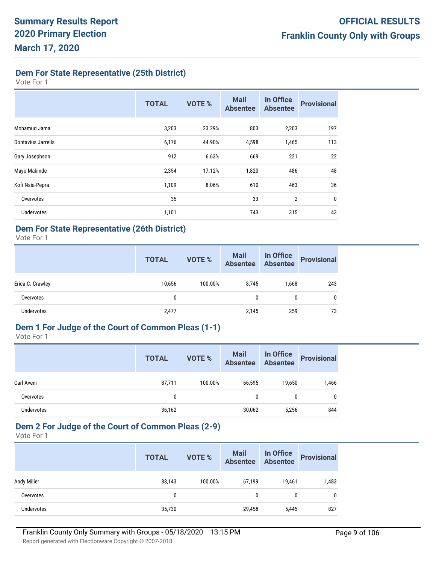**Dem For State Representative (25th District)**

Vote For 1

|                    | <b>TOTAL</b> | VOTE % | <b>Mail</b><br><b>Absentee</b> | In Office<br><b>Absentee</b> | <b>Provisional</b> |
|--------------------|--------------|--------|--------------------------------|------------------------------|--------------------|
| Mohamud Jama       | 3,203        | 23.29% | 803                            | 2,203                        | 197                |
| Dontavius Jarrells | 6,176        | 44.90% | 4,598                          | 1,465                        | 113                |
| Gary Josephson     | 912          | 6.63%  | 669                            | 221                          | 22                 |
| Mayo Makinde       | 2,354        | 17.12% | 1,820                          | 486                          | 48                 |
| Kofi Nsia-Pepra    | 1,109        | 8.06%  | 610                            | 463                          | 36                 |
| Overvotes          | 35           |        | 33                             | $\overline{2}$               | $\mathbf{0}$       |
| <b>Undervotes</b>  | 1,101        |        | 743                            | 315                          | 43                 |

## **Dem For State Representative (26th District)**

Vote For 1

|                  | <b>TOTAL</b> | VOTE %  | <b>Mail</b><br><b>Absentee</b> | <b>In Office</b><br>Absentee | <b>Provisional</b> |
|------------------|--------------|---------|--------------------------------|------------------------------|--------------------|
| Erica C. Crawley | 10,656       | 100.00% | 8.745                          | 1,668                        | 243                |
| Overvotes        | 0            |         | 0                              | 0                            | 0                  |
| Undervotes       | 2,477        |         | 2,145                          | 259                          | 73                 |

## **Dem 1 For Judge of the Court of Common Pleas (1-1)**

Vote For 1

|            | <b>TOTAL</b> | VOTE %  | <b>Mail</b><br>Absentee | In Office<br>Absentee | <b>Provisional</b> |
|------------|--------------|---------|-------------------------|-----------------------|--------------------|
| Carl Aveni | 87,711       | 100.00% | 66,595                  | 19,650                | 1,466              |
| Overvotes  | 0            |         | 0                       | 0                     | 0                  |
| Undervotes | 36,162       |         | 30,062                  | 5,256                 | 844                |

## **Dem 2 For Judge of the Court of Common Pleas (2-9)**

|                    | <b>TOTAL</b> | <b>VOTE %</b> | <b>Mail</b><br><b>Absentee</b> | In Office<br>Absentee | <b>Provisional</b> |
|--------------------|--------------|---------------|--------------------------------|-----------------------|--------------------|
| <b>Andy Miller</b> | 88,143       | 100.00%       | 67,199                         | 19,461                | 1,483              |
| Overvotes          | 0            |               | 0                              | 0                     | 0                  |
| <b>Undervotes</b>  | 35,730       |               | 29,458                         | 5,445                 | 827                |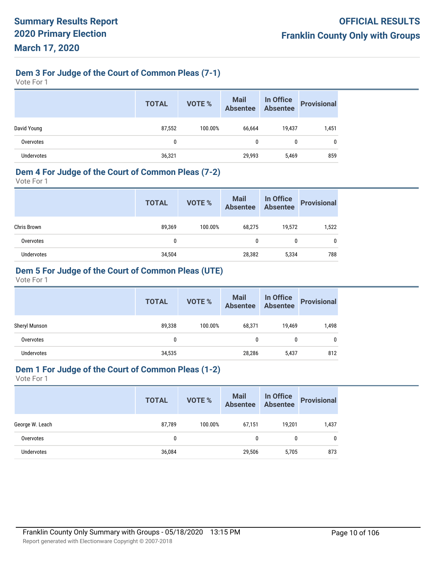## **Dem 3 For Judge of the Court of Common Pleas (7-1)**

Vote For 1

|             | <b>TOTAL</b> | <b>VOTE %</b> | <b>Mail</b><br><b>Absentee</b> | In Office<br>Absentee | <b>Provisional</b> |
|-------------|--------------|---------------|--------------------------------|-----------------------|--------------------|
| David Young | 87,552       | 100.00%       | 66,664                         | 19,437                | 1,451              |
| Overvotes   | $\mathbf{0}$ |               | 0                              | 0                     | 0                  |
| Undervotes  | 36,321       |               | 29,993                         | 5,469                 | 859                |

## **Dem 4 For Judge of the Court of Common Pleas (7-2)**

Vote For 1

|             | <b>TOTAL</b> | VOTE %  | Mail<br>Absentee | In Office<br>Absentee | <b>Provisional</b> |
|-------------|--------------|---------|------------------|-----------------------|--------------------|
| Chris Brown | 89,369       | 100.00% | 68,275           | 19,572                | 1,522              |
| Overvotes   | 0            |         | 0                | 0                     | 0                  |
| Undervotes  | 34,504       |         | 28,382           | 5,334                 | 788                |

# **Dem 5 For Judge of the Court of Common Pleas (UTE)**

Vote For 1

|               | <b>TOTAL</b> | VOTE %  | Mail<br>Absentee | In Office<br>Absentee | <b>Provisional</b> |
|---------------|--------------|---------|------------------|-----------------------|--------------------|
| Sheryl Munson | 89,338       | 100.00% | 68,371           | 19,469                | 1,498              |
| Overvotes     | 0            |         | 0                | 0                     | 0                  |
| Undervotes    | 34,535       |         | 28,286           | 5,437                 | 812                |

## **Dem 1 For Judge of the Court of Common Pleas (1-2)**

|                 | <b>TOTAL</b> | <b>VOTE %</b> | Mail<br>Absentee | In Office<br>Absentee | <b>Provisional</b> |
|-----------------|--------------|---------------|------------------|-----------------------|--------------------|
| George W. Leach | 87,789       | 100.00%       | 67,151           | 19.201                | 1,437              |
| Overvotes       | 0            |               | 0                | 0                     | 0                  |
| Undervotes      | 36,084       |               | 29,506           | 5,705                 | 873                |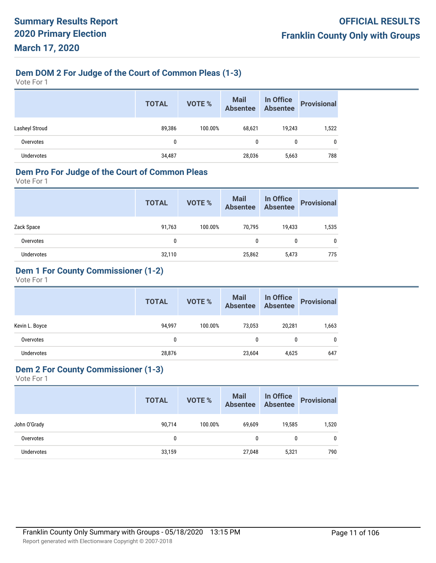# **Dem DOM 2 For Judge of the Court of Common Pleas (1-3)**

Vote For 1

|                   | <b>TOTAL</b> | VOTE %  | <b>Mail</b><br><b>Absentee</b> | In Office<br><b>Absentee</b> | <b>Provisional</b> |
|-------------------|--------------|---------|--------------------------------|------------------------------|--------------------|
| Lasheyl Stroud    | 89,386       | 100.00% | 68,621                         | 19,243                       | 1,522              |
| Overvotes         | 0            |         | 0                              | 0                            | 0                  |
| <b>Undervotes</b> | 34,487       |         | 28,036                         | 5,663                        | 788                |

#### **Dem Pro For Judge of the Court of Common Pleas**

Vote For 1

|            | <b>TOTAL</b> | VOTE %  | Mail<br>Absentee | In Office<br>Absentee | <b>Provisional</b> |
|------------|--------------|---------|------------------|-----------------------|--------------------|
| Zack Space | 91,763       | 100.00% | 70.795           | 19,433                | 1,535              |
| Overvotes  | 0            |         | 0                | 0                     | 0                  |
| Undervotes | 32,110       |         | 25,862           | 5,473                 | 775                |

## **Dem 1 For County Commissioner (1-2)**

Vote For 1

|                   | <b>TOTAL</b> | VOTE %  | Mail In Office<br>Absentee Absentee |        | <b>Provisional</b> |
|-------------------|--------------|---------|-------------------------------------|--------|--------------------|
| Kevin L. Boyce    | 94,997       | 100.00% | 73,053                              | 20,281 | 1,663              |
| Overvotes         | 0            |         | 0                                   | 0      | 0                  |
| <b>Undervotes</b> | 28,876       |         | 23,604                              | 4,625  | 647                |

## **Dem 2 For County Commissioner (1-3)**

|                   | <b>TOTAL</b> | <b>VOTE %</b> | <b>Mail</b><br><b>Absentee</b> | In Office<br>Absentee | <b>Provisional</b> |
|-------------------|--------------|---------------|--------------------------------|-----------------------|--------------------|
| John O'Grady      | 90,714       | 100.00%       | 69,609                         | 19,585                | 1,520              |
| Overvotes         | 0            |               | 0                              | 0                     | 0                  |
| <b>Undervotes</b> | 33,159       |               | 27,048                         | 5,321                 | 790                |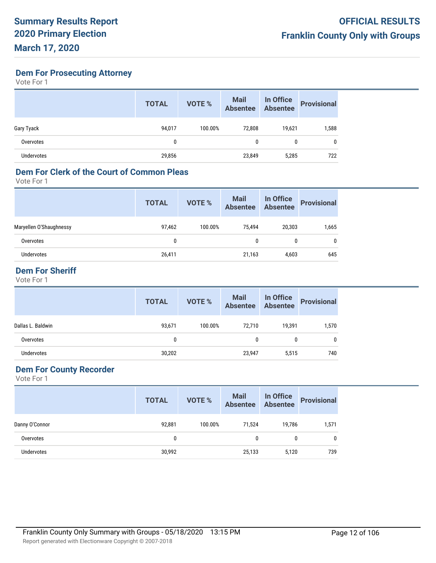**Dem For Prosecuting Attorney**

Vote For 1

|            | <b>TOTAL</b> | <b>VOTE %</b> | <b>Mail</b><br>Absentee | In Office<br>Absentee | <b>Provisional</b> |
|------------|--------------|---------------|-------------------------|-----------------------|--------------------|
| Gary Tyack | 94,017       | 100.00%       | 72,808                  | 19,621                | 1,588              |
| Overvotes  | 0            |               | 0                       | 0                     | 0                  |
| Undervotes | 29,856       |               | 23,849                  | 5,285                 | 722                |

#### **Dem For Clerk of the Court of Common Pleas**

Vote For 1

|                         | <b>TOTAL</b> | <b>VOTE %</b> | <b>Mail</b><br><b>Absentee</b> | In Office<br>Absentee | <b>Provisional</b> |
|-------------------------|--------------|---------------|--------------------------------|-----------------------|--------------------|
| Maryellen O'Shaughnessy | 97,462       | 100.00%       | 75.494                         | 20,303                | 1,665              |
| Overvotes               | 0            |               | 0                              | 0                     | 0                  |
| Undervotes              | 26,411       |               | 21,163                         | 4,603                 | 645                |
|                         |              |               |                                |                       |                    |

# **Dem For Sheriff**

Vote For 1

|                   | <b>TOTAL</b> | <b>VOTE %</b> | <b>Mail</b><br>Absentee | In Office<br>Absentee | <b>Provisional</b> |
|-------------------|--------------|---------------|-------------------------|-----------------------|--------------------|
| Dallas L. Baldwin | 93,671       | 100.00%       | 72.710                  | 19,391                | 1,570              |
| Overvotes         | 0            |               | 0                       | 0                     | 0                  |
| Undervotes        | 30,202       |               | 23,947                  | 5,515                 | 740                |

# **Dem For County Recorder**

|                   | <b>TOTAL</b> | <b>VOTE %</b> | Mail<br>Absentee | In Office<br>Absentee | <b>Provisional</b> |
|-------------------|--------------|---------------|------------------|-----------------------|--------------------|
| Danny O'Connor    | 92,881       | 100.00%       | 71,524           | 19.786                | 1,571              |
| Overvotes         | 0            |               | 0                | $\mathbf{0}$          | 0                  |
| <b>Undervotes</b> | 30,992       |               | 25,133           | 5,120                 | 739                |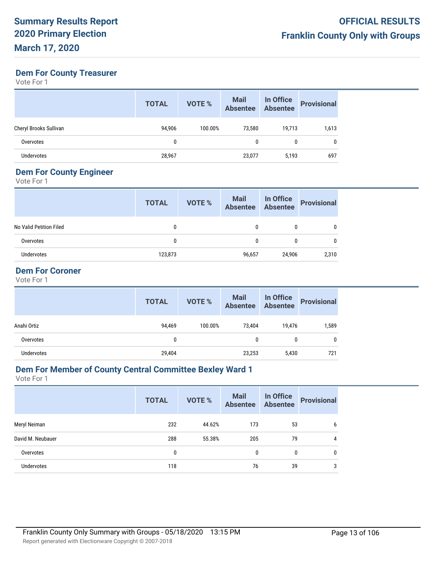## **Dem For County Treasurer**

Vote For 1

|                        | <b>TOTAL</b> | <b>VOTE %</b> | <b>Mail</b><br><b>Absentee</b> | In Office<br>Absentee | <b>Provisional</b> |
|------------------------|--------------|---------------|--------------------------------|-----------------------|--------------------|
| Cheryl Brooks Sullivan | 94,906       | 100.00%       | 73.580                         | 19,713                | 1,613              |
| Overvotes              | 0            |               | 0                              | 0                     |                    |
| <b>Undervotes</b>      | 28,967       |               | 23,077                         | 5,193                 | 697                |

## **Dem For County Engineer**

Vote For 1

| <b>TOTAL</b> | <b>VOTE %</b> | <b>Mail</b><br>Absentee |        | <b>Provisional</b>    |
|--------------|---------------|-------------------------|--------|-----------------------|
| 0            |               | 0                       | 0      |                       |
| 0            |               | 0                       | 0      |                       |
| 123,873      |               | 96,657                  | 24,906 | 2,310                 |
|              |               |                         |        | In Office<br>Absentee |

## **Dem For Coroner**

Vote For 1

|             | <b>TOTAL</b> | <b>VOTE %</b> | Mail<br>Absentee | <b>In Office</b><br><b>Absentee</b> | <b>Provisional</b> |
|-------------|--------------|---------------|------------------|-------------------------------------|--------------------|
| Anahi Ortiz | 94,469       | 100.00%       | 73,404           | 19,476                              | 1,589              |
| Overvotes   | 0            |               | 0                | 0                                   | 0                  |
| Undervotes  | 29,404       |               | 23,253           | 5,430                               | 721                |

## **Dem For Member of County Central Committee Bexley Ward 1**

|                   | <b>TOTAL</b> | <b>VOTE %</b> | <b>Mail</b><br>Absentee | In Office<br>Absentee | <b>Provisional</b> |
|-------------------|--------------|---------------|-------------------------|-----------------------|--------------------|
| Meryl Neiman      | 232          | 44.62%        | 173                     | 53                    | 6                  |
| David M. Neubauer | 288          | 55.38%        | 205                     | 79                    | 4                  |
| Overvotes         | 0            |               | $\mathbf{0}$            | 0                     | 0                  |
| <b>Undervotes</b> | 118          |               | 76                      | 39                    | 3                  |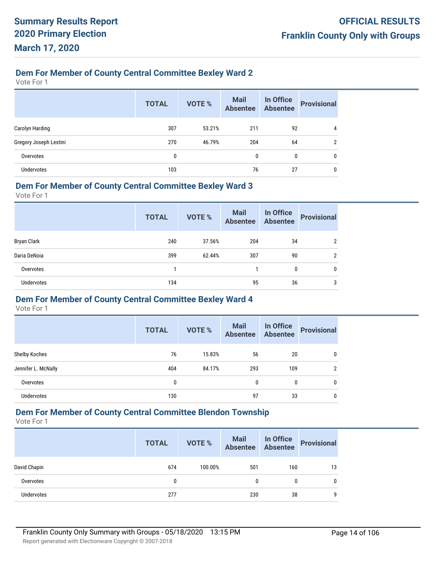# **Dem For Member of County Central Committee Bexley Ward 2**

Vote For 1

|                        | <b>TOTAL</b> | <b>VOTE %</b> | <b>Mail</b><br><b>Absentee</b> | In Office<br><b>Absentee</b> | <b>Provisional</b> |
|------------------------|--------------|---------------|--------------------------------|------------------------------|--------------------|
| Carolyn Harding        | 307          | 53.21%        | 211                            | 92                           | 4                  |
| Gregory Joseph Lestini | 270          | 46.79%        | 204                            | 64                           | ົ                  |
| Overvotes              | 0            |               | $\theta$                       | 0                            | 0                  |
| <b>Undervotes</b>      | 103          |               | 76                             | 27                           | 0                  |

#### **Dem For Member of County Central Committee Bexley Ward 3**

Vote For 1

|                    | <b>TOTAL</b> | VOTE % | <b>Mail</b><br><b>Absentee</b> | In Office<br><b>Absentee</b> | <b>Provisional</b> |
|--------------------|--------------|--------|--------------------------------|------------------------------|--------------------|
| <b>Bryan Clark</b> | 240          | 37.56% | 204                            | 34                           | 2                  |
| Daria DeNoia       | 399          | 62.44% | 307                            | 90                           | $\overline{2}$     |
| Overvotes          |              |        |                                | 0                            | 0                  |
| <b>Undervotes</b>  | 134          |        | 95                             | 36                           | 3                  |

## **Dem For Member of County Central Committee Bexley Ward 4**

Vote For 1

|                      | <b>TOTAL</b> | <b>VOTE %</b> | <b>Mail</b><br><b>Absentee</b> | In Office<br>Absentee | <b>Provisional</b> |
|----------------------|--------------|---------------|--------------------------------|-----------------------|--------------------|
| <b>Shelby Koches</b> | 76           | 15.83%        | 56                             | 20                    | 0                  |
| Jennifer L. McNally  | 404          | 84.17%        | 293                            | 109                   | $\overline{2}$     |
| Overvotes            | 0            |               | $\mathbf{0}$                   | 0                     | 0                  |
| Undervotes           | 130          |               | 97                             | 33                    | 0                  |

# **Dem For Member of County Central Committee Blendon Township**

Vote For 1

|              | <b>TOTAL</b> | <b>VOTE %</b> | Mail<br>Absentee | In Office<br>Absentee | <b>Provisional</b> |
|--------------|--------------|---------------|------------------|-----------------------|--------------------|
| David Chapin | 674          | 100.00%       | 501              | 160                   | 13                 |
| Overvotes    | 0            |               | $\mathbf{0}$     |                       |                    |
| Undervotes   | 277          |               | 230              | 38                    | g                  |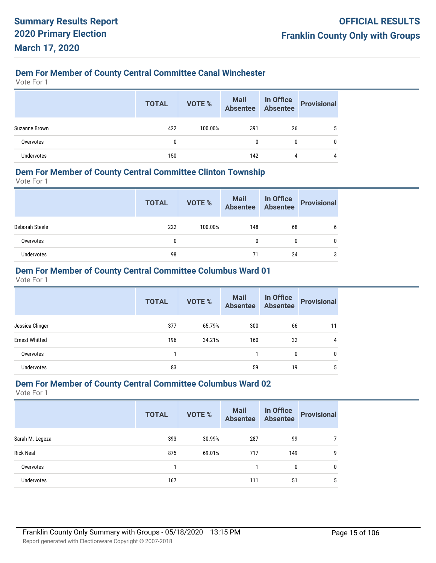## **Dem For Member of County Central Committee Canal Winchester**

Vote For 1

|               | <b>TOTAL</b> | VOTE %  | Mail In Office<br>Absentee Absentee Provisional |    |  |
|---------------|--------------|---------|-------------------------------------------------|----|--|
| Suzanne Brown | 422          | 100.00% | 391                                             | 26 |  |
| Overvotes     | 0            |         | 0                                               |    |  |
| Undervotes    | 150          |         | 142                                             | 4  |  |

#### **Dem For Member of County Central Committee Clinton Township**

Vote For 1

|                | <b>TOTAL</b> | VOTE %  | Mail In Office<br>Absentee Absentee |    | Provisional |
|----------------|--------------|---------|-------------------------------------|----|-------------|
| Deborah Steele | 222          | 100.00% | 148                                 | 68 | b           |
| Overvotes      | 0            |         | 0                                   | 0  |             |
| Undervotes     | 98           |         | 71                                  | 24 | 3           |

## **Dem For Member of County Central Committee Columbus Ward 01**

Vote For 1

|                       | <b>TOTAL</b> | <b>VOTE %</b> | Mail<br>Absentee | In Office<br>Absentee | <b>Provisional</b> |
|-----------------------|--------------|---------------|------------------|-----------------------|--------------------|
| Jessica Clinger       | 377          | 65.79%        | 300              | 66                    | 11                 |
| <b>Ernest Whitted</b> | 196          | 34.21%        | 160              | 32                    | 4                  |
| Overvotes             |              |               |                  | 0                     | 0                  |
| <b>Undervotes</b>     | 83           |               | 59               | 19                    | 5                  |

#### **Dem For Member of County Central Committee Columbus Ward 02**

|                   | <b>TOTAL</b> | <b>VOTE %</b> | <b>Mail</b><br><b>Absentee</b> | In Office<br><b>Absentee</b> | <b>Provisional</b> |
|-------------------|--------------|---------------|--------------------------------|------------------------------|--------------------|
| Sarah M. Legeza   | 393          | 30.99%        | 287                            | 99                           |                    |
| <b>Rick Neal</b>  | 875          | 69.01%        | 717                            | 149                          | 9                  |
| Overvotes         |              |               |                                | 0                            | 0                  |
| <b>Undervotes</b> | 167          |               | 111                            | 51                           | 5                  |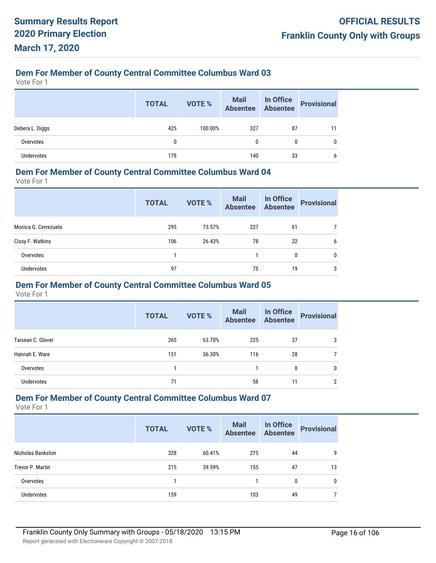Vote For 1

|                 | <b>TOTAL</b> | VOTE %  | Mail In Office<br>Absentee Absentee |    | Provisional |
|-----------------|--------------|---------|-------------------------------------|----|-------------|
| Debera L. Diggs | 425          | 100.00% | 327                                 | 87 | 11          |
| Overvotes       | 0            |         | 0                                   | 0  | 0           |
| Undervotes      | 179          |         | 140                                 | 33 | 6           |

#### **Dem For Member of County Central Committee Columbus Ward 04**

Vote For 1

|                      | <b>TOTAL</b> | <b>VOTE %</b> | <b>Mail</b><br><b>Absentee</b> | In Office<br><b>Absentee</b> | <b>Provisional</b> |
|----------------------|--------------|---------------|--------------------------------|------------------------------|--------------------|
| Monica G. Cerrezuela | 295          | 73.57%        | 227                            | 61                           |                    |
| Cissy F. Watkins     | 106          | 26.43%        | 78                             | 22                           | 6                  |
| Overvotes            |              |               |                                | 0                            | 0                  |
| <b>Undervotes</b>    | 97           |               | 75                             | 19                           | 3                  |

#### **Dem For Member of County Central Committee Columbus Ward 05**

Vote For 1

|                   | <b>TOTAL</b> | VOTE % | <b>Mail</b><br><b>Absentee</b> | In Office<br><b>Absentee</b> | <b>Provisional</b> |
|-------------------|--------------|--------|--------------------------------|------------------------------|--------------------|
| Taisean C. Glover | 265          | 63.70% | 225                            | 37                           | 3                  |
| Hannah E. Ware    | 151          | 36.30% | 116                            | 28                           |                    |
| Overvotes         |              |        |                                | 0                            | 0                  |
| <b>Undervotes</b> | 71           |        | 58                             | 11                           | 2                  |

## **Dem For Member of County Central Committee Columbus Ward 07**

|                          | <b>TOTAL</b> | VOTE % | <b>Mail</b><br><b>Absentee</b> | In Office<br><b>Absentee</b> | <b>Provisional</b> |
|--------------------------|--------------|--------|--------------------------------|------------------------------|--------------------|
| <b>Nicholas Bankston</b> | 328          | 60.41% | 275                            | 44                           | 9                  |
| Trevor P. Martin         | 215          | 39.59% | 155                            | 47                           | 13                 |
| Overvotes                |              |        |                                | $\mathbf{0}$                 | $\mathbf{0}$       |
| Undervotes               | 159          |        | 103                            | 49                           |                    |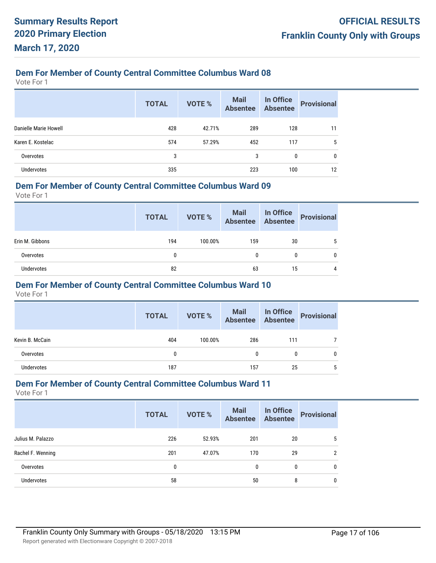Vote For 1

|                       | <b>TOTAL</b> | <b>VOTE %</b> | <b>Mail</b><br>Absentee | In Office<br>Absentee | <b>Provisional</b> |
|-----------------------|--------------|---------------|-------------------------|-----------------------|--------------------|
| Danielle Marie Howell | 428          | 42.71%        | 289                     | 128                   | 11                 |
| Karen E. Kostelac     | 574          | 57.29%        | 452                     | 117                   | 5                  |
| Overvotes             | 3            |               | 3                       | 0                     | 0                  |
| <b>Undervotes</b>     | 335          |               | 223                     | 100                   | 12                 |

#### **Dem For Member of County Central Committee Columbus Ward 09**

Vote For 1

|                 | <b>TOTAL</b> | VOTE %  | Mail In Office<br>Absentee Absentee |    | Provisional |
|-----------------|--------------|---------|-------------------------------------|----|-------------|
| Erin M. Gibbons | 194          | 100.00% | 159                                 | 30 | 5           |
| Overvotes       |              |         | 0                                   | 0  |             |
| Undervotes      | 82           |         | 63                                  | 15 | 4           |

#### **Dem For Member of County Central Committee Columbus Ward 10**

Vote For 1

|                   | <b>TOTAL</b> | VOTE %  | Mail In Office<br>Absentee Absentee |     | <b>Provisional</b> |
|-------------------|--------------|---------|-------------------------------------|-----|--------------------|
| Kevin B. McCain   | 404          | 100.00% | 286                                 | 111 |                    |
| Overvotes         | 0            |         | 0                                   | 0   |                    |
| <b>Undervotes</b> | 187          |         | 157                                 | 25  |                    |

#### **Dem For Member of County Central Committee Columbus Ward 11**

|                   | <b>TOTAL</b> | <b>VOTE %</b> | <b>Mail</b><br><b>Absentee</b> | In Office<br><b>Absentee</b> | <b>Provisional</b> |
|-------------------|--------------|---------------|--------------------------------|------------------------------|--------------------|
| Julius M. Palazzo | 226          | 52.93%        | 201                            | 20                           | 5                  |
| Rachel F. Wenning | 201          | 47.07%        | 170                            | 29                           | $\overline{2}$     |
| Overvotes         | 0            |               | $\mathbf{0}$                   | 0                            | 0                  |
| Undervotes        | 58           |               | 50                             | 8                            | 0                  |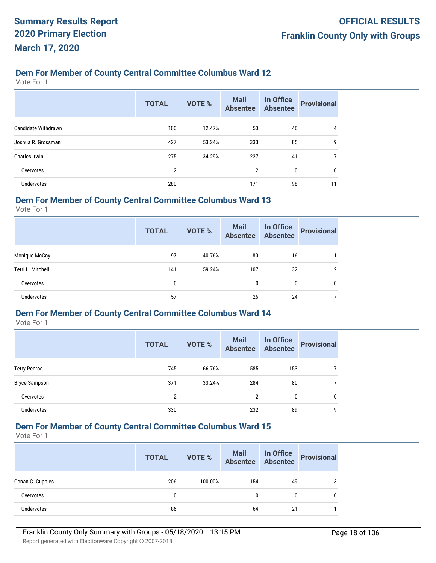Vote For 1

|                            | <b>TOTAL</b>   | <b>VOTE %</b> | <b>Mail</b><br><b>Absentee</b> | In Office<br><b>Absentee</b> | <b>Provisional</b> |
|----------------------------|----------------|---------------|--------------------------------|------------------------------|--------------------|
| <b>Candidate Withdrawn</b> | 100            | 12.47%        | 50                             | 46                           | 4                  |
| Joshua R. Grossman         | 427            | 53.24%        | 333                            | 85                           | 9                  |
| Charles Irwin              | 275            | 34.29%        | 227                            | 41                           | 7                  |
| Overvotes                  | $\overline{2}$ |               | 2                              | 0                            | 0                  |
| <b>Undervotes</b>          | 280            |               | 171                            | 98                           | 11                 |

## **Dem For Member of County Central Committee Columbus Ward 13**

Vote For 1

|                   | <b>TOTAL</b> | <b>VOTE %</b> | <b>Mail</b><br><b>Absentee</b> | In Office<br><b>Absentee</b> | <b>Provisional</b> |
|-------------------|--------------|---------------|--------------------------------|------------------------------|--------------------|
| Monique McCoy     | 97           | 40.76%        | 80                             | 16                           |                    |
| Terri L. Mitchell | 141          | 59.24%        | 107                            | 32                           | 2                  |
| Overvotes         | 0            |               | 0                              | 0                            | 0                  |
| Undervotes        | 57           |               | 26                             | 24                           |                    |

#### **Dem For Member of County Central Committee Columbus Ward 14**

Vote For 1

|                      | <b>TOTAL</b> | VOTE % | <b>Mail</b><br><b>Absentee</b> | In Office<br><b>Absentee</b> | <b>Provisional</b> |
|----------------------|--------------|--------|--------------------------------|------------------------------|--------------------|
| <b>Terry Penrod</b>  | 745          | 66.76% | 585                            | 153                          |                    |
| <b>Bryce Sampson</b> | 371          | 33.24% | 284                            | 80                           |                    |
| Overvotes            | 2            |        | $\overline{2}$                 | $\mathbf{0}$                 | $\mathbf{0}$       |
| Undervotes           | 330          |        | 232                            | 89                           | 9                  |

## **Dem For Member of County Central Committee Columbus Ward 15**

|                   | <b>TOTAL</b> | VOTE %  | Mail In Office<br>Absentee Absentee |    | Provisional |
|-------------------|--------------|---------|-------------------------------------|----|-------------|
| Conan C. Cupples  | 206          | 100.00% | 154                                 | 49 | 3           |
| Overvotes         | 0            |         | 0                                   | 0  | 0           |
| <b>Undervotes</b> | 86           |         | 64                                  | 21 |             |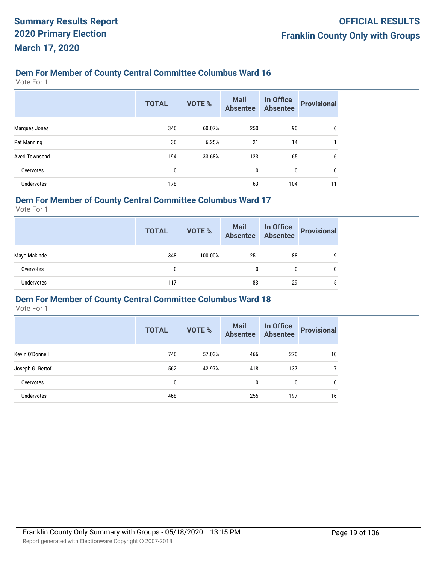Vote For 1

|                   | <b>TOTAL</b> | <b>VOTE %</b> | <b>Mail</b><br><b>Absentee</b> | In Office<br><b>Absentee</b> | <b>Provisional</b> |
|-------------------|--------------|---------------|--------------------------------|------------------------------|--------------------|
| Marques Jones     | 346          | 60.07%        | 250                            | 90                           | 6                  |
| Pat Manning       | 36           | 6.25%         | 21                             | 14                           | 1                  |
| Averi Townsend    | 194          | 33.68%        | 123                            | 65                           | 6                  |
| Overvotes         | 0            |               | $\mathbf{0}$                   | $\mathbf{0}$                 | $\mathbf{0}$       |
| <b>Undervotes</b> | 178          |               | 63                             | 104                          | 11                 |

## **Dem For Member of County Central Committee Columbus Ward 17**

Vote For 1

|              | <b>TOTAL</b> | VOTE %  | Mail<br>Absentee | In Office<br>Absentee | <b>Provisional</b> |
|--------------|--------------|---------|------------------|-----------------------|--------------------|
| Mayo Makinde | 348          | 100.00% | 251              | 88                    | 9                  |
| Overvotes    | 0            |         | 0                | 0                     | 0                  |
| Undervotes   | 117          |         | 83               | 29                    | 5                  |

## **Dem For Member of County Central Committee Columbus Ward 18**

|                   | <b>TOTAL</b> | <b>VOTE %</b> | <b>Mail</b><br><b>Absentee</b> | In Office<br><b>Absentee</b> | <b>Provisional</b> |
|-------------------|--------------|---------------|--------------------------------|------------------------------|--------------------|
| Kevin O'Donnell   | 746          | 57.03%        | 466                            | 270                          | 10                 |
| Joseph G. Rettof  | 562          | 42.97%        | 418                            | 137                          | $\overline{7}$     |
| Overvotes         | 0            |               | 0                              | $\mathbf{0}$                 | $\mathbf{0}$       |
| <b>Undervotes</b> | 468          |               | 255                            | 197                          | 16                 |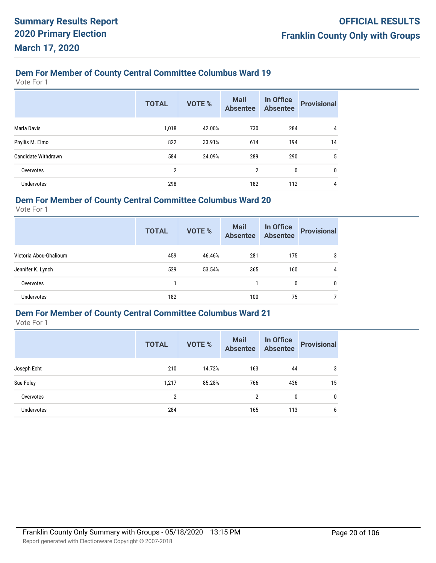Vote For 1

|                            | <b>TOTAL</b>   | <b>VOTE %</b> | <b>Mail</b><br><b>Absentee</b> | In Office<br><b>Absentee</b> | <b>Provisional</b> |
|----------------------------|----------------|---------------|--------------------------------|------------------------------|--------------------|
| Marla Davis                | 1,018          | 42.00%        | 730                            | 284                          | 4                  |
| Phyllis M. Elmo            | 822            | 33.91%        | 614                            | 194                          | 14                 |
| <b>Candidate Withdrawn</b> | 584            | 24.09%        | 289                            | 290                          | 5                  |
| Overvotes                  | $\overline{2}$ |               | 2                              | 0                            | $\mathbf{0}$       |
| <b>Undervotes</b>          | 298            |               | 182                            | 112                          | 4                  |

## **Dem For Member of County Central Committee Columbus Ward 20**

Vote For 1

|                        | <b>TOTAL</b> | <b>VOTE %</b> | <b>Mail</b><br><b>Absentee</b> | In Office<br><b>Absentee</b> | <b>Provisional</b> |
|------------------------|--------------|---------------|--------------------------------|------------------------------|--------------------|
| Victoria Abou-Ghalioum | 459          | 46.46%        | 281                            | 175                          | 3                  |
| Jennifer K. Lynch      | 529          | 53.54%        | 365                            | 160                          | 4                  |
| Overvotes              |              |               |                                | 0                            | $\mathbf{0}$       |
| Undervotes             | 182          |               | 100                            | 75                           |                    |

## **Dem For Member of County Central Committee Columbus Ward 21**

|                   | <b>TOTAL</b> | <b>VOTE %</b> | <b>Mail</b><br><b>Absentee</b> | In Office<br><b>Absentee</b> | <b>Provisional</b> |
|-------------------|--------------|---------------|--------------------------------|------------------------------|--------------------|
| Joseph Echt       | 210          | 14.72%        | 163                            | 44                           | 3                  |
| Sue Foley         | 1,217        | 85.28%        | 766                            | 436                          | 15                 |
| Overvotes         | 2            |               | 2                              | 0                            | 0                  |
| <b>Undervotes</b> | 284          |               | 165                            | 113                          | 6                  |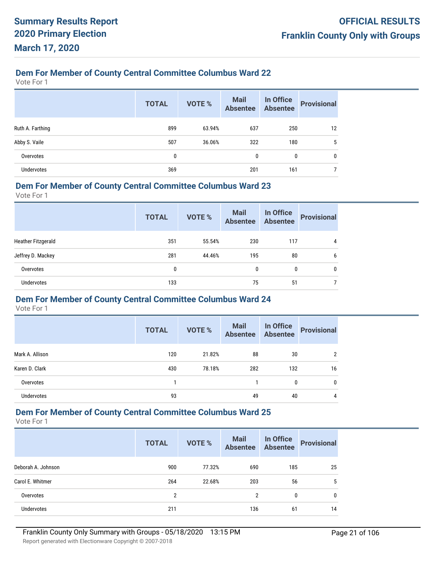Vote For 1

|                  | <b>TOTAL</b> | <b>VOTE %</b> | Mail<br>Absentee | In Office<br><b>Absentee</b> | <b>Provisional</b> |
|------------------|--------------|---------------|------------------|------------------------------|--------------------|
| Ruth A. Farthing | 899          | 63.94%        | 637              | 250                          | 12                 |
| Abby S. Vaile    | 507          | 36.06%        | 322              | 180                          | 5                  |
| Overvotes        | 0            |               | $\mathbf{0}$     | 0                            | 0                  |
| Undervotes       | 369          |               | 201              | 161                          |                    |

#### **Dem For Member of County Central Committee Columbus Ward 23**

Vote For 1

|                           | <b>TOTAL</b> | VOTE % | <b>Mail</b><br><b>Absentee</b> | In Office<br><b>Absentee</b> | <b>Provisional</b> |
|---------------------------|--------------|--------|--------------------------------|------------------------------|--------------------|
| <b>Heather Fitzgerald</b> | 351          | 55.54% | 230                            | 117                          | 4                  |
| Jeffrey D. Mackey         | 281          | 44.46% | 195                            | 80                           | 6                  |
| Overvotes                 | 0            |        | 0                              | 0                            | 0                  |
| <b>Undervotes</b>         | 133          |        | 75                             | 51                           |                    |

## **Dem For Member of County Central Committee Columbus Ward 24**

Vote For 1

|                   | <b>TOTAL</b> | <b>VOTE %</b> | <b>Mail</b><br><b>Absentee</b> | In Office<br>Absentee | <b>Provisional</b> |
|-------------------|--------------|---------------|--------------------------------|-----------------------|--------------------|
| Mark A. Allison   | 120          | 21.82%        | 88                             | 30                    | 2                  |
| Karen D. Clark    | 430          | 78.18%        | 282                            | 132                   | 16                 |
| Overvotes         |              |               |                                | $\mathbf{0}$          | 0                  |
| <b>Undervotes</b> | 93           |               | 49                             | 40                    | 4                  |

## **Dem For Member of County Central Committee Columbus Ward 25**

|                    | <b>TOTAL</b> | <b>VOTE %</b> | <b>Mail</b><br><b>Absentee</b> | In Office<br><b>Absentee</b> | <b>Provisional</b> |
|--------------------|--------------|---------------|--------------------------------|------------------------------|--------------------|
| Deborah A. Johnson | 900          | 77.32%        | 690                            | 185                          | 25                 |
| Carol E. Whitmer   | 264          | 22.68%        | 203                            | 56                           | 5                  |
| Overvotes          | 2            |               | 2                              | $\mathbf{0}$                 | $\mathbf{0}$       |
| Undervotes         | 211          |               | 136                            | 61                           | 14                 |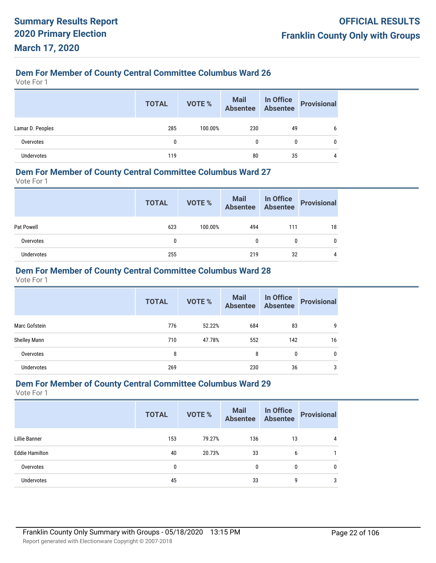Vote For 1

|                  | <b>TOTAL</b> | VOTE %  | Mail In Office<br>Absentee Absentee |    | Provisional |
|------------------|--------------|---------|-------------------------------------|----|-------------|
| Lamar D. Peoples | 285          | 100.00% | 230                                 | 49 | 6           |
| Overvotes        | 0            |         | 0                                   | 0  | 0           |
| Undervotes       | 119          |         | 80                                  | 35 | 4           |

#### **Dem For Member of County Central Committee Columbus Ward 27**

Vote For 1

|            | <b>TOTAL</b> | VOTE %  | Mail In Office<br>Absentee Absentee |     | Provisional |
|------------|--------------|---------|-------------------------------------|-----|-------------|
| Pat Powell | 623          | 100.00% | 494                                 | 111 | 18          |
| Overvotes  | 0            |         | 0                                   | 0   | 0           |
| Undervotes | 255          |         | 219                                 | 32  | 4           |

## **Dem For Member of County Central Committee Columbus Ward 28**

Vote For 1

|                   | <b>TOTAL</b> | <b>VOTE %</b> | <b>Mail</b><br><b>Absentee</b> | In Office<br>Absentee | <b>Provisional</b> |
|-------------------|--------------|---------------|--------------------------------|-----------------------|--------------------|
| Marc Gofstein     | 776          | 52.22%        | 684                            | 83                    | 9                  |
| Shelley Mann      | 710          | 47.78%        | 552                            | 142                   | 16                 |
| Overvotes         | 8            |               | 8                              | 0                     | 0                  |
| <b>Undervotes</b> | 269          |               | 230                            | 36                    | 3                  |

#### **Dem For Member of County Central Committee Columbus Ward 29**

|                       | <b>TOTAL</b> | <b>VOTE %</b> | <b>Mail</b><br><b>Absentee</b> | In Office<br>Absentee | <b>Provisional</b> |
|-----------------------|--------------|---------------|--------------------------------|-----------------------|--------------------|
| Lillie Banner         | 153          | 79.27%        | 136                            | 13                    | 4                  |
| <b>Eddie Hamilton</b> | 40           | 20.73%        | 33                             | 6                     |                    |
| Overvotes             | 0            |               | $\mathbf{0}$                   | 0                     | 0                  |
| <b>Undervotes</b>     | 45           |               | 33                             | 9                     | 3                  |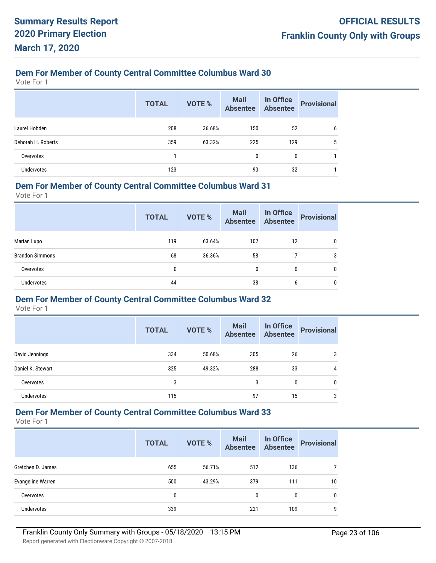Vote For 1

|                    | <b>TOTAL</b> | <b>VOTE %</b> | <b>Mail</b><br>Absentee | In Office<br>Absentee | <b>Provisional</b> |
|--------------------|--------------|---------------|-------------------------|-----------------------|--------------------|
| Laurel Hobden      | 208          | 36.68%        | 150                     | 52                    | 6                  |
| Deborah H. Roberts | 359          | 63.32%        | 225                     | 129                   | 5                  |
| Overvotes          |              |               | 0                       | 0                     |                    |
| <b>Undervotes</b>  | 123          |               | 90                      | 32                    |                    |

#### **Dem For Member of County Central Committee Columbus Ward 31**

Vote For 1

|                        | <b>TOTAL</b> | VOTE % | <b>Mail</b><br><b>Absentee</b> | In Office<br><b>Absentee</b> | <b>Provisional</b> |
|------------------------|--------------|--------|--------------------------------|------------------------------|--------------------|
| Marian Lupo            | 119          | 63.64% | 107                            | 12                           | 0                  |
| <b>Brandon Simmons</b> | 68           | 36.36% | 58                             |                              | 3                  |
| Overvotes              | 0            |        | 0                              | 0                            | 0                  |
| <b>Undervotes</b>      | 44           |        | 38                             | 6                            | 0                  |

## **Dem For Member of County Central Committee Columbus Ward 32**

Vote For 1

|                   | <b>TOTAL</b> | <b>VOTE %</b> | <b>Mail</b><br><b>Absentee</b> | In Office<br>Absentee | <b>Provisional</b> |
|-------------------|--------------|---------------|--------------------------------|-----------------------|--------------------|
| David Jennings    | 334          | 50.68%        | 305                            | 26                    | 3                  |
| Daniel K. Stewart | 325          | 49.32%        | 288                            | 33                    | 4                  |
| Overvotes         | 3            |               | 3                              | 0                     | 0                  |
| Undervotes        | 115          |               | 97                             | 15                    | 3                  |

## **Dem For Member of County Central Committee Columbus Ward 33**

|                          | <b>TOTAL</b> | <b>VOTE %</b> | <b>Mail</b><br><b>Absentee</b> | In Office<br><b>Absentee</b> | <b>Provisional</b> |
|--------------------------|--------------|---------------|--------------------------------|------------------------------|--------------------|
| Gretchen D. James        | 655          | 56.71%        | 512                            | 136                          |                    |
| <b>Evangeline Warren</b> | 500          | 43.29%        | 379                            | 111                          | 10                 |
| Overvotes                | 0            |               | 0                              | 0                            | 0                  |
| <b>Undervotes</b>        | 339          |               | 221                            | 109                          | 9                  |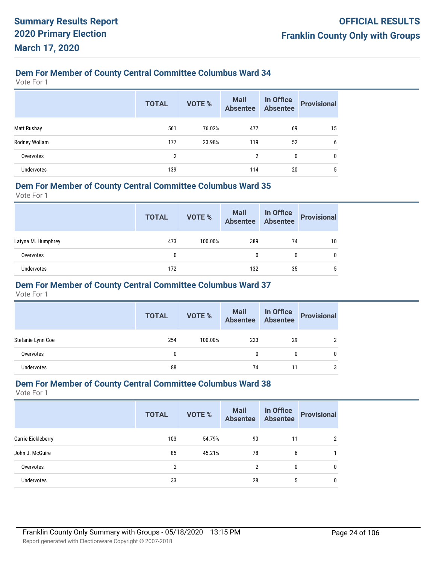Vote For 1

|                    | <b>TOTAL</b> | <b>VOTE %</b> | Mail<br>Absentee | In Office<br>Absentee | <b>Provisional</b> |
|--------------------|--------------|---------------|------------------|-----------------------|--------------------|
| <b>Matt Rushay</b> | 561          | 76.02%        | 477              | 69                    | 15                 |
| Rodney Wollam      | 177          | 23.98%        | 119              | 52                    | 6                  |
| Overvotes          | 2            |               | 2                | 0                     | 0                  |
| Undervotes         | 139          |               | 114              | 20                    | 5                  |

#### **Dem For Member of County Central Committee Columbus Ward 35**

Vote For 1

|                    | <b>TOTAL</b> | VOTE %  | Mail In Office<br>Absentee Absentee |    | <b>Provisional</b> |
|--------------------|--------------|---------|-------------------------------------|----|--------------------|
| Latyna M. Humphrey | 473          | 100.00% | 389                                 | 74 | 10                 |
| Overvotes          | 0            |         | 0                                   | 0  | 0                  |
| Undervotes         | 172          |         | 132                                 | 35 | 5                  |

#### **Dem For Member of County Central Committee Columbus Ward 37**

Vote For 1

|                   | <b>TOTAL</b> | VOTE %  | Mail In Office<br>Absentee Absentee |    | Provisional |
|-------------------|--------------|---------|-------------------------------------|----|-------------|
| Stefanie Lynn Coe | 254          | 100.00% | 223                                 | 29 |             |
| Overvotes         | 0            |         | 0                                   | 0  |             |
| <b>Undervotes</b> | 88           |         | 74                                  | 11 |             |

#### **Dem For Member of County Central Committee Columbus Ward 38**

|                    | <b>TOTAL</b>   | <b>VOTE %</b> | <b>Mail</b><br><b>Absentee</b> | In Office<br>Absentee | <b>Provisional</b> |
|--------------------|----------------|---------------|--------------------------------|-----------------------|--------------------|
| Carrie Eickleberry | 103            | 54.79%        | 90                             | 11                    |                    |
| John J. McGuire    | 85             | 45.21%        | 78                             | 6                     |                    |
| Overvotes          | $\overline{2}$ |               | $\overline{2}$                 | 0                     | 0                  |
| Undervotes         | 33             |               | 28                             | 5                     | 0                  |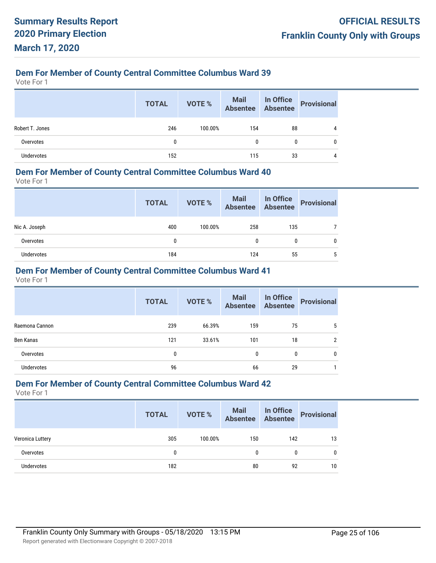Vote For 1

|                 | <b>TOTAL</b> | VOTE %  | Mail In Office<br>Absentee Absentee |    | Provisional |
|-----------------|--------------|---------|-------------------------------------|----|-------------|
| Robert T. Jones | 246          | 100.00% | 154                                 | 88 |             |
| Overvotes       | 0            |         | 0                                   | 0  |             |
| Undervotes      | 152          |         | 115                                 | 33 |             |

#### **Dem For Member of County Central Committee Columbus Ward 40**

Vote For 1

|               | <b>TOTAL</b> | VOTE %  | Mail In Office<br>Absentee Absentee |     | Provisional |
|---------------|--------------|---------|-------------------------------------|-----|-------------|
| Nic A. Joseph | 400          | 100.00% | 258                                 | 135 |             |
| Overvotes     | 0            |         | 0                                   | 0   | 0           |
| Undervotes    | 184          |         | 124                                 | 55  | 5           |

## **Dem For Member of County Central Committee Columbus Ward 41**

Vote For 1

|                   | <b>TOTAL</b> | <b>VOTE %</b> | Mail<br>Absentee | In Office<br>Absentee | <b>Provisional</b> |
|-------------------|--------------|---------------|------------------|-----------------------|--------------------|
| Raemona Cannon    | 239          | 66.39%        | 159              | 75                    | 5                  |
| Ben Kanas         | 121          | 33.61%        | 101              | 18                    | 2                  |
| Overvotes         | 0            |               | 0                | 0                     | 0                  |
| <b>Undervotes</b> | 96           |               | 66               | 29                    |                    |

#### **Dem For Member of County Central Committee Columbus Ward 42**

|                  | <b>TOTAL</b> | VOTE %  | Mail<br>Absentee | In Office<br>Absentee | <b>Provisional</b> |
|------------------|--------------|---------|------------------|-----------------------|--------------------|
| Veronica Luttery | 305          | 100.00% | 150              | 142                   | 13                 |
| Overvotes        | 0            |         | 0                | $\mathbf{0}$          | $\mathbf{0}$       |
| Undervotes       | 182          |         | 80               | 92                    | 10                 |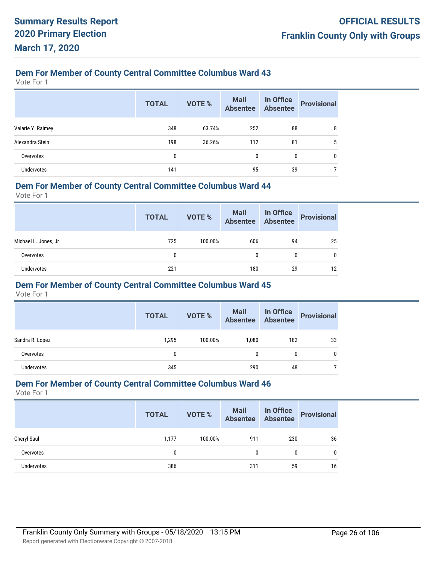Vote For 1

|                   | <b>TOTAL</b> | <b>VOTE %</b> | <b>Mail</b><br><b>Absentee</b> | In Office<br><b>Absentee</b> | <b>Provisional</b> |
|-------------------|--------------|---------------|--------------------------------|------------------------------|--------------------|
| Valarie Y. Raimey | 348          | 63.74%        | 252                            | 88                           | 8                  |
| Alexandra Stein   | 198          | 36.26%        | 112                            | 81                           | 5                  |
| Overvotes         | 0            |               | 0                              | 0                            | 0                  |
| Undervotes        | 141          |               | 95                             | 39                           |                    |

#### **Dem For Member of County Central Committee Columbus Ward 44**

Vote For 1

|                       | <b>TOTAL</b> | VOTE %  | Mail<br>Absentee | In Office<br>Absentee | <b>Provisional</b> |
|-----------------------|--------------|---------|------------------|-----------------------|--------------------|
| Michael L. Jones, Jr. | 725          | 100.00% | 606              | 94                    | 25                 |
| Overvotes             | 0            |         | 0                | 0                     | 0                  |
| Undervotes            | 221          |         | 180              | 29                    | 12                 |

#### **Dem For Member of County Central Committee Columbus Ward 45**

Vote For 1

|                   | <b>TOTAL</b> | VOTE %  | Mail In Office<br>Absentee Absentee |     | <b>Provisional</b> |
|-------------------|--------------|---------|-------------------------------------|-----|--------------------|
| Sandra R. Lopez   | 1,295        | 100.00% | 1.080                               | 182 | 33                 |
| Overvotes         | 0            |         |                                     | 0   | 0                  |
| <b>Undervotes</b> | 345          |         | 290                                 | 48  |                    |

#### **Dem For Member of County Central Committee Columbus Ward 46**

|             | <b>TOTAL</b> | VOTE %  | Mail<br>Absentee | <b>In Office</b><br><b>Absentee</b> | <b>Provisional</b> |
|-------------|--------------|---------|------------------|-------------------------------------|--------------------|
| Cheryl Saul | 1,177        | 100.00% | 911              | 230                                 | 36                 |
| Overvotes   | 0            |         | 0                |                                     | $\mathbf{0}$       |
| Undervotes  | 386          |         | 311              | 59                                  | 16                 |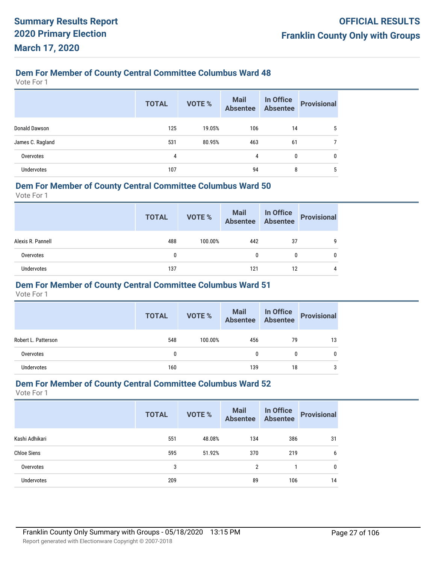Vote For 1

|                  | <b>TOTAL</b> | <b>VOTE %</b> | Mail<br>Absentee | In Office<br>Absentee | <b>Provisional</b> |
|------------------|--------------|---------------|------------------|-----------------------|--------------------|
| Donald Dawson    | 125          | 19.05%        | 106              | 14                    | 5                  |
| James C. Ragland | 531          | 80.95%        | 463              | 61                    |                    |
| Overvotes        | 4            |               | 4                | 0                     | $\mathbf{0}$       |
| Undervotes       | 107          |               | 94               | 8                     | 5                  |

#### **Dem For Member of County Central Committee Columbus Ward 50**

Vote For 1

|                   | <b>TOTAL</b> | VOTE %  | Mail In Office<br>Absentee Absentee |    | <b>Provisional</b> |
|-------------------|--------------|---------|-------------------------------------|----|--------------------|
| Alexis R. Pannell | 488          | 100.00% | 442                                 | 37 | q                  |
| Overvotes         |              |         | 0                                   |    | 0                  |
| Undervotes        | 137          |         | 121                                 | 12 | 4                  |

#### **Dem For Member of County Central Committee Columbus Ward 51**

Vote For 1

|                     | <b>TOTAL</b> | <b>VOTE %</b> | Mail<br>Absentee | In Office<br>Absentee | <b>Provisional</b> |
|---------------------|--------------|---------------|------------------|-----------------------|--------------------|
| Robert L. Patterson | 548          | 100.00%       | 456              | 79                    | 13                 |
| Overvotes           | 0            |               | 0                |                       | 0                  |
| <b>Undervotes</b>   | 160          |               | 139              | 18                    | 3                  |

#### **Dem For Member of County Central Committee Columbus Ward 52**

|                    | <b>TOTAL</b> | <b>VOTE %</b> | <b>Mail</b><br><b>Absentee</b> | In Office<br><b>Absentee</b> | <b>Provisional</b> |
|--------------------|--------------|---------------|--------------------------------|------------------------------|--------------------|
| Kashi Adhikari     | 551          | 48.08%        | 134                            | 386                          | 31                 |
| <b>Chloe Siens</b> | 595          | 51.92%        | 370                            | 219                          | 6                  |
| Overvotes          | 3            |               | 2                              |                              | 0                  |
| <b>Undervotes</b>  | 209          |               | 89                             | 106                          | 14                 |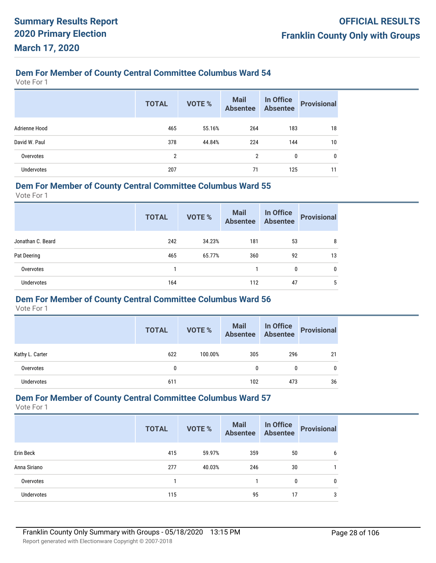Vote For 1

|               | <b>TOTAL</b> | VOTE % | <b>Mail</b><br><b>Absentee</b> | In Office<br>Absentee | <b>Provisional</b> |
|---------------|--------------|--------|--------------------------------|-----------------------|--------------------|
| Adrienne Hood | 465          | 55.16% | 264                            | 183                   | 18                 |
| David W. Paul | 378          | 44.84% | 224                            | 144                   | 10                 |
| Overvotes     | 2            |        | 2                              | $\mathbf{0}$          | $\mathbf{0}$       |
| Undervotes    | 207          |        | 71                             | 125                   | 11                 |

#### **Dem For Member of County Central Committee Columbus Ward 55**

Vote For 1

|                   | <b>TOTAL</b> | VOTE % | <b>Mail</b><br><b>Absentee</b> | In Office<br><b>Absentee</b> | <b>Provisional</b> |
|-------------------|--------------|--------|--------------------------------|------------------------------|--------------------|
| Jonathan C. Beard | 242          | 34.23% | 181                            | 53                           | 8                  |
| Pat Deering       | 465          | 65.77% | 360                            | 92                           | 13                 |
| Overvotes         |              |        |                                | 0                            | 0                  |
| <b>Undervotes</b> | 164          |        | 112                            | 47                           | 5                  |

#### **Dem For Member of County Central Committee Columbus Ward 56**

Vote For 1

|                 | <b>TOTAL</b> | <b>VOTE %</b> | Mail<br>Absentee | In Office<br>Absentee | <b>Provisional</b> |
|-----------------|--------------|---------------|------------------|-----------------------|--------------------|
| Kathy L. Carter | 622          | 100.00%       | 305              | 296                   | 21                 |
| Overvotes       | 0            |               | $\mathbf{0}$     | 0                     | 0                  |
| Undervotes      | 611          |               | 102              | 473                   | 36                 |

## **Dem For Member of County Central Committee Columbus Ward 57**

|                   | <b>TOTAL</b> | VOTE % | Mail<br>Absentee | In Office<br>Absentee | <b>Provisional</b> |
|-------------------|--------------|--------|------------------|-----------------------|--------------------|
| Erin Beck         | 415          | 59.97% | 359              | 50                    | 6                  |
| Anna Siriano      | 277          | 40.03% | 246              | 30                    |                    |
| Overvotes         |              |        |                  | 0                     | $\mathbf{0}$       |
| <b>Undervotes</b> | 115          |        | 95               | 17                    | 3                  |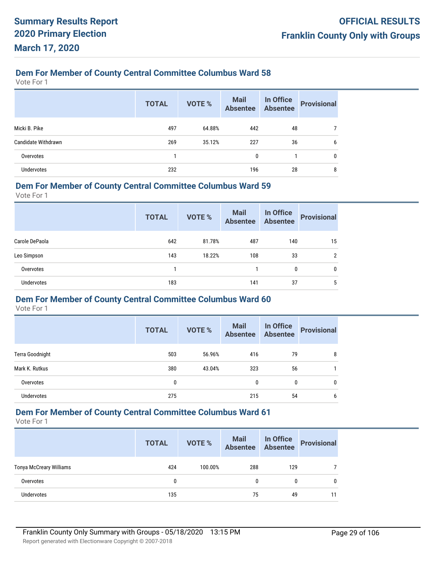Vote For 1

|                     | <b>TOTAL</b> | VOTE % | <b>Mail</b><br><b>Absentee</b> | In Office<br>Absentee | <b>Provisional</b> |
|---------------------|--------------|--------|--------------------------------|-----------------------|--------------------|
| Micki B. Pike       | 497          | 64.88% | 442                            | 48                    |                    |
| Candidate Withdrawn | 269          | 35.12% | 227                            | 36                    | 6                  |
| Overvotes           |              |        | 0                              |                       | 0                  |
| <b>Undervotes</b>   | 232          |        | 196                            | 28                    | 8                  |

#### **Dem For Member of County Central Committee Columbus Ward 59**

Vote For 1

|                   | <b>TOTAL</b> | VOTE % | <b>Mail</b><br><b>Absentee</b> | In Office<br><b>Absentee</b> | <b>Provisional</b> |
|-------------------|--------------|--------|--------------------------------|------------------------------|--------------------|
| Carole DePaola    | 642          | 81.78% | 487                            | 140                          | 15                 |
| Leo Simpson       | 143          | 18.22% | 108                            | 33                           | $\overline{2}$     |
| Overvotes         |              |        |                                | 0                            | 0                  |
| <b>Undervotes</b> | 183          |        | 141                            | 37                           | 5                  |

#### **Dem For Member of County Central Committee Columbus Ward 60**

Vote For 1

|                        | <b>TOTAL</b> | <b>VOTE %</b> | <b>Mail</b><br><b>Absentee</b> | In Office<br><b>Absentee</b> | <b>Provisional</b> |
|------------------------|--------------|---------------|--------------------------------|------------------------------|--------------------|
| <b>Terra Goodnight</b> | 503          | 56.96%        | 416                            | 79                           | 8                  |
| Mark K. Rutkus         | 380          | 43.04%        | 323                            | 56                           |                    |
| Overvotes              | 0            |               | 0                              | 0                            | $\mathbf{0}$       |
| <b>Undervotes</b>      | 275          |               | 215                            | 54                           | 6                  |

# **Dem For Member of County Central Committee Columbus Ward 61**

|                                | <b>TOTAL</b> | <b>VOTE %</b> | Mail<br>Absentee | In Office<br>Absentee | <b>Provisional</b> |
|--------------------------------|--------------|---------------|------------------|-----------------------|--------------------|
| <b>Tonya McCreary Williams</b> | 424          | 100.00%       | 288              | 129                   |                    |
| Overvotes                      | 0            |               |                  | 0                     | $\mathbf{0}$       |
| <b>Undervotes</b>              | 135          |               | 75               | 49                    | 11                 |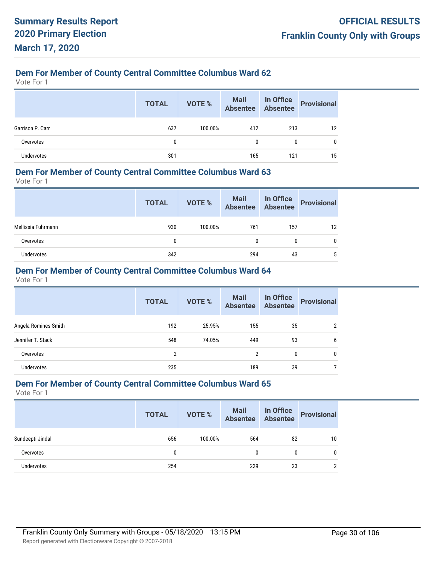Vote For 1

|                  | <b>TOTAL</b> | VOTE %  | Mail In Office<br>Absentee Absentee |     | <b>Provisional</b> |
|------------------|--------------|---------|-------------------------------------|-----|--------------------|
| Garrison P. Carr | 637          | 100.00% | 412                                 | 213 | 12                 |
| Overvotes        | 0            |         | 0                                   | 0   | 0                  |
| Undervotes       | 301          |         | 165                                 | 121 | 15                 |

#### **Dem For Member of County Central Committee Columbus Ward 63**

Vote For 1

|                    | <b>TOTAL</b> | VOTE %  | Mail In Office<br>Absentee Absentee |     | Provisional |
|--------------------|--------------|---------|-------------------------------------|-----|-------------|
| Mellissia Fuhrmann | 930          | 100.00% | 761                                 | 157 | 12          |
| Overvotes          | 0            |         | 0                                   | 0   | 0           |
| <b>Undervotes</b>  | 342          |         | 294                                 | 43  | 5           |

## **Dem For Member of County Central Committee Columbus Ward 64**

Vote For 1

|                      | <b>TOTAL</b> | <b>VOTE %</b> | <b>Mail</b><br><b>Absentee</b> | In Office<br><b>Absentee</b> | <b>Provisional</b> |
|----------------------|--------------|---------------|--------------------------------|------------------------------|--------------------|
| Angela Romines-Smith | 192          | 25.95%        | 155                            | 35                           | 2                  |
| Jennifer T. Stack    | 548          | 74.05%        | 449                            | 93                           | 6                  |
| Overvotes            | 2            |               | $\overline{2}$                 | 0                            | 0                  |
| <b>Undervotes</b>    | 235          |               | 189                            | 39                           |                    |

#### **Dem For Member of County Central Committee Columbus Ward 65**

|                   | <b>TOTAL</b> | VOTE %  | Mail In Office<br>Absentee Absentee |              | <b>Provisional</b> |
|-------------------|--------------|---------|-------------------------------------|--------------|--------------------|
| Sundeepti Jindal  | 656          | 100.00% | 564                                 | 82           | 10                 |
| Overvotes         | 0            |         |                                     | $\mathbf{0}$ | $\mathbf{0}$       |
| <b>Undervotes</b> | 254          |         | 229                                 | 23           | $\mathcal{P}$      |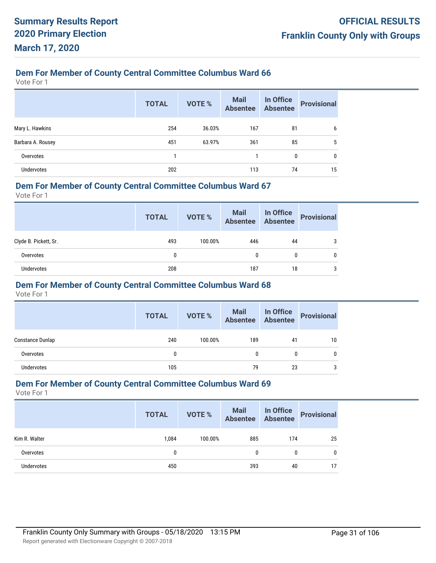Vote For 1

|                   | <b>TOTAL</b> | <b>VOTE %</b> | <b>Mail</b><br><b>Absentee</b> | In Office<br><b>Absentee</b> | <b>Provisional</b> |
|-------------------|--------------|---------------|--------------------------------|------------------------------|--------------------|
| Mary L. Hawkins   | 254          | 36.03%        | 167                            | 81                           | 6                  |
| Barbara A. Rousey | 451          | 63.97%        | 361                            | 85                           | 5                  |
| Overvotes         |              |               |                                | 0                            | 0                  |
| Undervotes        | 202          |               | 113                            | 74                           | 15                 |

#### **Dem For Member of County Central Committee Columbus Ward 67**

Vote For 1

|                       | <b>TOTAL</b> | VOTE %  | Mail In Office<br>Absentee Absentee |    | <b>Provisional</b> |
|-----------------------|--------------|---------|-------------------------------------|----|--------------------|
| Clyde B. Pickett, Sr. | 493          | 100.00% | 446                                 | 44 | 3                  |
| Overvotes             | 0            |         |                                     | 0  | 0                  |
| <b>Undervotes</b>     | 208          |         | 187                                 | 18 | 3                  |

#### **Dem For Member of County Central Committee Columbus Ward 68**

Vote For 1

|                         | <b>TOTAL</b> | <b>VOTE %</b> | Mail In Office<br>Absentee Absentee |    | <b>Provisional</b> |
|-------------------------|--------------|---------------|-------------------------------------|----|--------------------|
| <b>Constance Dunlap</b> | 240          | 100.00%       | 189                                 | 41 | 10                 |
| Overvotes               | 0            |               | 0                                   |    | 0                  |
| Undervotes              | 105          |               | 79                                  | 23 | 3                  |

#### **Dem For Member of County Central Committee Columbus Ward 69**

|               | <b>TOTAL</b> | VOTE %  | Mail<br>Absentee | In Office<br>Absentee | <b>Provisional</b> |
|---------------|--------------|---------|------------------|-----------------------|--------------------|
| Kim R. Walter | 1.084        | 100.00% | 885              | 174                   | 25                 |
| Overvotes     | 0            |         | 0                | 0                     | 0                  |
| Undervotes    | 450          |         | 393              | 40                    | 17                 |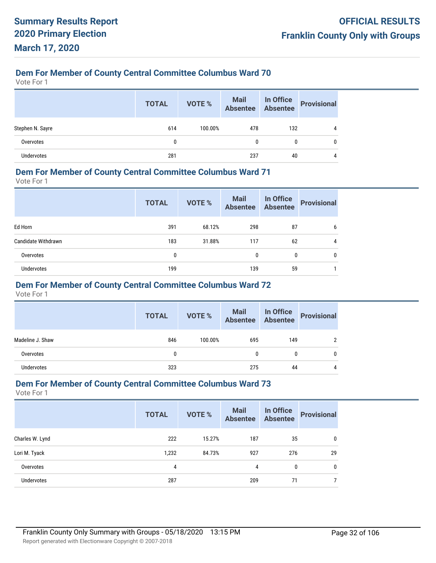Vote For 1

|                   | <b>TOTAL</b> | VOTE %  | Mail In Office<br>Absentee Absentee |     | <b>Provisional</b> |
|-------------------|--------------|---------|-------------------------------------|-----|--------------------|
| Stephen N. Sayre  | 614          | 100.00% | 478                                 | 132 | 4                  |
| Overvotes         | $\mathbf{0}$ |         | 0                                   | 0   |                    |
| <b>Undervotes</b> | 281          |         | 237                                 | 40  |                    |

#### **Dem For Member of County Central Committee Columbus Ward 71**

Vote For 1

|                     | <b>TOTAL</b> | <b>VOTE %</b> | <b>Mail</b><br><b>Absentee</b> | In Office<br><b>Absentee</b> | <b>Provisional</b> |
|---------------------|--------------|---------------|--------------------------------|------------------------------|--------------------|
| Ed Horn             | 391          | 68.12%        | 298                            | 87                           | 6                  |
| Candidate Withdrawn | 183          | 31.88%        | 117                            | 62                           | 4                  |
| Overvotes           | 0            |               | 0                              | 0                            | 0                  |
| <b>Undervotes</b>   | 199          |               | 139                            | 59                           |                    |

## **Dem For Member of County Central Committee Columbus Ward 72**

Vote For 1

|                  | <b>TOTAL</b> | VOTE %  | Mail<br>Absentee | In Office<br>Absentee | <b>Provisional</b> |
|------------------|--------------|---------|------------------|-----------------------|--------------------|
| Madeline J. Shaw | 846          | 100.00% | 695              | 149                   | ົ                  |
| Overvotes        | 0            |         |                  | 0                     | 0                  |
| Undervotes       | 323          |         | 275              | 44                    | 4                  |

#### **Dem For Member of County Central Committee Columbus Ward 73**

|                   | <b>TOTAL</b> | <b>VOTE %</b> | <b>Mail</b><br><b>Absentee</b> | In Office<br><b>Absentee</b> | <b>Provisional</b> |
|-------------------|--------------|---------------|--------------------------------|------------------------------|--------------------|
| Charles W. Lynd   | 222          | 15.27%        | 187                            | 35                           | $\mathbf{0}$       |
| Lori M. Tyack     | 1,232        | 84.73%        | 927                            | 276                          | 29                 |
| Overvotes         | 4            |               | 4                              | $\mathbf{0}$                 | $\mathbf{0}$       |
| <b>Undervotes</b> | 287          |               | 209                            | 71                           |                    |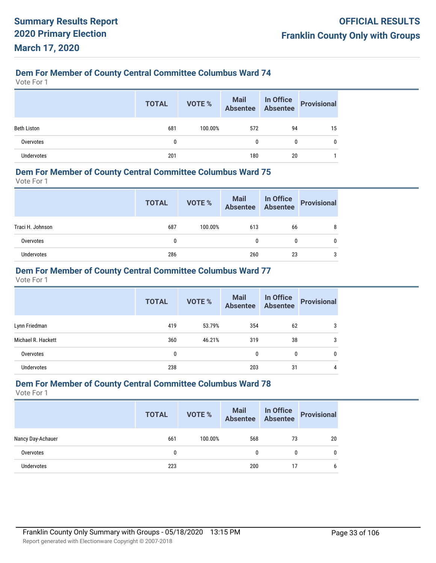Vote For 1

|                    | <b>TOTAL</b> | VOTE %  | Mail In Office<br>Absentee Absentee |    | <b>Provisional</b> |
|--------------------|--------------|---------|-------------------------------------|----|--------------------|
| <b>Beth Liston</b> | 681          | 100.00% | 572                                 | 94 | 15                 |
| Overvotes          | 0            |         |                                     | 0  | 0                  |
| <b>Undervotes</b>  | 201          |         | 180                                 | 20 |                    |

#### **Dem For Member of County Central Committee Columbus Ward 75**

Vote For 1

|                  | <b>TOTAL</b> | VOTE %  | Mail In Office<br>Absentee Absentee |    | Provisional |
|------------------|--------------|---------|-------------------------------------|----|-------------|
| Traci H. Johnson | 687          | 100.00% | 613                                 | 66 | 8           |
| Overvotes        | 0            |         | 0                                   | 0  | 0           |
| Undervotes       | 286          |         | 260                                 | 23 | 3           |

## **Dem For Member of County Central Committee Columbus Ward 77**

Vote For 1

|                    | <b>TOTAL</b> | <b>VOTE %</b> | Mail<br>Absentee | In Office<br>Absentee | <b>Provisional</b> |
|--------------------|--------------|---------------|------------------|-----------------------|--------------------|
| Lynn Friedman      | 419          | 53.79%        | 354              | 62                    | 3                  |
| Michael R. Hackett | 360          | 46.21%        | 319              | 38                    | 3                  |
| Overvotes          | 0            |               | $\mathbf{0}$     | 0                     | 0                  |
| <b>Undervotes</b>  | 238          |               | 203              | 31                    | 4                  |

#### **Dem For Member of County Central Committee Columbus Ward 78**

|                   | <b>TOTAL</b> | VOTE %  | Mail In Office<br>Absentee Absentee |              | <b>Provisional</b> |
|-------------------|--------------|---------|-------------------------------------|--------------|--------------------|
| Nancy Day-Achauer | 661          | 100.00% | 568                                 | 73           | 20                 |
| Overvotes         | 0            |         | 0                                   | $\mathbf{0}$ | $\mathbf{0}$       |
| Undervotes        | 223          |         | 200                                 | 17           | 6                  |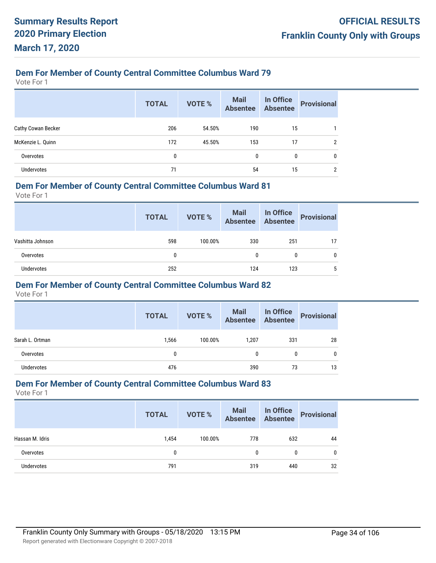Vote For 1

|                    | <b>TOTAL</b> | <b>VOTE %</b> | <b>Mail</b><br>Absentee | In Office<br>Absentee | <b>Provisional</b> |
|--------------------|--------------|---------------|-------------------------|-----------------------|--------------------|
| Cathy Cowan Becker | 206          | 54.50%        | 190                     | 15                    |                    |
| McKenzie L. Quinn  | 172          | 45.50%        | 153                     | 17                    | 2                  |
| Overvotes          | 0            |               | $\mathbf{0}$            | 0                     | 0                  |
| <b>Undervotes</b>  | 71           |               | 54                      | 15                    | 2                  |

#### **Dem For Member of County Central Committee Columbus Ward 81**

Vote For 1

|                  | <b>TOTAL</b> | VOTE %  | Mail In Office<br>Absentee Absentee |     | <b>Provisional</b> |
|------------------|--------------|---------|-------------------------------------|-----|--------------------|
| Vashitta Johnson | 598          | 100.00% | 330                                 | 251 |                    |
| Overvotes        | 0            |         | 0                                   | 0   | 0                  |
| Undervotes       | 252          |         | 124                                 | 123 | 5                  |

#### **Dem For Member of County Central Committee Columbus Ward 82**

Vote For 1

|                 | <b>TOTAL</b> | VOTE %  | Mail In Office<br>Absentee Absentee |     | <b>Provisional</b> |
|-----------------|--------------|---------|-------------------------------------|-----|--------------------|
| Sarah L. Ortman | 1,566        | 100.00% | 1.207                               | 331 | 28                 |
| Overvotes       | 0            |         | 0                                   |     | 0                  |
| Undervotes      | 476          |         | 390                                 | 73  | 13                 |

#### **Dem For Member of County Central Committee Columbus Ward 83**

|                 | <b>TOTAL</b> | VOTE %  | Mail<br>Absentee | In Office<br>Absentee | <b>Provisional</b> |
|-----------------|--------------|---------|------------------|-----------------------|--------------------|
| Hassan M. Idris | 1.454        | 100.00% | 778              | 632                   | 44                 |
| Overvotes       | 0            |         | 0                | $\mathbf{0}$          | $\mathbf{0}$       |
| Undervotes      | 791          |         | 319              | 440                   | 32                 |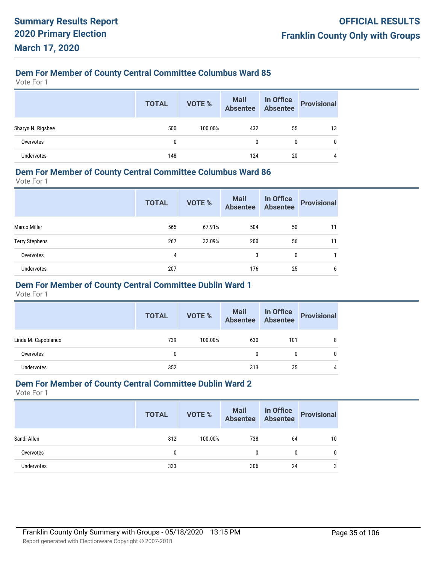Vote For 1

|                   | <b>TOTAL</b> | VOTE %  | Mail In Office<br>Absentee Absentee |    | <b>Provisional</b> |
|-------------------|--------------|---------|-------------------------------------|----|--------------------|
| Sharyn N. Rigsbee | 500          | 100.00% | 432                                 | 55 | 13                 |
| Overvotes         | 0            |         | 0                                   | 0  | 0                  |
| <b>Undervotes</b> | 148          |         | 124                                 | 20 | 4                  |

#### **Dem For Member of County Central Committee Columbus Ward 86**

Vote For 1

|                       | <b>TOTAL</b> | <b>VOTE %</b> | <b>Mail</b><br><b>Absentee</b> | <b>In Office</b><br>Absentee | <b>Provisional</b> |
|-----------------------|--------------|---------------|--------------------------------|------------------------------|--------------------|
| <b>Marco Miller</b>   | 565          | 67.91%        | 504                            | 50                           | 11                 |
| <b>Terry Stephens</b> | 267          | 32.09%        | 200                            | 56                           | 11                 |
| Overvotes             | 4            |               | 3                              | 0                            |                    |
| <b>Undervotes</b>     | 207          |               | 176                            | 25                           | 6                  |

#### **Dem For Member of County Central Committee Dublin Ward 1**

Vote For 1

|                     | <b>TOTAL</b> | VOTE %  | Mail<br>Absentee | In Office<br>Absentee | <b>Provisional</b> |
|---------------------|--------------|---------|------------------|-----------------------|--------------------|
| Linda M. Capobianco | 739          | 100.00% | 630              | 101                   |                    |
| Overvotes           | 0            |         | 0                |                       |                    |
| Undervotes          | 352          |         | 313              | 35                    | 4                  |

#### **Dem For Member of County Central Committee Dublin Ward 2**

|             | <b>TOTAL</b> | VOTE %  | <b>Mail In Office</b><br>Absentee Absentee |    | Provisional |
|-------------|--------------|---------|--------------------------------------------|----|-------------|
| Sandi Allen | 812          | 100.00% | 738                                        | 64 | 10          |
| Overvotes   | 0            |         | 0                                          | 0  | 0           |
| Undervotes  | 333          |         | 306                                        | 24 | 3           |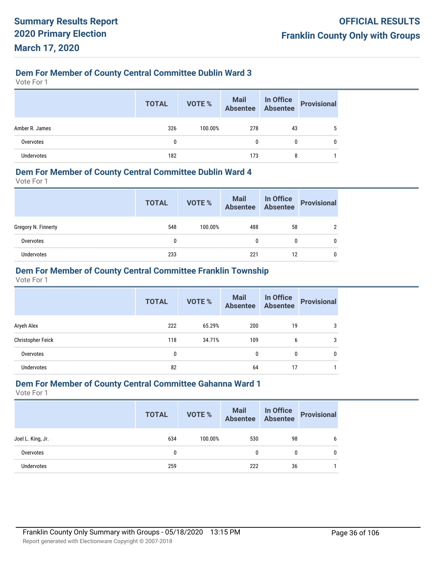Vote For 1

|                   | <b>TOTAL</b> | <b>VOTE %</b> | Mail In Office<br>Absentee Absentee |    | <b>Provisional</b> |
|-------------------|--------------|---------------|-------------------------------------|----|--------------------|
| Amber R. James    | 326          | 100.00%       | 278                                 | 43 |                    |
| Overvotes         | 0            |               | 0                                   | 0  | 0                  |
| <b>Undervotes</b> | 182          |               | 173                                 | 8  |                    |

#### **Dem For Member of County Central Committee Dublin Ward 4**

Vote For 1

|                     | <b>TOTAL</b> | VOTE %  | Mail In Office<br>Absentee Absentee |    | Provisional |
|---------------------|--------------|---------|-------------------------------------|----|-------------|
| Gregory N. Finnerty | 548          | 100.00% | 488                                 | 58 |             |
| Overvotes           | 0            |         | 0                                   | 0  |             |
| Undervotes          | 233          |         | 221                                 | 12 |             |

## **Dem For Member of County Central Committee Franklin Township**

Vote For 1

|                   | <b>TOTAL</b> | VOTE % | <b>Mail</b><br><b>Absentee</b> | In Office<br><b>Absentee</b> | <b>Provisional</b> |
|-------------------|--------------|--------|--------------------------------|------------------------------|--------------------|
| Aryeh Alex        | 222          | 65.29% | 200                            | 19                           | 3                  |
| Christopher Feick | 118          | 34.71% | 109                            | 6                            | 3                  |
| Overvotes         | 0            |        | $\mathbf{0}$                   | 0                            | 0                  |
| <b>Undervotes</b> | 82           |        | 64                             | 17                           |                    |

#### **Dem For Member of County Central Committee Gahanna Ward 1**

|                   | <b>TOTAL</b> | VOTE %  | <b>Mail In Office</b><br>Absentee Absentee |    | Provisional |
|-------------------|--------------|---------|--------------------------------------------|----|-------------|
| Joel L. King, Jr. | 634          | 100.00% | 530                                        | 98 | b           |
| Overvotes         | $\mathbf{0}$ |         | 0                                          | 0  | 0           |
| Undervotes        | 259          |         | 222                                        | 36 |             |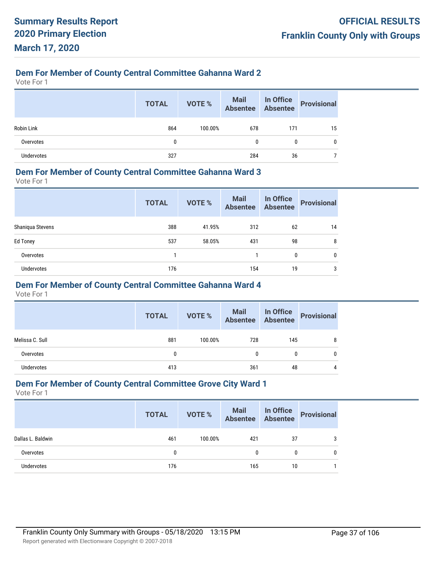## **Dem For Member of County Central Committee Gahanna Ward 2**

Vote For 1

|                   | <b>TOTAL</b> | VOTE %  | Mail<br>Absentee | In Office<br>Absentee | <b>Provisional</b> |
|-------------------|--------------|---------|------------------|-----------------------|--------------------|
| <b>Robin Link</b> | 864          | 100.00% | 678              | 171                   | 15                 |
| Overvotes         | 0            |         | $\mathbf{0}$     | 0                     | 0                  |
| Undervotes        | 327          |         | 284              | 36                    |                    |

#### **Dem For Member of County Central Committee Gahanna Ward 3**

Vote For 1

|                  | <b>TOTAL</b> | <b>VOTE %</b> | <b>Mail</b><br><b>Absentee</b> | In Office<br><b>Absentee</b> | <b>Provisional</b> |
|------------------|--------------|---------------|--------------------------------|------------------------------|--------------------|
| Shaniqua Stevens | 388          | 41.95%        | 312                            | 62                           | 14                 |
| Ed Toney         | 537          | 58.05%        | 431                            | 98                           | 8                  |
| Overvotes        |              |               |                                | 0                            | 0                  |
| Undervotes       | 176          |               | 154                            | 19                           | 3                  |

### **Dem For Member of County Central Committee Gahanna Ward 4**

Vote For 1

|                 | <b>TOTAL</b> | VOTE %  | Mail In Office<br>Absentee Absentee |     | <b>Provisional</b> |
|-----------------|--------------|---------|-------------------------------------|-----|--------------------|
| Melissa C. Sull | 881          | 100.00% | 728                                 | 145 |                    |
| Overvotes       | 0            |         | 0                                   | 0   |                    |
| Undervotes      | 413          |         | 361                                 | 48  |                    |

#### **Dem For Member of County Central Committee Grove City Ward 1**

|                   | <b>TOTAL</b> | VOTE %  | Mail In Office<br>Absentee Absentee |    | <b>Provisional</b> |
|-------------------|--------------|---------|-------------------------------------|----|--------------------|
| Dallas L. Baldwin | 461          | 100.00% | 421                                 | 37 |                    |
| Overvotes         |              |         | $\mathbf{0}$                        | 0  |                    |
| Undervotes        | 176          |         | 165                                 | 10 |                    |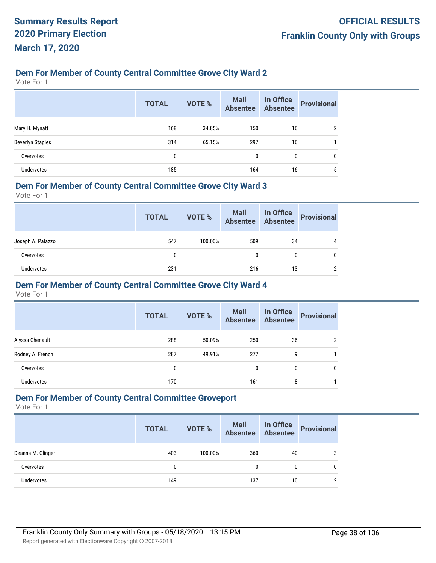## **Dem For Member of County Central Committee Grove City Ward 2**

Vote For 1

|                         | <b>TOTAL</b> | <b>VOTE %</b> | <b>Mail</b><br>Absentee | In Office<br><b>Absentee</b> | <b>Provisional</b> |
|-------------------------|--------------|---------------|-------------------------|------------------------------|--------------------|
| Mary H. Mynatt          | 168          | 34.85%        | 150                     | 16                           | າ                  |
| <b>Beverlyn Staples</b> | 314          | 65.15%        | 297                     | 16                           |                    |
| Overvotes               | 0            |               | 0                       | 0                            | 0                  |
| <b>Undervotes</b>       | 185          |               | 164                     | 16                           | 5                  |

#### **Dem For Member of County Central Committee Grove City Ward 3**

Vote For 1

|                   | <b>TOTAL</b> | VOTE %  | Mail In Office<br>Absentee Absentee |    | <b>Provisional</b> |
|-------------------|--------------|---------|-------------------------------------|----|--------------------|
| Joseph A. Palazzo | 547          | 100.00% | 509                                 | 34 | 4                  |
| Overvotes         |              |         | 0                                   |    | 0                  |
| Undervotes        | 231          |         | 216                                 | 13 | ∩                  |

#### **Dem For Member of County Central Committee Grove City Ward 4**

Vote For 1

|                  | <b>TOTAL</b> | <b>VOTE %</b> | <b>Mail</b><br><b>Absentee</b> | In Office<br><b>Absentee</b> | <b>Provisional</b> |
|------------------|--------------|---------------|--------------------------------|------------------------------|--------------------|
| Alyssa Chenault  | 288          | 50.09%        | 250                            | 36                           | ≘                  |
| Rodney A. French | 287          | 49.91%        | 277                            | 9                            |                    |
| Overvotes        | 0            |               | 0                              | 0                            | 0                  |
| Undervotes       | 170          |               | 161                            | 8                            |                    |

## **Dem For Member of County Central Committee Groveport**

|                   | <b>TOTAL</b> | VOTE %  | Mail In Office<br>Absentee Absentee |    | <b>Provisional</b> |
|-------------------|--------------|---------|-------------------------------------|----|--------------------|
| Deanna M. Clinger | 403          | 100.00% | 360                                 | 40 | 3                  |
| Overvotes         | 0            |         | 0                                   |    | 0                  |
| <b>Undervotes</b> | 149          |         | 137                                 | 10 | $\mathcal{P}$      |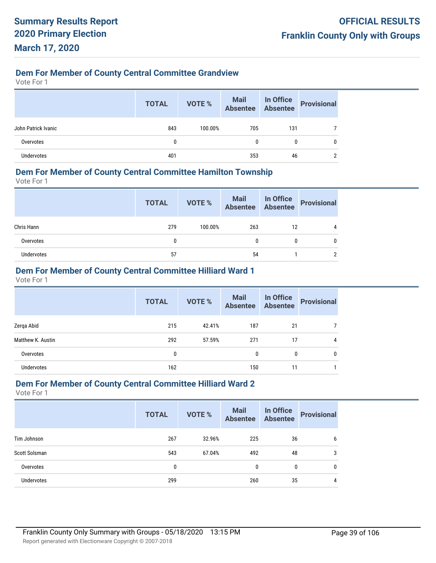## **Dem For Member of County Central Committee Grandview**

Vote For 1

|                     | <b>TOTAL</b> | VOTE %  | Mail In Office<br>Absentee Absentee |     | Provisional |
|---------------------|--------------|---------|-------------------------------------|-----|-------------|
| John Patrick Ivanic | 843          | 100.00% | 705                                 | 131 |             |
| Overvotes           |              |         | $\mathbf{0}$                        | 0   |             |
| Undervotes          | 401          |         | 353                                 | 46  |             |

#### **Dem For Member of County Central Committee Hamilton Township**

Vote For 1

|            | <b>TOTAL</b> | VOTE %  |     |    | Mail In Office<br>Absentee Absentee Provisional |
|------------|--------------|---------|-----|----|-------------------------------------------------|
| Chris Hann | 279          | 100.00% | 263 | 12 |                                                 |
| Overvotes  | 0            |         |     | 0  |                                                 |
| Undervotes | 57           |         | 54  |    |                                                 |

## **Dem For Member of County Central Committee Hilliard Ward 1**

Vote For 1

|                   | <b>TOTAL</b> | <b>VOTE %</b> | <b>Mail</b><br><b>Absentee</b> | In Office<br>Absentee | <b>Provisional</b> |
|-------------------|--------------|---------------|--------------------------------|-----------------------|--------------------|
| Zerga Abid        | 215          | 42.41%        | 187                            | 21                    |                    |
| Matthew K. Austin | 292          | 57.59%        | 271                            | 17                    | 4                  |
| Overvotes         | 0            |               | 0                              | 0                     | 0                  |
| <b>Undervotes</b> | 162          |               | 150                            | 11                    |                    |

#### **Dem For Member of County Central Committee Hilliard Ward 2**

|                   | <b>TOTAL</b> | <b>VOTE %</b> | Mail<br>Absentee | In Office<br><b>Absentee</b> | <b>Provisional</b> |
|-------------------|--------------|---------------|------------------|------------------------------|--------------------|
| Tim Johnson       | 267          | 32.96%        | 225              | 36                           | 6                  |
| Scott Solsman     | 543          | 67.04%        | 492              | 48                           | 3                  |
| Overvotes         | 0            |               | $\mathbf{0}$     | 0                            | 0                  |
| <b>Undervotes</b> | 299          |               | 260              | 35                           | 4                  |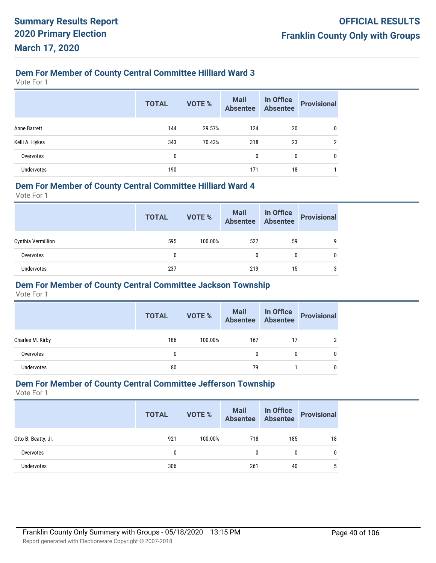## **Dem For Member of County Central Committee Hilliard Ward 3**

Vote For 1

|                     | <b>TOTAL</b> | <b>VOTE %</b> | Mail<br>Absentee | In Office<br>Absentee | <b>Provisional</b> |
|---------------------|--------------|---------------|------------------|-----------------------|--------------------|
| <b>Anne Barrett</b> | 144          | 29.57%        | 124              | 20                    | 0                  |
| Kelli A. Hykes      | 343          | 70.43%        | 318              | 23                    | ŋ                  |
| Overvotes           | 0            |               | $\mathbf{0}$     | 0                     | 0                  |
| <b>Undervotes</b>   | 190          |               | 171              | 18                    |                    |

#### **Dem For Member of County Central Committee Hilliard Ward 4**

Vote For 1

|                    | <b>TOTAL</b> | <b>VOTE %</b> | Mail In Office<br>Absentee Absentee |    | <b>Provisional</b> |
|--------------------|--------------|---------------|-------------------------------------|----|--------------------|
| Cynthia Vermillion | 595          | 100.00%       | 527                                 | 59 | q                  |
| Overvotes          | 0            |               |                                     | 0  | 0                  |
| Undervotes         | 237          |               | 219                                 | 15 | 3                  |

#### **Dem For Member of County Central Committee Jackson Township**

Vote For 1

|                  | <b>TOTAL</b> | VOTE %  | Mail In Office<br>Absentee Absentee |    | Provisional |
|------------------|--------------|---------|-------------------------------------|----|-------------|
| Charles M. Kirby | 186          | 100.00% | 167                                 | 17 |             |
| Overvotes        |              |         | 0                                   | 0  |             |
| Undervotes       | 80           |         | 79                                  |    |             |

#### **Dem For Member of County Central Committee Jefferson Township**

|                     | <b>TOTAL</b> | VOTE %  | <b>Mail In Office</b><br>Absentee Absentee |     | <b>Provisional</b> |
|---------------------|--------------|---------|--------------------------------------------|-----|--------------------|
| Otto B. Beatty, Jr. | 921          | 100.00% | 718                                        | 185 | 18                 |
| Overvotes           | 0            |         | 0                                          | 0   | 0                  |
| Undervotes          | 306          |         | 261                                        | 40  | 5                  |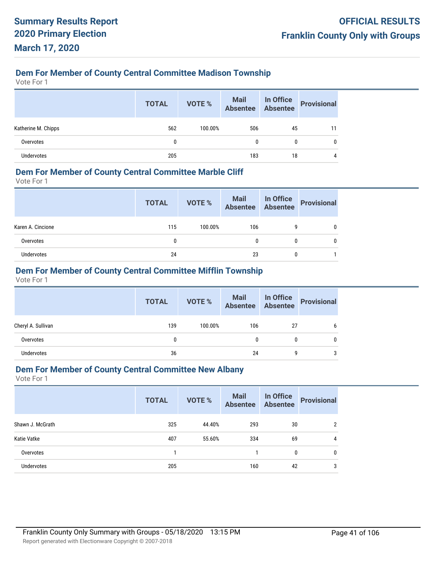## **Dem For Member of County Central Committee Madison Township**

Vote For 1

|                     | <b>TOTAL</b> | <b>VOTE %</b> | Mail In Office<br>Absentee Absentee |    | <b>Provisional</b> |
|---------------------|--------------|---------------|-------------------------------------|----|--------------------|
| Katherine M. Chipps | 562          | 100.00%       | 506                                 | 45 |                    |
| Overvotes           | 0            |               | 0                                   | 0  |                    |
| <b>Undervotes</b>   | 205          |               | 183                                 | 18 |                    |

#### **Dem For Member of County Central Committee Marble Cliff**

Vote For 1

|                   | <b>TOTAL</b> | VOTE %  | Mail In Office<br>Absentee Absentee |   | Provisional |
|-------------------|--------------|---------|-------------------------------------|---|-------------|
| Karen A. Cincione | 115          | 100.00% | 106                                 | 9 |             |
| Overvotes         | 0            |         |                                     | 0 |             |
| <b>Undervotes</b> | 24           |         | 23                                  | 0 |             |

## **Dem For Member of County Central Committee Mifflin Township**

Vote For 1

|                    | <b>TOTAL</b> | VOTE %  | Mail In Office<br>Absentee Absentee |    | Provisional |
|--------------------|--------------|---------|-------------------------------------|----|-------------|
| Cheryl A. Sullivan | 139          | 100.00% | 106                                 | 27 | 6           |
| Overvotes          | 0            |         | 0                                   | 0  |             |
| Undervotes         | 36           |         | 24                                  | g  | 3           |

## **Dem For Member of County Central Committee New Albany**

|                  | <b>TOTAL</b> | VOTE % | <b>Mail</b><br><b>Absentee</b> | In Office<br><b>Absentee</b> | <b>Provisional</b> |
|------------------|--------------|--------|--------------------------------|------------------------------|--------------------|
| Shawn J. McGrath | 325          | 44.40% | 293                            | 30                           | 2                  |
| Katie Vatke      | 407          | 55.60% | 334                            | 69                           | 4                  |
| Overvotes        |              |        |                                | $\mathbf{0}$                 | 0                  |
| Undervotes       | 205          |        | 160                            | 42                           | 3                  |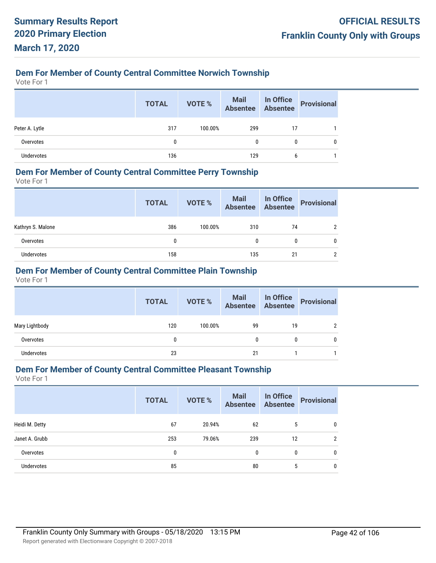## **Dem For Member of County Central Committee Norwich Township**

Vote For 1

|                   | <b>TOTAL</b> | VOTE %  | Mail In Office<br>Absentee Absentee |    | Provisional |
|-------------------|--------------|---------|-------------------------------------|----|-------------|
| Peter A. Lytle    | 317          | 100.00% | 299                                 | 17 |             |
| Overvotes         | $\mathbf{0}$ |         | 0                                   | 0  |             |
| <b>Undervotes</b> | 136          |         | 129                                 |    |             |

#### **Dem For Member of County Central Committee Perry Township**

Vote For 1

|                   | <b>TOTAL</b> | VOTE %  | Mail In Office<br>Absentee Absentee |    | Provisional |
|-------------------|--------------|---------|-------------------------------------|----|-------------|
| Kathryn S. Malone | 386          | 100.00% | 310                                 | 74 |             |
| Overvotes         | 0            |         | 0                                   |    |             |
| Undervotes        | 158          |         | 135                                 | 21 |             |

## **Dem For Member of County Central Committee Plain Township**

Vote For 1

|                   | <b>TOTAL</b> | VOTE %  | Mail In Office<br>Absentee Absentee |    | <b>Provisional</b> |
|-------------------|--------------|---------|-------------------------------------|----|--------------------|
| Mary Lightbody    | 120          | 100.00% | 99                                  | 19 |                    |
| Overvotes         | 0            |         | 0                                   | 0  | 0                  |
| <b>Undervotes</b> | 23           |         | 21                                  |    |                    |

## **Dem For Member of County Central Committee Pleasant Township**

|                   | <b>TOTAL</b> | <b>VOTE %</b> | Mail In Office<br>Absentee Absentee |    | <b>Provisional</b> |
|-------------------|--------------|---------------|-------------------------------------|----|--------------------|
| Heidi M. Detty    | 67           | 20.94%        | 62                                  | 5  | 0                  |
| Janet A. Grubb    | 253          | 79.06%        | 239                                 | 12 | $\overline{2}$     |
| Overvotes         | 0            |               | 0                                   | 0  | 0                  |
| <b>Undervotes</b> | 85           |               | 80                                  | 5  | 0                  |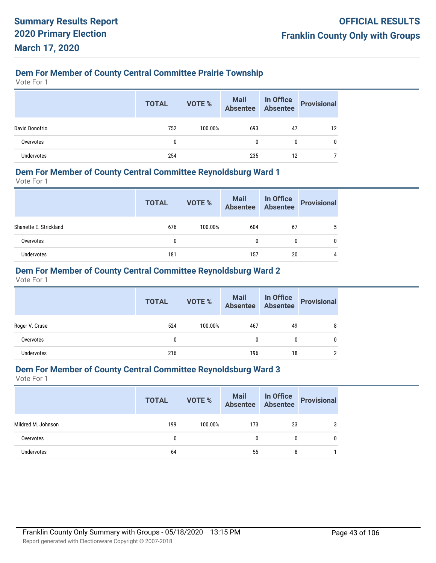## **Dem For Member of County Central Committee Prairie Township**

Vote For 1

|                | <b>TOTAL</b> | VOTE %  | Mail In Office<br>Absentee Absentee |    | Provisional |
|----------------|--------------|---------|-------------------------------------|----|-------------|
| David Donofrio | 752          | 100.00% | 693                                 | 47 | 12          |
| Overvotes      | $\mathbf{0}$ |         | 0                                   | 0  |             |
| Undervotes     | 254          |         | 235                                 | 12 |             |

#### **Dem For Member of County Central Committee Reynoldsburg Ward 1**

Vote For 1

|                        | <b>TOTAL</b> | VOTE %  | Mail In Office<br>Absentee Absentee |    | Provisional |
|------------------------|--------------|---------|-------------------------------------|----|-------------|
| Shanette E. Strickland | 676          | 100.00% | 604                                 | 67 |             |
| Overvotes              | 0            |         | 0                                   | 0  |             |
| Undervotes             | 181          |         | 157                                 | 20 | 4           |

## **Dem For Member of County Central Committee Reynoldsburg Ward 2**

Vote For 1

|                | <b>TOTAL</b> | VOTE %  | Mail In Office<br>Absentee Absentee |    | Provisional |
|----------------|--------------|---------|-------------------------------------|----|-------------|
| Roger V. Cruse | 524          | 100.00% | 467                                 | 49 | 8           |
| Overvotes      | 0            |         | 0                                   | 0  | 0           |
| Undervotes     | 216          |         | 196                                 | 18 | າ           |

## **Dem For Member of County Central Committee Reynoldsburg Ward 3**

|                    | <b>TOTAL</b> | VOTE %  | Mail In Office<br>Absentee Absentee |              | Provisional |
|--------------------|--------------|---------|-------------------------------------|--------------|-------------|
| Mildred M. Johnson | 199          | 100.00% | 173                                 | 23           | 3           |
| Overvotes          | 0            |         | $\mathbf{0}$                        | $\mathbf{0}$ | 0           |
| <b>Undervotes</b>  | 64           |         | 55                                  | 8            |             |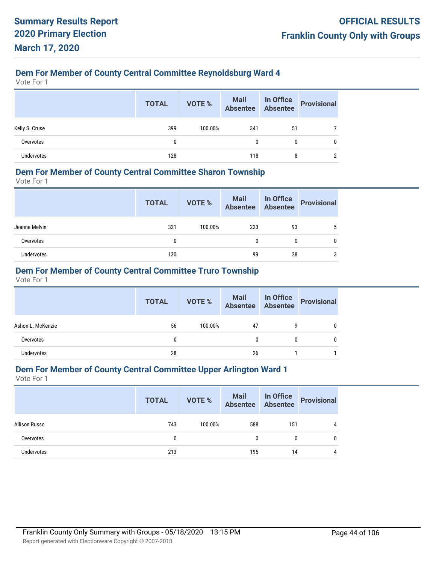## **Dem For Member of County Central Committee Reynoldsburg Ward 4**

Vote For 1

|                   | <b>TOTAL</b> | VOTE %  | Mail In Office<br>Absentee Absentee |    | Provisional |
|-------------------|--------------|---------|-------------------------------------|----|-------------|
| Kelly S. Cruse    | 399          | 100.00% | 341                                 | 51 |             |
| Overvotes         | 0            |         | 0                                   | 0  |             |
| <b>Undervotes</b> | 128          |         | 118                                 | 8  |             |

#### **Dem For Member of County Central Committee Sharon Township**

Vote For 1

|               | <b>TOTAL</b> | VOTE %  | Mail In Office<br>Absentee Absentee |    | Provisional |
|---------------|--------------|---------|-------------------------------------|----|-------------|
| Jeanne Melvin | 321          | 100.00% | 223                                 | 93 |             |
| Overvotes     | 0            |         |                                     | 0  |             |
| Undervotes    | 130          |         | 99                                  | 28 | 3           |

## **Dem For Member of County Central Committee Truro Township**

Vote For 1

|                   | <b>TOTAL</b> | <b>VOTE %</b> | <b>Mail In Office</b><br>Absentee Absentee |   | Provisional |
|-------------------|--------------|---------------|--------------------------------------------|---|-------------|
| Ashon L. McKenzie | 56           | 100.00%       | 47                                         | 9 |             |
| Overvotes         |              |               |                                            |   |             |
| <b>Undervotes</b> | 28           |               | 26                                         |   |             |

#### **Dem For Member of County Central Committee Upper Arlington Ward 1**

| Allison Russo<br>743<br>100.00%<br>588<br>151<br>4 |
|----------------------------------------------------|
| 0<br>Overvotes<br>0<br>$\mathbf{0}$                |
| <b>Undervotes</b><br>213<br>195<br>14<br>4         |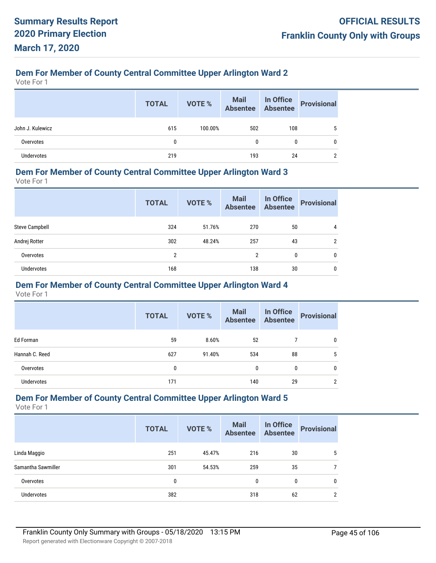## **Dem For Member of County Central Committee Upper Arlington Ward 2**

Vote For 1

|                   | <b>TOTAL</b> | VOTE %  | Mail In Office<br>Absentee Absentee |     | Provisional |
|-------------------|--------------|---------|-------------------------------------|-----|-------------|
| John J. Kulewicz  | 615          | 100.00% | 502                                 | 108 |             |
| Overvotes         | $\mathbf{0}$ |         | $\mathbf{0}$                        | 0   |             |
| <b>Undervotes</b> | 219          |         | 193                                 | 24  |             |

#### **Dem For Member of County Central Committee Upper Arlington Ward 3**

Vote For 1

|                       | <b>TOTAL</b>   | <b>VOTE %</b> | <b>Mail</b><br><b>Absentee</b> | In Office<br><b>Absentee</b> | <b>Provisional</b> |
|-----------------------|----------------|---------------|--------------------------------|------------------------------|--------------------|
| <b>Steve Campbell</b> | 324            | 51.76%        | 270                            | 50                           | 4                  |
| Andrej Rotter         | 302            | 48.24%        | 257                            | 43                           | $\overline{2}$     |
| Overvotes             | $\overline{2}$ |               | $\overline{2}$                 | 0                            | 0                  |
| <b>Undervotes</b>     | 168            |               | 138                            | 30                           | 0                  |

#### **Dem For Member of County Central Committee Upper Arlington Ward 4**

Vote For 1

|                   | <b>TOTAL</b> | VOTE % | <b>Mail</b><br><b>Absentee</b> | In Office<br><b>Absentee</b> | <b>Provisional</b> |
|-------------------|--------------|--------|--------------------------------|------------------------------|--------------------|
| Ed Forman         | 59           | 8.60%  | 52                             |                              | 0                  |
| Hannah C. Reed    | 627          | 91.40% | 534                            | 88                           | 5                  |
| Overvotes         | 0            |        | $\mathbf{0}$                   | 0                            | 0                  |
| <b>Undervotes</b> | 171          |        | 140                            | 29                           | 2                  |

## **Dem For Member of County Central Committee Upper Arlington Ward 5**

|                    | <b>TOTAL</b> | VOTE % | <b>Mail</b><br><b>Absentee</b> | In Office<br><b>Absentee</b> | <b>Provisional</b> |
|--------------------|--------------|--------|--------------------------------|------------------------------|--------------------|
| Linda Maggio       | 251          | 45.47% | 216                            | 30                           | 5                  |
| Samantha Sawmiller | 301          | 54.53% | 259                            | 35                           |                    |
| Overvotes          | 0            |        | 0                              | $\mathbf{0}$                 | $\mathbf{0}$       |
| Undervotes         | 382          |        | 318                            | 62                           | 2                  |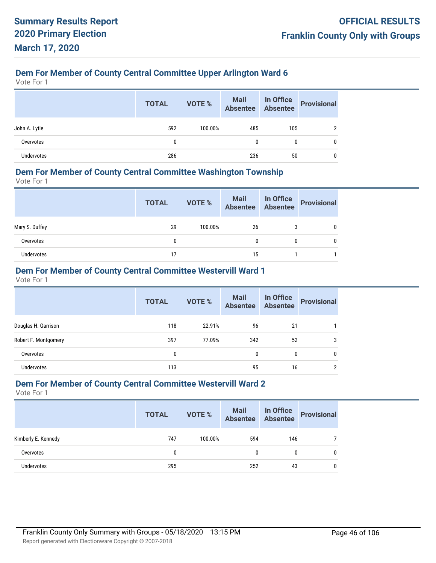## **Dem For Member of County Central Committee Upper Arlington Ward 6**

Vote For 1

|               | <b>TOTAL</b> | VOTE %  | Mail In Office<br>Absentee Absentee |     | Provisional |
|---------------|--------------|---------|-------------------------------------|-----|-------------|
| John A. Lytle | 592          | 100.00% | 485                                 | 105 |             |
| Overvotes     | $\mathbf{0}$ |         | $\mathbf{0}$                        | 0   |             |
| Undervotes    | 286          |         | 236                                 | 50  |             |

#### **Dem For Member of County Central Committee Washington Township**

Vote For 1

|                | <b>TOTAL</b> | VOTE %  | Mail In Office<br>Absentee Absentee |   | Provisional |
|----------------|--------------|---------|-------------------------------------|---|-------------|
| Mary S. Duffey | 29           | 100.00% | 26                                  | 3 |             |
| Overvotes      |              |         | 0                                   | 0 |             |
| Undervotes     | 17           |         | 15                                  |   |             |

## **Dem For Member of County Central Committee Westervill Ward 1**

Vote For 1

|                      | <b>TOTAL</b> | <b>VOTE %</b> | <b>Mail</b><br><b>Absentee</b> | In Office<br><b>Absentee</b> | <b>Provisional</b> |
|----------------------|--------------|---------------|--------------------------------|------------------------------|--------------------|
| Douglas H. Garrison  | 118          | 22.91%        | 96                             | 21                           |                    |
| Robert F. Montgomery | 397          | 77.09%        | 342                            | 52                           | 3                  |
| Overvotes            | 0            |               | $\mathbf{0}$                   | 0                            | 0                  |
| <b>Undervotes</b>    | 113          |               | 95                             | 16                           | $\overline{2}$     |

#### **Dem For Member of County Central Committee Westervill Ward 2**

|                     | <b>TOTAL</b> | VOTE %  | Mail In Office<br>Absentee Absentee |              | <b>Provisional</b> |
|---------------------|--------------|---------|-------------------------------------|--------------|--------------------|
| Kimberly E. Kennedy | 747          | 100.00% | 594                                 | 146          |                    |
| Overvotes           | 0            |         |                                     | $\mathbf{0}$ | $\mathbf{0}$       |
| Undervotes          | 295          |         | 252                                 | 43           | $\mathbf{0}$       |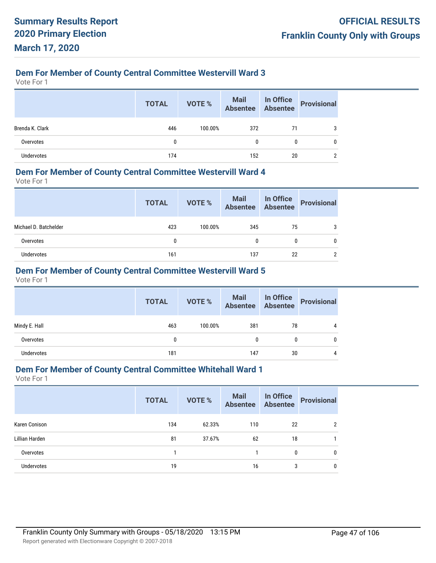## **Dem For Member of County Central Committee Westervill Ward 3**

Vote For 1

|                 | <b>TOTAL</b> | VOTE %  | Mail In Office<br>Absentee Absentee |    | Provisional |
|-----------------|--------------|---------|-------------------------------------|----|-------------|
| Brenda K. Clark | 446          | 100.00% | 372                                 | 71 |             |
| Overvotes       | $\mathbf{0}$ |         | 0                                   | 0  |             |
| Undervotes      | 174          |         | 152                                 | 20 |             |

#### **Dem For Member of County Central Committee Westervill Ward 4**

Vote For 1

|                       | <b>TOTAL</b> | VOTE %  | Mail In Office<br>Absentee Absentee |    | Provisional |
|-----------------------|--------------|---------|-------------------------------------|----|-------------|
| Michael D. Batchelder | 423          | 100.00% | 345                                 | 75 | 3           |
| Overvotes             | 0            |         | 0                                   | 0  |             |
| Undervotes            | 161          |         | 137                                 | 22 | ∩           |

## **Dem For Member of County Central Committee Westervill Ward 5**

Vote For 1

|                   | <b>TOTAL</b> | VOTE %  | Mail In Office<br>Absentee Absentee |    | <b>Provisional</b> |
|-------------------|--------------|---------|-------------------------------------|----|--------------------|
| Mindy E. Hall     | 463          | 100.00% | 381                                 | 78 | 4                  |
| Overvotes         | 0            |         | 0                                   | 0  | 0                  |
| <b>Undervotes</b> | 181          |         | 147                                 | 30 | 4                  |

## **Dem For Member of County Central Committee Whitehall Ward 1**

|                   | <b>TOTAL</b> | VOTE % | <b>Mail</b><br><b>Absentee</b> | In Office<br>Absentee | <b>Provisional</b> |
|-------------------|--------------|--------|--------------------------------|-----------------------|--------------------|
| Karen Conison     | 134          | 62.33% | 110                            | 22                    | 2                  |
| Lillian Harden    | 81           | 37.67% | 62                             | 18                    |                    |
| Overvotes         |              |        |                                | $\mathbf{0}$          | 0                  |
| <b>Undervotes</b> | 19           |        | 16                             | 3                     | 0                  |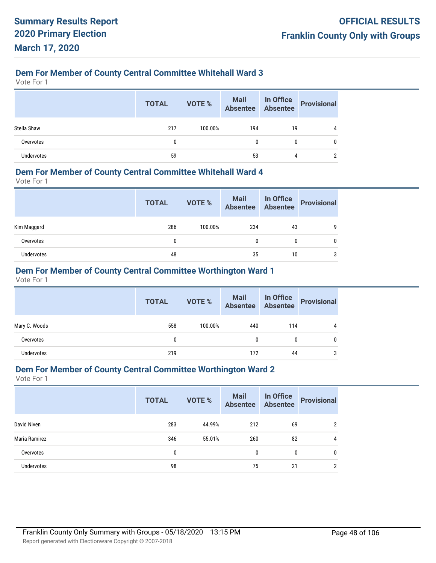## **Dem For Member of County Central Committee Whitehall Ward 3**

Vote For 1

|                   | <b>TOTAL</b> | VOTE %  | Mail In Office<br>Absentee Absentee |    | Provisional |
|-------------------|--------------|---------|-------------------------------------|----|-------------|
| Stella Shaw       | 217          | 100.00% | 194                                 | 19 |             |
| Overvotes         | $\mathbf{0}$ |         | 0                                   | 0  |             |
| <b>Undervotes</b> | 59           |         | 53                                  | 4  |             |

#### **Dem For Member of County Central Committee Whitehall Ward 4**

Vote For 1

|             | <b>TOTAL</b> | VOTE %  | Mail In Office<br>Absentee Absentee |    | Provisional |
|-------------|--------------|---------|-------------------------------------|----|-------------|
| Kim Maggard | 286          | 100.00% | 234                                 | 43 | q           |
| Overvotes   | 0            |         | 0                                   | 0  |             |
| Undervotes  | 48           |         | 35                                  | 10 | 3           |

## **Dem For Member of County Central Committee Worthington Ward 1**

Vote For 1

|                   | <b>TOTAL</b> | <b>VOTE %</b> | Mail In Office<br>Absentee Absentee |     | <b>Provisional</b> |
|-------------------|--------------|---------------|-------------------------------------|-----|--------------------|
| Mary C. Woods     | 558          | 100.00%       | 440                                 | 114 | 4                  |
| Overvotes         | 0            |               | 0                                   | 0   | 0                  |
| <b>Undervotes</b> | 219          |               | 172                                 | 44  | 3                  |

### **Dem For Member of County Central Committee Worthington Ward 2**

|                   | <b>TOTAL</b> | <b>VOTE %</b> | <b>Mail</b><br><b>Absentee</b> | In Office<br><b>Absentee</b> | <b>Provisional</b> |
|-------------------|--------------|---------------|--------------------------------|------------------------------|--------------------|
| David Niven       | 283          | 44.99%        | 212                            | 69                           | າ                  |
| Maria Ramirez     | 346          | 55.01%        | 260                            | 82                           | 4                  |
| Overvotes         | $\mathbf 0$  |               | $\mathbf{0}$                   | 0                            | 0                  |
| <b>Undervotes</b> | 98           |               | 75                             | 21                           | ∩                  |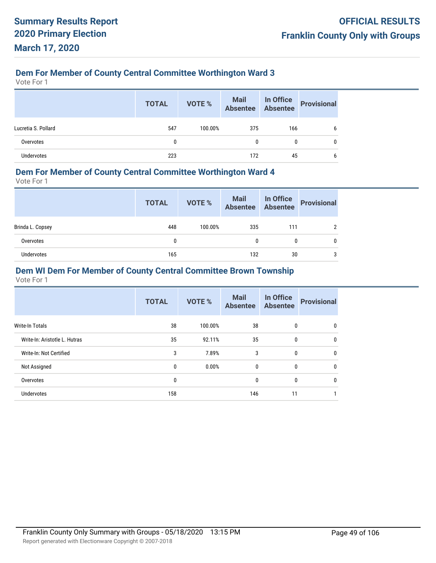## **Dem For Member of County Central Committee Worthington Ward 3**

Vote For 1

|                     | <b>TOTAL</b> | VOTE %  | Mail In Office<br>Absentee Absentee |              | <b>Provisional</b> |
|---------------------|--------------|---------|-------------------------------------|--------------|--------------------|
| Lucretia S. Pollard | 547          | 100.00% | 375                                 | 166          | 6                  |
| Overvotes           | 0            |         |                                     | $\mathbf{0}$ | 0                  |
| Undervotes          | 223          |         | 172                                 | 45           | b                  |

#### **Dem For Member of County Central Committee Worthington Ward 4**

Vote For 1

|                  | <b>TOTAL</b> | VOTE %  | Mail In Office<br>Absentee Absentee |     | <b>Provisional</b> |
|------------------|--------------|---------|-------------------------------------|-----|--------------------|
| Brinda L. Copsey | 448          | 100.00% | 335                                 | 111 | 2                  |
| Overvotes        | $\mathbf{0}$ |         | 0                                   | 0   | 0                  |
| Undervotes       | 165          |         | 132                                 | 30  | 3                  |

## **Dem WI Dem For Member of County Central Committee Brown Township**

|                               | <b>TOTAL</b> | <b>VOTE %</b> | <b>Mail</b><br><b>Absentee</b> | In Office<br><b>Absentee</b> | <b>Provisional</b> |
|-------------------------------|--------------|---------------|--------------------------------|------------------------------|--------------------|
| Write-In Totals               | 38           | 100.00%       | 38                             | $\mathbf{0}$                 | 0                  |
| Write-In: Aristotle L. Hutras | 35           | 92.11%        | 35                             | 0                            | 0                  |
| Write-In: Not Certified       | 3            | 7.89%         | 3                              | $\mathbf{0}$                 | $\mathbf{0}$       |
| Not Assigned                  | 0            | 0.00%         | 0                              | 0                            | 0                  |
| Overvotes                     | 0            |               | 0                              | $\mathbf{0}$                 | $\mathbf{0}$       |
| Undervotes                    | 158          |               | 146                            | 11                           |                    |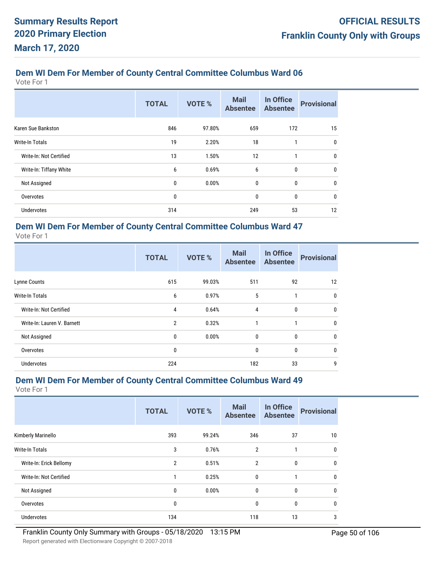Vote For 1

|                         | <b>TOTAL</b> | <b>VOTE %</b> | <b>Mail</b><br><b>Absentee</b> | In Office<br><b>Absentee</b> | <b>Provisional</b> |
|-------------------------|--------------|---------------|--------------------------------|------------------------------|--------------------|
| Karen Sue Bankston      | 846          | 97.80%        | 659                            | 172                          | 15                 |
| <b>Write-In Totals</b>  | 19           | 2.20%         | 18                             | 1                            | 0                  |
| Write-In: Not Certified | 13           | 1.50%         | 12                             | 1                            | 0                  |
| Write-In: Tiffany White | 6            | 0.69%         | 6                              | 0                            | 0                  |
| Not Assigned            | 0            | 0.00%         | 0                              | 0                            | 0                  |
| Overvotes               | 0            |               | 0                              | 0                            | 0                  |
| Undervotes              | 314          |               | 249                            | 53                           | 12                 |

#### **Dem WI Dem For Member of County Central Committee Columbus Ward 47** Vote For 1

|                             | <b>TOTAL</b>   | <b>VOTE %</b> | <b>Mail</b><br><b>Absentee</b> | In Office<br><b>Absentee</b> | <b>Provisional</b> |
|-----------------------------|----------------|---------------|--------------------------------|------------------------------|--------------------|
| Lynne Counts                | 615            | 99.03%        | 511                            | 92                           | 12                 |
| <b>Write-In Totals</b>      | 6              | 0.97%         | 5                              |                              | $\mathbf{0}$       |
| Write-In: Not Certified     | 4              | 0.64%         | 4                              | $\mathbf{0}$                 | 0                  |
| Write-In: Lauren V. Barnett | $\overline{2}$ | 0.32%         | 1                              | 1                            | 0                  |
| Not Assigned                | 0              | 0.00%         | $\mathbf{0}$                   | $\mathbf{0}$                 | 0                  |
| Overvotes                   | 0              |               | 0                              | $\mathbf{0}$                 | $\mathbf{0}$       |
| Undervotes                  | 224            |               | 182                            | 33                           | 9                  |

## **Dem WI Dem For Member of County Central Committee Columbus Ward 49**

|                         | <b>TOTAL</b>   | VOTE % | <b>Mail</b><br><b>Absentee</b> | In Office<br><b>Absentee</b> | <b>Provisional</b> |
|-------------------------|----------------|--------|--------------------------------|------------------------------|--------------------|
| Kimberly Marinello      | 393            | 99.24% | 346                            | 37                           | 10                 |
| <b>Write-In Totals</b>  | 3              | 0.76%  | $\overline{2}$                 | 1                            | 0                  |
| Write-In: Erick Bellomy | $\overline{2}$ | 0.51%  | 2                              | 0                            | 0                  |
| Write-In: Not Certified | 1              | 0.25%  | $\mathbf{0}$                   | 1                            | 0                  |
| Not Assigned            | 0              | 0.00%  | $\mathbf{0}$                   | 0                            | 0                  |
| Overvotes               | 0              |        | $\mathbf{0}$                   | 0                            | 0                  |
| Undervotes              | 134            |        | 118                            | 13                           | 3                  |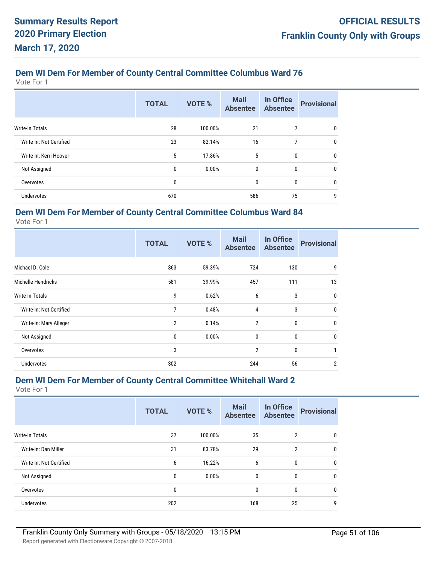Vote For 1

|                         | <b>TOTAL</b> | VOTE %  | <b>Mail</b><br><b>Absentee</b> | In Office<br><b>Absentee</b> | <b>Provisional</b> |
|-------------------------|--------------|---------|--------------------------------|------------------------------|--------------------|
| <b>Write-In Totals</b>  | 28           | 100.00% | 21                             | 7                            | $\mathbf 0$        |
| Write-In: Not Certified | 23           | 82.14%  | 16                             | 7                            | $\mathbf 0$        |
| Write-In: Kerri Hoover  | 5            | 17.86%  | 5                              | 0                            | $\mathbf 0$        |
| Not Assigned            | 0            | 0.00%   | $\mathbf{0}$                   | 0                            | $\mathbf{0}$       |
| Overvotes               | 0            |         | 0                              | 0                            | $\mathbf 0$        |
| <b>Undervotes</b>       | 670          |         | 586                            | 75                           | 9                  |

## **Dem WI Dem For Member of County Central Committee Columbus Ward 84**

Vote For 1

|                         | <b>TOTAL</b>   | <b>VOTE %</b> | <b>Mail</b><br><b>Absentee</b> | In Office<br><b>Absentee</b> | <b>Provisional</b> |
|-------------------------|----------------|---------------|--------------------------------|------------------------------|--------------------|
| Michael D. Cole         | 863            | 59.39%        | 724                            | 130                          | 9                  |
| Michelle Hendricks      | 581            | 39.99%        | 457                            | 111                          | 13                 |
| Write-In Totals         | 9              | 0.62%         | 6                              | 3                            | $\mathbf 0$        |
| Write-In: Not Certified | 7              | 0.48%         | 4                              | 3                            | $\mathbf{0}$       |
| Write-In: Mary Alleger  | $\overline{2}$ | 0.14%         | $\overline{2}$                 | $\mathbf{0}$                 | $\mathbf 0$        |
| Not Assigned            | 0              | 0.00%         | 0                              | 0                            | $\mathbf 0$        |
| Overvotes               | 3              |               | $\overline{2}$                 | $\mathbf{0}$                 |                    |
| <b>Undervotes</b>       | 302            |               | 244                            | 56                           | 2                  |

## **Dem WI Dem For Member of County Central Committee Whitehall Ward 2**

|                         | <b>TOTAL</b> | VOTE %  | <b>Mail</b><br><b>Absentee</b> | In Office<br><b>Absentee</b> | <b>Provisional</b> |
|-------------------------|--------------|---------|--------------------------------|------------------------------|--------------------|
| <b>Write-In Totals</b>  | 37           | 100.00% | 35                             | $\overline{2}$               | 0                  |
| Write-In: Dan Miller    | 31           | 83.78%  | 29                             | $\overline{2}$               | $\mathbf 0$        |
| Write-In: Not Certified | 6            | 16.22%  | 6                              | 0                            | $\mathbf 0$        |
| Not Assigned            | 0            | 0.00%   | $\mathbf{0}$                   | $\mathbf{0}$                 | $\mathbf{0}$       |
| Overvotes               | 0            |         | 0                              | 0                            | $\mathbf 0$        |
| Undervotes              | 202          |         | 168                            | 25                           | 9                  |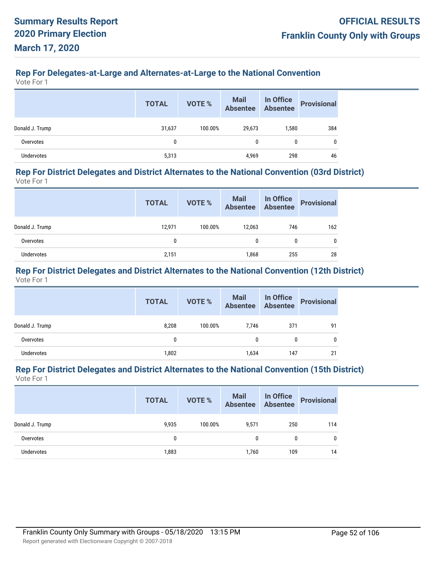# **Rep For Delegates-at-Large and Alternates-at-Large to the National Convention**

Vote For 1

|                 | <b>TOTAL</b> | VOTE %  | Mail<br>Absentee | In Office<br>Absentee | <b>Provisional</b> |
|-----------------|--------------|---------|------------------|-----------------------|--------------------|
| Donald J. Trump | 31,637       | 100.00% | 29,673           | 1,580                 | 384                |
| Overvotes       | $\mathbf{0}$ |         | 0                | 0                     | 0                  |
| Undervotes      | 5,313        |         | 4,969            | 298                   | 46                 |

#### **Rep For District Delegates and District Alternates to the National Convention (03rd District)** Vote For 1

|                 | <b>TOTAL</b> | <b>VOTE %</b> | Mail<br>Absentee | In Office<br>Absentee | <b>Provisional</b> |
|-----------------|--------------|---------------|------------------|-----------------------|--------------------|
| Donald J. Trump | 12,971       | 100.00%       | 12.063           | 746                   | 162                |
| Overvotes       | 0            |               | 0                |                       |                    |
| Undervotes      | 2,151        |               | 1,868            | 255                   | 28                 |

#### **Rep For District Delegates and District Alternates to the National Convention (12th District)** Vote For 1

|                   | <b>TOTAL</b> | <b>VOTE %</b> | <b>Mail</b><br>Absentee | In Office<br>Absentee | <b>Provisional</b> |
|-------------------|--------------|---------------|-------------------------|-----------------------|--------------------|
| Donald J. Trump   | 8,208        | 100.00%       | 7.746                   | 371                   | 91                 |
| Overvotes         | 0            |               | 0                       | 0                     |                    |
| <b>Undervotes</b> | 1,802        |               | 1,634                   | 147                   | 21                 |

#### **Rep For District Delegates and District Alternates to the National Convention (15th District)** Vote For 1

|                 | <b>TOTAL</b> | VOTE %  | Mail In Office<br>Absentee Absentee |     | Provisional |
|-----------------|--------------|---------|-------------------------------------|-----|-------------|
| Donald J. Trump | 9,935        | 100.00% | 9,571                               | 250 | 114         |
| Overvotes       | 0            |         | <sup>0</sup>                        | 0   | 0           |
| Undervotes      | 1,883        |         | 1,760                               | 109 | 14          |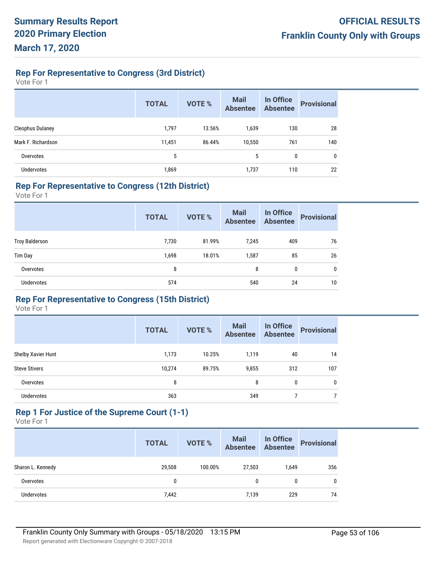## **Rep For Representative to Congress (3rd District)**

Vote For 1

|                         | <b>TOTAL</b> | <b>VOTE %</b> | <b>Mail</b><br><b>Absentee</b> | In Office<br><b>Absentee</b> | <b>Provisional</b> |
|-------------------------|--------------|---------------|--------------------------------|------------------------------|--------------------|
| <b>Cleophus Dulaney</b> | 1,797        | 13.56%        | 1,639                          | 130                          | 28                 |
| Mark F. Richardson      | 11,451       | 86.44%        | 10,550                         | 761                          | 140                |
| Overvotes               | 5            |               | 5                              | 0                            | 0                  |
| <b>Undervotes</b>       | 1,869        |               | 1,737                          | 110                          | 22                 |

#### **Rep For Representative to Congress (12th District)**

Vote For 1

|                       | <b>TOTAL</b> | VOTE % | <b>Mail</b><br><b>Absentee</b> | In Office<br><b>Absentee</b> | <b>Provisional</b> |
|-----------------------|--------------|--------|--------------------------------|------------------------------|--------------------|
| <b>Troy Balderson</b> | 7,730        | 81.99% | 7,245                          | 409                          | 76                 |
| Tim Day               | 1,698        | 18.01% | 1,587                          | 85                           | 26                 |
| Overvotes             | 8            |        | 8                              | 0                            | 0                  |
| Undervotes            | 574          |        | 540                            | 24                           | 10                 |

## **Rep For Representative to Congress (15th District)**

Vote For 1

|                      | <b>TOTAL</b> | <b>VOTE %</b> | <b>Mail</b><br><b>Absentee</b> | In Office<br><b>Absentee</b> | <b>Provisional</b> |
|----------------------|--------------|---------------|--------------------------------|------------------------------|--------------------|
| Shelby Xavier Hunt   | 1,173        | 10.25%        | 1,119                          | 40                           | 14                 |
| <b>Steve Stivers</b> | 10,274       | 89.75%        | 9,855                          | 312                          | 107                |
| Overvotes            | 8            |               | 8                              | $\mathbf{0}$                 | $\mathbf{0}$       |
| <b>Undervotes</b>    | 363          |               | 349                            |                              |                    |

# **Rep 1 For Justice of the Supreme Court (1-1)**

|                   | <b>TOTAL</b> | <b>VOTE %</b> | Mail<br>Absentee | In Office<br>Absentee | <b>Provisional</b> |
|-------------------|--------------|---------------|------------------|-----------------------|--------------------|
| Sharon L. Kennedy | 29,508       | 100.00%       | 27,503           | 1.649                 | 356                |
| Overvotes         |              |               | 0                |                       | $\mathbf{0}$       |
| Undervotes        | 7,442        |               | 7,139            | 229                   | 74                 |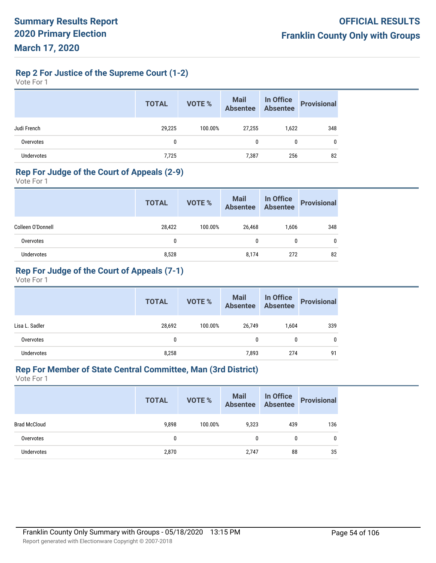**Rep 2 For Justice of the Supreme Court (1-2)**

Vote For 1

|             | <b>TOTAL</b> | VOTE %  | Mail<br>Absentee | In Office<br>Absentee | <b>Provisional</b> |
|-------------|--------------|---------|------------------|-----------------------|--------------------|
| Judi French | 29,225       | 100.00% | 27,255           | 1,622                 | 348                |
| Overvotes   | 0            |         | 0                | 0                     | 0                  |
| Undervotes  | 7,725        |         | 7,387            | 256                   | 82                 |

#### **Rep For Judge of the Court of Appeals (2-9)**

Vote For 1

|                   | <b>TOTAL</b> | <b>VOTE %</b> | Mail<br>Absentee | In Office<br>Absentee | <b>Provisional</b> |
|-------------------|--------------|---------------|------------------|-----------------------|--------------------|
| Colleen O'Donnell | 28,422       | 100.00%       | 26,468           | 1,606                 | 348                |
| Overvotes         | 0            |               | 0                | 0                     | 0                  |
| Undervotes        | 8,528        |               | 8,174            | 272                   | 82                 |

## **Rep For Judge of the Court of Appeals (7-1)**

Vote For 1

|                | <b>TOTAL</b> | VOTE %  | Mail<br>Absentee | In Office<br>Absentee | <b>Provisional</b> |
|----------------|--------------|---------|------------------|-----------------------|--------------------|
| Lisa L. Sadler | 28,692       | 100.00% | 26,749           | 1,604                 | 339                |
| Overvotes      | 0            |         | 0                | 0                     | 0                  |
| Undervotes     | 8,258        |         | 7,893            | 274                   | 91                 |

## **Rep For Member of State Central Committee, Man (3rd District)**

|                     | <b>TOTAL</b> | <b>VOTE %</b> | Mail<br>Absentee | In Office<br>Absentee | <b>Provisional</b> |
|---------------------|--------------|---------------|------------------|-----------------------|--------------------|
| <b>Brad McCloud</b> | 9,898        | 100.00%       | 9,323            | 439                   | 136                |
| Overvotes           | $\mathbf{0}$ |               | 0                | 0                     | 0                  |
| <b>Undervotes</b>   | 2,870        |               | 2,747            | 88                    | 35                 |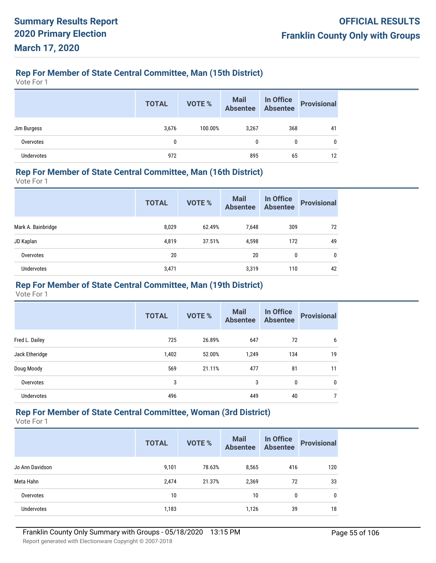## **Rep For Member of State Central Committee, Man (15th District)**

Vote For 1

|             | <b>TOTAL</b> | VOTE %  | Mail In Office<br>Absentee Absentee |     | <b>Provisional</b> |
|-------------|--------------|---------|-------------------------------------|-----|--------------------|
| Jim Burgess | 3,676        | 100.00% | 3,267                               | 368 | 41                 |
| Overvotes   | 0            |         | 0                                   | 0   | 0                  |
| Undervotes  | 972          |         | 895                                 | 65  | 12                 |

#### **Rep For Member of State Central Committee, Man (16th District)**

Vote For 1

|                    | <b>TOTAL</b> | <b>VOTE %</b> | <b>Mail</b><br><b>Absentee</b> | In Office<br><b>Absentee</b> | <b>Provisional</b> |
|--------------------|--------------|---------------|--------------------------------|------------------------------|--------------------|
| Mark A. Bainbridge | 8,029        | 62.49%        | 7,648                          | 309                          | 72                 |
| JD Kaplan          | 4.819        | 37.51%        | 4.598                          | 172                          | 49                 |
| Overvotes          | 20           |               | 20                             | 0                            | 0                  |
| <b>Undervotes</b>  | 3,471        |               | 3,319                          | 110                          | 42                 |

#### **Rep For Member of State Central Committee, Man (19th District)**

Vote For 1

|                | <b>TOTAL</b> | VOTE % | <b>Mail</b><br><b>Absentee</b> | In Office<br><b>Absentee</b> | <b>Provisional</b> |
|----------------|--------------|--------|--------------------------------|------------------------------|--------------------|
| Fred L. Dailey | 725          | 26.89% | 647                            | 72                           | 6                  |
| Jack Etheridge | 1,402        | 52.00% | 1,249                          | 134                          | 19                 |
| Doug Moody     | 569          | 21.11% | 477                            | 81                           | 11                 |
| Overvotes      | 3            |        | 3                              | 0                            | 0                  |
| Undervotes     | 496          |        | 449                            | 40                           | 7                  |

## **Rep For Member of State Central Committee, Woman (3rd District)**

|                   | <b>TOTAL</b> | <b>VOTE %</b> | <b>Mail</b><br><b>Absentee</b> | In Office<br><b>Absentee</b> | <b>Provisional</b> |
|-------------------|--------------|---------------|--------------------------------|------------------------------|--------------------|
| Jo Ann Davidson   | 9,101        | 78.63%        | 8,565                          | 416                          | 120                |
| Meta Hahn         | 2,474        | 21.37%        | 2,369                          | 72                           | 33                 |
| Overvotes         | 10           |               | 10                             | 0                            | 0                  |
| <b>Undervotes</b> | 1,183        |               | 1,126                          | 39                           | 18                 |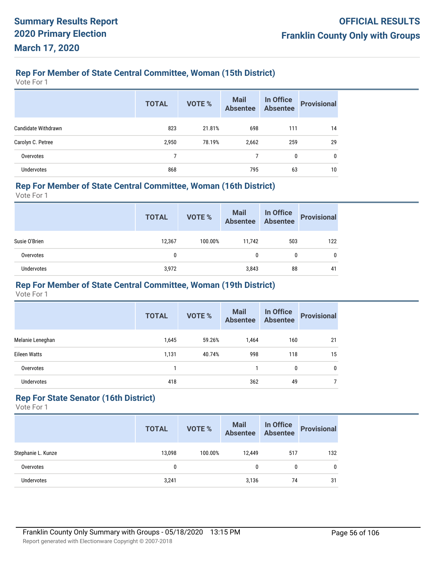### **Rep For Member of State Central Committee, Woman (15th District)**

Vote For 1

|                     | <b>TOTAL</b> | <b>VOTE %</b> | <b>Mail</b><br><b>Absentee</b> | In Office<br><b>Absentee</b> | <b>Provisional</b> |
|---------------------|--------------|---------------|--------------------------------|------------------------------|--------------------|
| Candidate Withdrawn | 823          | 21.81%        | 698                            | 111                          | 14                 |
| Carolyn C. Petree   | 2,950        | 78.19%        | 2,662                          | 259                          | 29                 |
| Overvotes           |              |               |                                | 0                            | $\mathbf{0}$       |
| Undervotes          | 868          |               | 795                            | 63                           | 10                 |

#### **Rep For Member of State Central Committee, Woman (16th District)**

Vote For 1

|               | <b>TOTAL</b> | VOTE %  | Mail<br>Absentee | In Office<br>Absentee | <b>Provisional</b> |
|---------------|--------------|---------|------------------|-----------------------|--------------------|
| Susie O'Brien | 12,367       | 100.00% | 11.742           | 503                   | 122                |
| Overvotes     | 0            |         | 0                | 0                     | 0                  |
| Undervotes    | 3,972        |         | 3,843            | 88                    | 41                 |

#### **Rep For Member of State Central Committee, Woman (19th District)**

Vote For 1

|                     | <b>TOTAL</b> | VOTE % | <b>Mail</b><br><b>Absentee</b> | In Office<br><b>Absentee</b> | <b>Provisional</b> |
|---------------------|--------------|--------|--------------------------------|------------------------------|--------------------|
| Melanie Leneghan    | 1,645        | 59.26% | 1,464                          | 160                          | 21                 |
| <b>Eileen Watts</b> | 1,131        | 40.74% | 998                            | 118                          | 15                 |
| Overvotes           |              |        |                                | 0                            | 0                  |
| Undervotes          | 418          |        | 362                            | 49                           |                    |

## **Rep For State Senator (16th District)**

|                    | <b>TOTAL</b> | <b>VOTE %</b> | Mail<br>Absentee | In Office<br>Absentee | <b>Provisional</b> |
|--------------------|--------------|---------------|------------------|-----------------------|--------------------|
| Stephanie L. Kunze | 13,098       | 100.00%       | 12.449           | 517                   | 132                |
| Overvotes          |              |               | 0                | 0                     | 0                  |
| <b>Undervotes</b>  | 3,241        |               | 3,136            | 74                    | 31                 |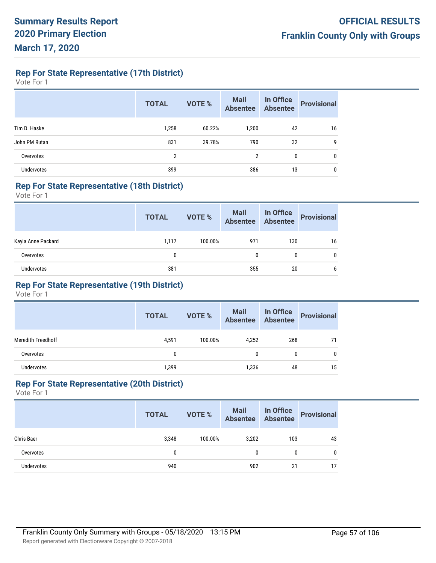**Rep For State Representative (17th District)**

Vote For 1

|               | <b>TOTAL</b> | <b>VOTE %</b> | <b>Mail</b><br><b>Absentee</b> | <b>In Office</b><br>Absentee | <b>Provisional</b> |
|---------------|--------------|---------------|--------------------------------|------------------------------|--------------------|
| Tim D. Haske  | 1,258        | 60.22%        | 1,200                          | 42                           | 16                 |
| John PM Rutan | 831          | 39.78%        | 790                            | 32                           | 9                  |
| Overvotes     | 2            |               | 2                              | 0                            | $\mathbf{0}$       |
| Undervotes    | 399          |               | 386                            | 13                           | 0                  |

#### **Rep For State Representative (18th District)**

Vote For 1

|                    | <b>TOTAL</b> | VOTE %  | Mail In Office<br>Absentee Absentee |     | Provisional |
|--------------------|--------------|---------|-------------------------------------|-----|-------------|
| Kayla Anne Packard | 1.117        | 100.00% | 971                                 | 130 | 16          |
| Overvotes          |              |         | 0                                   | 0   | 0           |
| <b>Undervotes</b>  | 381          |         | 355                                 | 20  | 6           |

## **Rep For State Representative (19th District)**

Vote For 1

|                           | <b>TOTAL</b> | <b>VOTE %</b> | Mail<br>Absentee | In Office<br>Absentee | <b>Provisional</b> |
|---------------------------|--------------|---------------|------------------|-----------------------|--------------------|
| <b>Meredith Freedhoff</b> | 4,591        | 100.00%       | 4,252            | 268                   | 71                 |
| Overvotes                 | 0            |               | 0                | 0                     | 0                  |
| <b>Undervotes</b>         | 1,399        |               | 1,336            | 48                    | 15                 |

#### **Rep For State Representative (20th District)**

|            | <b>TOTAL</b> | VOTE %  | Mail<br>Absentee | In Office<br>Absentee | <b>Provisional</b> |
|------------|--------------|---------|------------------|-----------------------|--------------------|
| Chris Baer | 3,348        | 100.00% | 3.202            | 103                   | 43                 |
| Overvotes  | 0            |         |                  | $\mathbf{0}$          | $\mathbf{0}$       |
| Undervotes | 940          |         | 902              | 21                    | 17                 |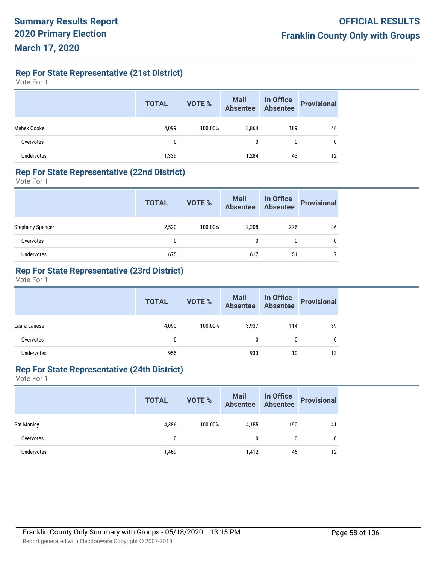**Rep For State Representative (21st District)**

Vote For 1

|                   | <b>TOTAL</b> | <b>VOTE %</b> | Mail In Office<br>Absentee Absentee |     | <b>Provisional</b> |
|-------------------|--------------|---------------|-------------------------------------|-----|--------------------|
| Mehek Cooke       | 4,099        | 100.00%       | 3,864                               | 189 | 46                 |
| Overvotes         | 0            |               | 0                                   | 0   | 0                  |
| <b>Undervotes</b> | 1,339        |               | 1,284                               | 43  | 12                 |

#### **Rep For State Representative (22nd District)**

Vote For 1

|                         | <b>TOTAL</b> | VOTE %  | Mail In Office<br>Absentee Absentee |     | Provisional |
|-------------------------|--------------|---------|-------------------------------------|-----|-------------|
| <b>Stephany Spencer</b> | 2,520        | 100.00% | 2,208                               | 276 | 36          |
| Overvotes               | 0            |         | 0                                   | 0   | 0           |
| <b>Undervotes</b>       | 675          |         | 617                                 | 51  |             |

## **Rep For State Representative (23rd District)**

Vote For 1

|                   | <b>TOTAL</b> | VOTE %  | Mail In Office<br>Absentee Absentee |     | <b>Provisional</b> |
|-------------------|--------------|---------|-------------------------------------|-----|--------------------|
| Laura Lanese      | 4,090        | 100.00% | 3.937                               | 114 | 39                 |
| Overvotes         | 0            |         | 0                                   | 0   | 0                  |
| <b>Undervotes</b> | 956          |         | 933                                 | 10  | 13                 |

## **Rep For State Representative (24th District)**

|                   | <b>TOTAL</b> | <b>VOTE %</b> | <b>Mail</b><br>Absentee | In Office<br>Absentee | <b>Provisional</b> |
|-------------------|--------------|---------------|-------------------------|-----------------------|--------------------|
| Pat Manley        | 4,386        | 100.00%       | 4,155                   | 190                   | 41                 |
| Overvotes         | 0            |               | 0                       | 0                     | 0                  |
| <b>Undervotes</b> | 1,469        |               | 1,412                   | 45                    | 12                 |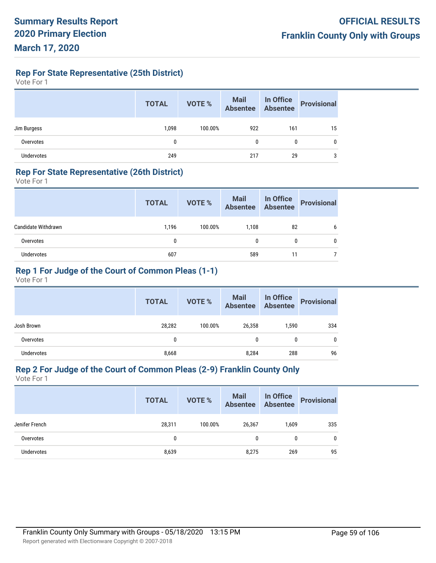**Rep For State Representative (25th District)**

Vote For 1

|             | <b>TOTAL</b> | <b>VOTE %</b> | Mail In Office<br>Absentee Absentee |     | <b>Provisional</b> |
|-------------|--------------|---------------|-------------------------------------|-----|--------------------|
| Jim Burgess | 1,098        | 100.00%       | 922                                 | 161 | 15                 |
| Overvotes   | 0            |               | 0                                   | 0   | 0                  |
| Undervotes  | 249          |               | 217                                 | 29  | 3                  |

#### **Rep For State Representative (26th District)**

Vote For 1

|                     | <b>TOTAL</b> | VOTE %  | Mail In Office<br>Absentee Absentee |    | Provisional |
|---------------------|--------------|---------|-------------------------------------|----|-------------|
| Candidate Withdrawn | 1.196        | 100.00% | 1.108                               | 82 | 6           |
| Overvotes           | 0            |         |                                     | 0  |             |
| <b>Undervotes</b>   | 607          |         | 589                                 | 11 |             |

## **Rep 1 For Judge of the Court of Common Pleas (1-1)**

Vote For 1

|                   | <b>TOTAL</b> | <b>VOTE %</b> | Mail<br>Absentee | In Office<br>Absentee | <b>Provisional</b> |
|-------------------|--------------|---------------|------------------|-----------------------|--------------------|
| Josh Brown        | 28,282       | 100.00%       | 26,358           | 1,590                 | 334                |
| Overvotes         | 0            |               | 0                | $\mathbf{0}$          | 0                  |
| <b>Undervotes</b> | 8,668        |               | 8,284            | 288                   | 96                 |

# **Rep 2 For Judge of the Court of Common Pleas (2-9) Franklin County Only**

|                   | <b>TOTAL</b> | <b>VOTE %</b> | <b>Mail</b><br>Absentee | In Office<br>Absentee | <b>Provisional</b> |
|-------------------|--------------|---------------|-------------------------|-----------------------|--------------------|
| Jenifer French    | 28,311       | 100.00%       | 26,367                  | 1,609                 | 335                |
| Overvotes         | 0            |               | 0                       | 0                     | 0                  |
| <b>Undervotes</b> | 8,639        |               | 8,275                   | 269                   | 95                 |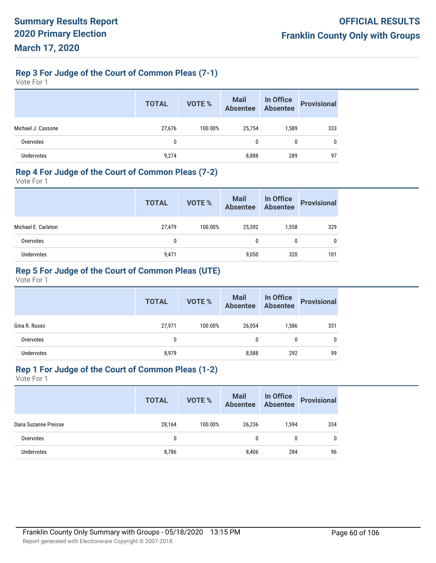## **Rep 3 For Judge of the Court of Common Pleas (7-1)**

Vote For 1

|                    | <b>TOTAL</b> | <b>VOTE %</b> | Mail<br>Absentee | In Office<br>Absentee | <b>Provisional</b> |
|--------------------|--------------|---------------|------------------|-----------------------|--------------------|
| Michael J. Cassone | 27,676       | 100.00%       | 25,754           | 1,589                 | 333                |
| Overvotes          | 0            |               | 0                | $\mathbf{0}$          | 0                  |
| <b>Undervotes</b>  | 9,274        |               | 8,888            | 289                   | 97                 |

#### **Rep 4 For Judge of the Court of Common Pleas (7-2)**

Vote For 1

|                     | <b>TOTAL</b> | VOTE %  | Mail<br>Absentee | In Office<br>Absentee | <b>Provisional</b> |
|---------------------|--------------|---------|------------------|-----------------------|--------------------|
| Michael E. Carleton | 27,479       | 100.00% | 25.592           | 1.558                 | 329                |
| Overvotes           | 0            |         | 0                | 0                     | 0                  |
| <b>Undervotes</b>   | 9,471        |         | 9.050            | 320                   | 101                |

## **Rep 5 For Judge of the Court of Common Pleas (UTE)**

Vote For 1

|                   | <b>TOTAL</b> | VOTE %  | Mail<br>Absentee | In Office<br>Absentee | <b>Provisional</b> |
|-------------------|--------------|---------|------------------|-----------------------|--------------------|
| Gina R. Russo     | 27,971       | 100.00% | 26,054           | 1,586                 | 331                |
| Overvotes         | 0            |         | 0                | 0                     | 0                  |
| <b>Undervotes</b> | 8,979        |         | 8,588            | 292                   | 99                 |

## **Rep 1 For Judge of the Court of Common Pleas (1-2)**

|                      | <b>TOTAL</b> | <b>VOTE %</b> | <b>Mail</b><br><b>Absentee</b> | In Office<br>Absentee | <b>Provisional</b> |
|----------------------|--------------|---------------|--------------------------------|-----------------------|--------------------|
| Dana Suzanne Preisse | 28,164       | 100.00%       | 26,236                         | 1.594                 | 334                |
| Overvotes            | 0            |               | 0                              | 0                     | 0                  |
| <b>Undervotes</b>    | 8,786        |               | 8,406                          | 284                   | 96                 |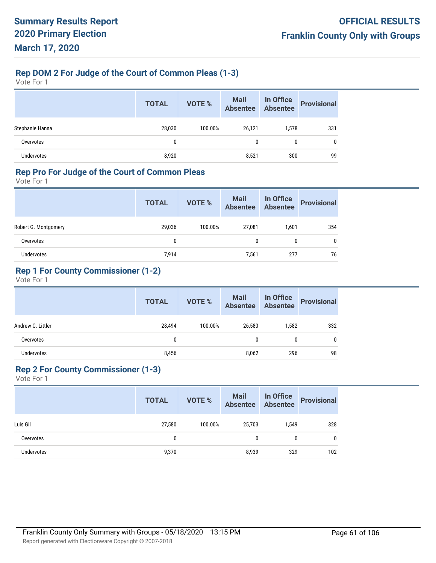## **Rep DOM 2 For Judge of the Court of Common Pleas (1-3)**

Vote For 1

|                   | <b>TOTAL</b> | VOTE %  | Mail<br>Absentee | In Office<br>Absentee | <b>Provisional</b> |
|-------------------|--------------|---------|------------------|-----------------------|--------------------|
| Stephanie Hanna   | 28,030       | 100.00% | 26,121           | 1,578                 | 331                |
| Overvotes         | 0            |         | 0                | 0                     | 0                  |
| <b>Undervotes</b> | 8,920        |         | 8,521            | 300                   | 99                 |

#### **Rep Pro For Judge of the Court of Common Pleas**

Vote For 1

|                      | <b>TOTAL</b> | VOTE %  | Mail<br>Absentee | In Office<br>Absentee | <b>Provisional</b> |
|----------------------|--------------|---------|------------------|-----------------------|--------------------|
| Robert G. Montgomery | 29,036       | 100.00% | 27,081           | 1,601                 | 354                |
| Overvotes            | 0            |         | 0                | 0                     | 0                  |
| Undervotes           | 7.914        |         | 7,561            | 277                   | 76                 |

## **Rep 1 For County Commissioner (1-2)**

Vote For 1

|                   | <b>TOTAL</b> | VOTE %  | Mail In Office<br>Absentee Absentee |       | <b>Provisional</b> |
|-------------------|--------------|---------|-------------------------------------|-------|--------------------|
| Andrew C. Littler | 28,494       | 100.00% | 26,580                              | 1,582 | 332                |
| Overvotes         | 0            |         | 0                                   | 0     | 0                  |
| <b>Undervotes</b> | 8,456        |         | 8,062                               | 296   | 98                 |

## **Rep 2 For County Commissioner (1-3)**

|                   | <b>TOTAL</b> | Mail<br>Absentee<br>VOTE % |        | In Office<br>Absentee | <b>Provisional</b> |
|-------------------|--------------|----------------------------|--------|-----------------------|--------------------|
| Luis Gil          | 27,580       | 100.00%                    | 25,703 | 1,549                 | 328                |
| Overvotes         | 0            |                            | 0      | 0                     | 0                  |
| <b>Undervotes</b> | 9,370        |                            | 8,939  | 329                   | 102                |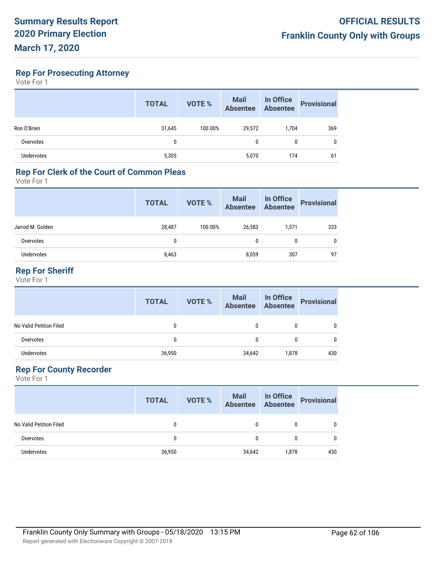**Rep For Prosecuting Attorney**

Vote For 1

|             | <b>TOTAL</b> | VOTE %  | <b>Mail</b><br>Absentee | In Office<br>Absentee | <b>Provisional</b> |
|-------------|--------------|---------|-------------------------|-----------------------|--------------------|
| Ron O'Brien | 31,645       | 100.00% | 29,572                  | 1,704                 | 369                |
| Overvotes   | 0            |         | 0                       | 0                     | 0                  |
| Undervotes  | 5,305        |         | 5,070                   | 174                   | 61                 |

### **Rep For Clerk of the Court of Common Pleas**

Vote For 1

| Absentee          | <b>Provisional</b>    |
|-------------------|-----------------------|
| 26,583<br>1,571   | 333                   |
| $\mathbf{0}$<br>0 | 0                     |
| 307               | 97                    |
|                   | In Office<br>Absentee |

## **Rep For Sheriff**

Vote For 1

|                         | <b>TOTAL</b> | <b>VOTE %</b> | Mail In Office<br>Absentee Absentee |       | <b>Provisional</b> |
|-------------------------|--------------|---------------|-------------------------------------|-------|--------------------|
| No Valid Petition Filed | 0            |               | 0                                   | 0     |                    |
| Overvotes               | 0            |               | 0                                   | 0     |                    |
| <b>Undervotes</b>       | 36,950       |               | 34,642                              | 1,878 | 430                |

## **Rep For County Recorder**

|                         | <b>TOTAL</b> | <b>VOTE %</b> | Mail In Office<br>Absentee Absentee |              | Provisional |
|-------------------------|--------------|---------------|-------------------------------------|--------------|-------------|
| No Valid Petition Filed | 0            |               |                                     | $\mathbf{0}$ | 0           |
| Overvotes               | 0            |               |                                     | $\mathbf{0}$ | 0           |
| <b>Undervotes</b>       | 36,950       |               | 34,642                              | 1.878        | 430         |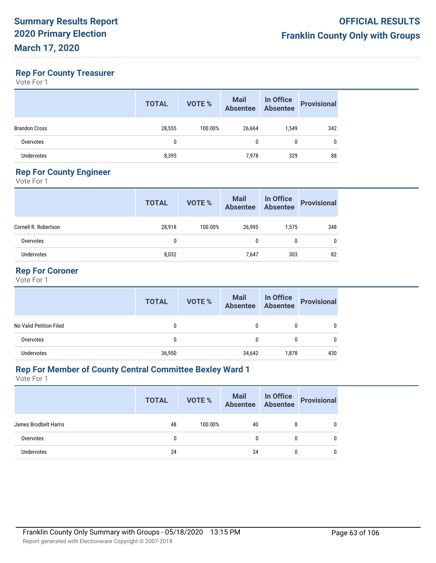## **Rep For County Treasurer**

Vote For 1

|                      | <b>TOTAL</b> | <b>VOTE %</b> | <b>Mail</b><br><b>Absentee</b> | In Office<br>Absentee | <b>Provisional</b> |
|----------------------|--------------|---------------|--------------------------------|-----------------------|--------------------|
| <b>Brandon Cross</b> | 28,555       | 100.00%       | 26,664                         | 1,549                 | 342                |
| Overvotes            | 0            |               | 0                              | 0                     |                    |
| <b>Undervotes</b>    | 8,395        |               | 7,978                          | 329                   | 88                 |

## **Rep For County Engineer**

Vote For 1

|                      | <b>TOTAL</b> | VOTE %  | Mail<br>Absentee | In Office<br>Absentee | <b>Provisional</b> |
|----------------------|--------------|---------|------------------|-----------------------|--------------------|
| Cornell R. Robertson | 28,918       | 100.00% | 26.995           | 1,575                 | 348                |
| Overvotes            | 0            |         | 0                | 0                     | 0                  |
| <b>Undervotes</b>    | 8,032        |         | 7,647            | 303                   | 82                 |

#### **Rep For Coroner**

Vote For 1

|                         | <b>TOTAL</b> | <b>VOTE %</b> | Mail In Office<br>Absentee Absentee |       | <b>Provisional</b> |
|-------------------------|--------------|---------------|-------------------------------------|-------|--------------------|
| No Valid Petition Filed | 0            |               | 0                                   | 0     |                    |
| Overvotes               | 0            |               | 0                                   | 0     |                    |
| <b>Undervotes</b>       | 36,950       |               | 34,642                              | 1,878 | 430                |

## **Rep For Member of County Central Committee Bexley Ward 1**

|                       | <b>TOTAL</b> | VOTE %  | Mail In Office<br>Absentee Absentee |   | Provisional |
|-----------------------|--------------|---------|-------------------------------------|---|-------------|
| James Brodbelt Harris | 48           | 100.00% | 40                                  | 8 | 0           |
| Overvotes             | 0            |         | 0                                   | 0 | 0           |
| <b>Undervotes</b>     | 24           |         | 24                                  | 0 |             |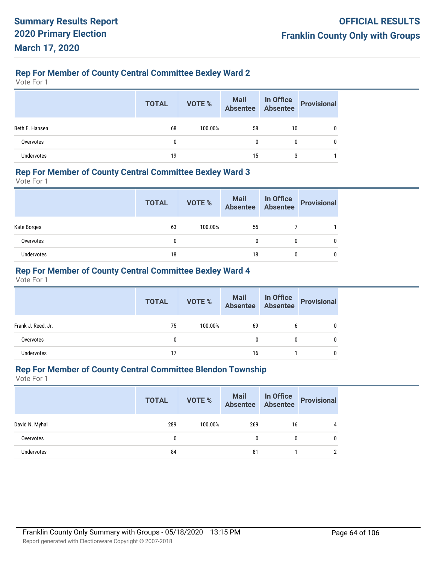## **Rep For Member of County Central Committee Bexley Ward 2**

Vote For 1

|                   | <b>TOTAL</b> | VOTE %  | Mail In Office<br>Absentee Absentee |    | Provisional |
|-------------------|--------------|---------|-------------------------------------|----|-------------|
| Beth E. Hansen    | 68           | 100.00% | 58                                  | 10 |             |
| Overvotes         |              |         | 0                                   | 0  |             |
| <b>Undervotes</b> | 19           |         | 15                                  |    |             |

#### **Rep For Member of County Central Committee Bexley Ward 3**

Vote For 1

|             | <b>TOTAL</b> | VOTE %  | Mail In Office<br>Absentee Absentee |   | Provisional |
|-------------|--------------|---------|-------------------------------------|---|-------------|
| Kate Borges | 63           | 100.00% | 55                                  |   |             |
| Overvotes   | 0            |         |                                     | 0 |             |
| Undervotes  | 18           |         | 18                                  | 0 |             |

## **Rep For Member of County Central Committee Bexley Ward 4**

Vote For 1

|                    | <b>TOTAL</b> | VOTE %  | Mail In Office<br>Absentee Absentee |   | <b>Provisional</b> |
|--------------------|--------------|---------|-------------------------------------|---|--------------------|
| Frank J. Reed, Jr. | 75           | 100.00% | 69                                  | b |                    |
| Overvotes          | 0            |         | 0                                   | 0 | 0                  |
| <b>Undervotes</b>  | 17           |         | 16                                  |   | 0                  |

## **Rep For Member of County Central Committee Blendon Township**

|                   | <b>TOTAL</b> | VOTE %  |     |    | Mail In Office<br>Absentee Absentee Provisional |
|-------------------|--------------|---------|-----|----|-------------------------------------------------|
| David N. Myhal    | 289          | 100.00% | 269 | 16 |                                                 |
| Overvotes         | 0            |         | 0   | 0  | 0                                               |
| <b>Undervotes</b> | 84           |         | 81  |    | ∩                                               |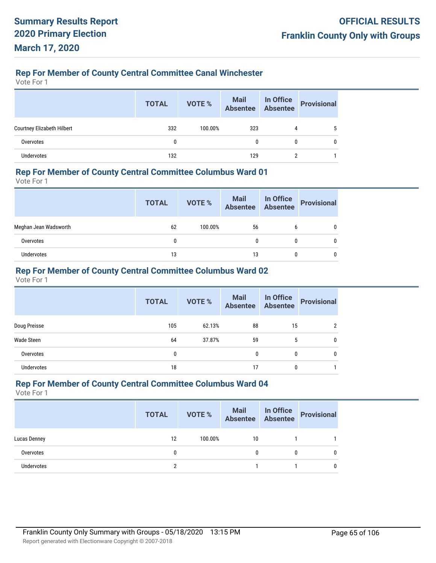#### **Rep For Member of County Central Committee Canal Winchester**

Vote For 1

|                                   | <b>TOTAL</b> | VOTE %  | Mail In Office<br>Absentee Absentee |   | Provisional |
|-----------------------------------|--------------|---------|-------------------------------------|---|-------------|
| <b>Courtney Elizabeth Hilbert</b> | 332          | 100.00% | 323                                 | 4 |             |
| Overvotes                         | 0            |         | 0                                   | 0 | 0           |
| <b>Undervotes</b>                 | 132          |         | 129                                 | ŋ |             |

#### **Rep For Member of County Central Committee Columbus Ward 01**

Vote For 1

|                       | <b>TOTAL</b> | VOTE %  | Mail In Office<br>Absentee Absentee |   | Provisional |
|-----------------------|--------------|---------|-------------------------------------|---|-------------|
| Meghan Jean Wadsworth | 62           | 100.00% | 56                                  | b |             |
| Overvotes             | 0            |         |                                     | 0 |             |
| Undervotes            | 13           |         | 13                                  | 0 |             |

## **Rep For Member of County Central Committee Columbus Ward 02**

Vote For 1

|                   | <b>TOTAL</b> | <b>VOTE %</b> | <b>Mail</b><br><b>Absentee</b> | In Office<br>Absentee | <b>Provisional</b> |
|-------------------|--------------|---------------|--------------------------------|-----------------------|--------------------|
| Doug Preisse      | 105          | 62.13%        | 88                             | 15                    | 2                  |
| Wade Steen        | 64           | 37.87%        | 59                             | 5                     | $\mathbf 0$        |
| Overvotes         | 0            |               | 0                              | 0                     | 0                  |
| <b>Undervotes</b> | 18           |               | 17                             | 0                     |                    |

#### **Rep For Member of County Central Committee Columbus Ward 04**

|                   | <b>TOTAL</b> | VOTE %  | Mail In Office<br>Absentee Absentee |   | <b>Provisional</b> |
|-------------------|--------------|---------|-------------------------------------|---|--------------------|
| Lucas Denney      | 12           | 100.00% | 10                                  |   |                    |
| Overvotes         | $\mathbf{0}$ |         | 0                                   | 0 |                    |
| <b>Undervotes</b> |              |         |                                     |   |                    |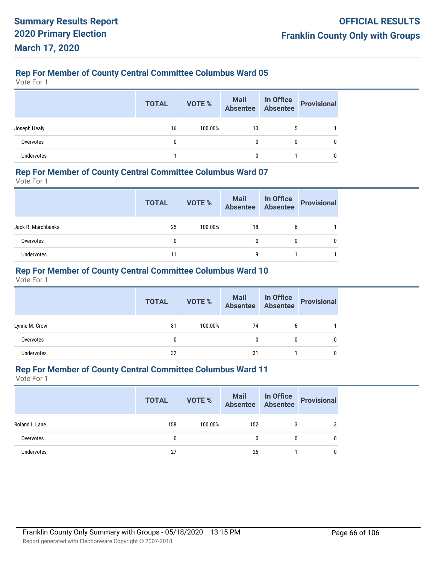Vote For 1

|                   | <b>TOTAL</b> | VOTE %  |    |             | Mail In Office<br>Absentee Absentee Provisional |
|-------------------|--------------|---------|----|-------------|-------------------------------------------------|
| Joseph Healy      | 16           | 100.00% | 10 | $\mathbf b$ |                                                 |
| Overvotes         |              |         |    | 0           | 0                                               |
| <b>Undervotes</b> |              |         |    |             |                                                 |

#### **Rep For Member of County Central Committee Columbus Ward 07**

Vote For 1

|                    | <b>TOTAL</b> | <b>VOTE %</b> | Mail In Office<br>Absentee Absentee |              | Provisional |
|--------------------|--------------|---------------|-------------------------------------|--------------|-------------|
| Jack R. Marchbanks | 25           | 100.00%       | 18                                  | b            |             |
| Overvotes          | 0            |               |                                     | $\mathbf{0}$ |             |
| Undervotes         | 11           |               | q                                   |              |             |

## **Rep For Member of County Central Committee Columbus Ward 10**

Vote For 1

|                   | <b>TOTAL</b> | VOTE %  | Mail In Office<br>Absentee Absentee |   | <b>Provisional</b> |
|-------------------|--------------|---------|-------------------------------------|---|--------------------|
| Lynne M. Crow     | 81           | 100.00% | 74                                  | b |                    |
| Overvotes         | 0            |         | 0                                   | 0 | 0                  |
| <b>Undervotes</b> | 32           |         | 31                                  |   | 0                  |

## **Rep For Member of County Central Committee Columbus Ward 11**

|                   | <b>TOTAL</b> | <b>VOTE %</b> |              |   | Mail In Office<br>Absentee Absentee Provisional |
|-------------------|--------------|---------------|--------------|---|-------------------------------------------------|
| Roland I. Lane    | 158          | 100.00%       | 152          |   | 3                                               |
| Overvotes         | 0            |               | $\mathbf{0}$ | 0 | 0                                               |
| <b>Undervotes</b> | 27           |               | 26           |   | 0                                               |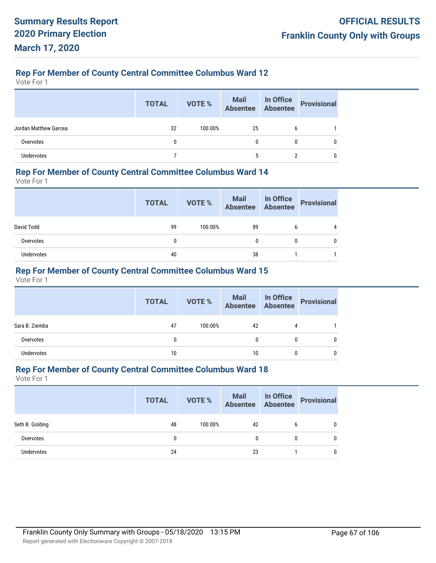Vote For 1

|                       | <b>TOTAL</b> | VOTE %  | Mail In Office<br>Absentee Absentee |   | <b>Provisional</b> |
|-----------------------|--------------|---------|-------------------------------------|---|--------------------|
| Jordan Matthew Garcea | 32           | 100.00% | 25                                  | b |                    |
| Overvotes             | 0            |         |                                     | 0 | 0                  |
| <b>Undervotes</b>     |              |         | 5                                   |   |                    |

#### **Rep For Member of County Central Committee Columbus Ward 14**

Vote For 1

|            | <b>TOTAL</b> | VOTE %  | Mail In Office<br>Absentee Absentee |   | Provisional |
|------------|--------------|---------|-------------------------------------|---|-------------|
| David Todd | 99           | 100.00% | 89                                  | b | 4           |
| Overvotes  |              |         | 0                                   | 0 |             |
| Undervotes | 40           |         | 38                                  |   |             |

## **Rep For Member of County Central Committee Columbus Ward 15**

Vote For 1

|                | <b>TOTAL</b> | VOTE %  | Mail In Office<br>Absentee Absentee |   | Provisional |
|----------------|--------------|---------|-------------------------------------|---|-------------|
| Sara B. Ziemba | 47           | 100.00% | 42                                  | 4 |             |
| Overvotes      |              |         | 0                                   | 0 |             |
| Undervotes     | 10           |         | 10                                  | 0 |             |

## **Rep For Member of County Central Committee Columbus Ward 18**

|                 | <b>TOTAL</b> | VOTE %  | Mail In Office<br>Absentee Absentee |   | Provisional |
|-----------------|--------------|---------|-------------------------------------|---|-------------|
| Seth B. Golding | 48           | 100.00% | 42                                  | b |             |
| Overvotes       | 0            |         | 0                                   | 0 | 0           |
| Undervotes      | 24           |         | 23                                  |   |             |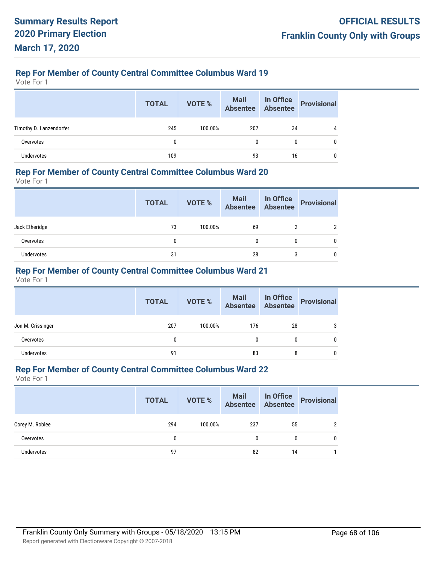Vote For 1

|                         | <b>TOTAL</b> | VOTE %  | Mail In Office<br>Absentee Absentee |              | <b>Provisional</b> |
|-------------------------|--------------|---------|-------------------------------------|--------------|--------------------|
| Timothy D. Lanzendorfer | 245          | 100.00% | 207                                 | 34           | 4                  |
| Overvotes               | 0            |         | 0                                   | $\mathbf{0}$ | 0                  |
| <b>Undervotes</b>       | 109          |         | 93                                  | 16           | 0                  |

#### **Rep For Member of County Central Committee Columbus Ward 20**

Vote For 1

|                | <b>TOTAL</b> | VOTE %  | Mail In Office<br>Absentee Absentee |   | Provisional |
|----------------|--------------|---------|-------------------------------------|---|-------------|
| Jack Etheridge | 73           | 100.00% | 69                                  |   |             |
| Overvotes      | 0            |         | 0                                   | 0 |             |
| Undervotes     | 31           |         | 28                                  | 3 |             |

## **Rep For Member of County Central Committee Columbus Ward 21**

Vote For 1

|                   | <b>TOTAL</b> | VOTE %  | Mail In Office<br>Absentee Absentee |    | <b>Provisional</b> |
|-------------------|--------------|---------|-------------------------------------|----|--------------------|
| Jon M. Crissinger | 207          | 100.00% | 176                                 | 28 | 3                  |
| Overvotes         | 0            |         | 0                                   |    |                    |
| <b>Undervotes</b> | 91           |         | 83                                  | 8  |                    |

## **Rep For Member of County Central Committee Columbus Ward 22**

|                 | <b>TOTAL</b> | VOTE %  | <b>Mail In Office</b><br>Absentee Absentee |    | Provisional |
|-----------------|--------------|---------|--------------------------------------------|----|-------------|
| Corey M. Roblee | 294          | 100.00% | 237                                        | 55 |             |
| Overvotes       | 0            |         | 0                                          | 0  |             |
| Undervotes      | 97           |         | 82                                         | 14 |             |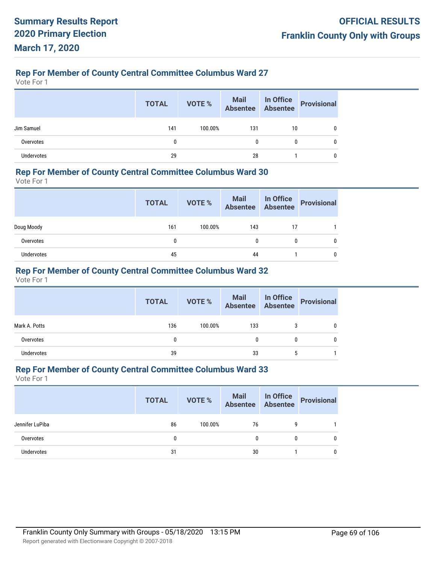Vote For 1

|                   | <b>TOTAL</b> | VOTE %  | Mail In Office<br>Absentee Absentee |              | Provisional |
|-------------------|--------------|---------|-------------------------------------|--------------|-------------|
| Jim Samuel        | 141          | 100.00% | 131                                 | 10           | 0           |
| Overvotes         | 0            |         |                                     | $\mathbf{0}$ | 0           |
| <b>Undervotes</b> | 29           |         | 28                                  |              |             |

#### **Rep For Member of County Central Committee Columbus Ward 30**

Vote For 1

|            | <b>TOTAL</b> | VOTE %  |     |    | Mail In Office<br>Absentee Absentee Provisional |
|------------|--------------|---------|-----|----|-------------------------------------------------|
| Doug Moody | 161          | 100.00% | 143 | 17 |                                                 |
| Overvotes  | 0            |         | 0   |    |                                                 |
| Undervotes | 45           |         | 44  |    |                                                 |

## **Rep For Member of County Central Committee Columbus Ward 32**

Vote For 1

|                   | <b>TOTAL</b> | VOTE %  | <b>Mail In Office</b><br>Absentee Absentee |   | Provisional |
|-------------------|--------------|---------|--------------------------------------------|---|-------------|
| Mark A. Potts     | 136          | 100.00% | 133                                        |   |             |
| Overvotes         |              |         | 0                                          | 0 |             |
| <b>Undervotes</b> | 39           |         | 33                                         | 5 |             |

## **Rep For Member of County Central Committee Columbus Ward 33**

|                   | <b>TOTAL</b> | VOTE %  | Mail In Office<br>Absentee Absentee |   | Provisional |
|-------------------|--------------|---------|-------------------------------------|---|-------------|
| Jennifer LuPiba   | 86           | 100.00% | 76                                  | 9 |             |
| Overvotes         | 0            |         | 0                                   | 0 |             |
| <b>Undervotes</b> | 31           |         | 30                                  |   |             |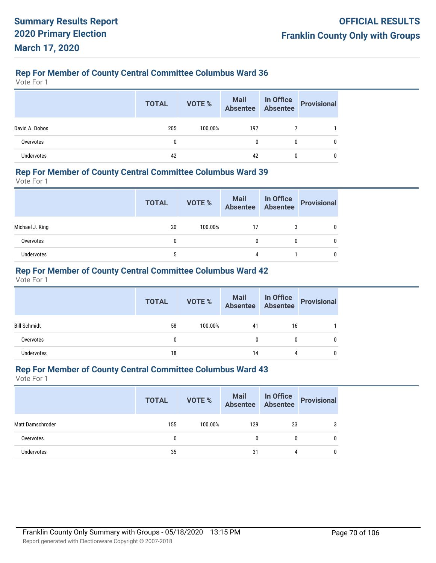Vote For 1

|                | <b>TOTAL</b> | VOTE %  | Mail In Office<br>Absentee Absentee |              | <b>Provisional</b> |
|----------------|--------------|---------|-------------------------------------|--------------|--------------------|
| David A. Dobos | 205          | 100.00% | 197                                 |              |                    |
| Overvotes      | 0            |         |                                     | $\mathbf{0}$ | 0                  |
| Undervotes     | 42           |         | 42                                  |              |                    |

#### **Rep For Member of County Central Committee Columbus Ward 39**

Vote For 1

|                 | <b>TOTAL</b> | VOTE %  | Mail In Office<br>Absentee Absentee |              | <b>Provisional</b> |
|-----------------|--------------|---------|-------------------------------------|--------------|--------------------|
| Michael J. King | 20           | 100.00% | 17                                  | 3            |                    |
| Overvotes       | 0            |         | $\mathbf{0}$                        | $\mathbf{0}$ |                    |
| Undervotes      | 5            |         | 4                                   |              |                    |

## **Rep For Member of County Central Committee Columbus Ward 42**

Vote For 1

|                     | <b>TOTAL</b> | VOTE %  | Mail In Office<br>Absentee Absentee |    | Provisional |
|---------------------|--------------|---------|-------------------------------------|----|-------------|
| <b>Bill Schmidt</b> | 58           | 100.00% | 41                                  | 16 |             |
| Overvotes           |              |         | 0                                   | 0  |             |
| Undervotes          | 18           |         | 14                                  | 4  |             |

## **Rep For Member of County Central Committee Columbus Ward 43**

|                   | <b>TOTAL</b> | VOTE %  | Mail In Office<br>Absentee Absentee |    | Provisional |
|-------------------|--------------|---------|-------------------------------------|----|-------------|
| Matt Damschroder  | 155          | 100.00% | 129                                 | 23 | 3           |
| Overvotes         |              |         |                                     | 0  | 0           |
| <b>Undervotes</b> | 35           |         | 31                                  | 4  | 0           |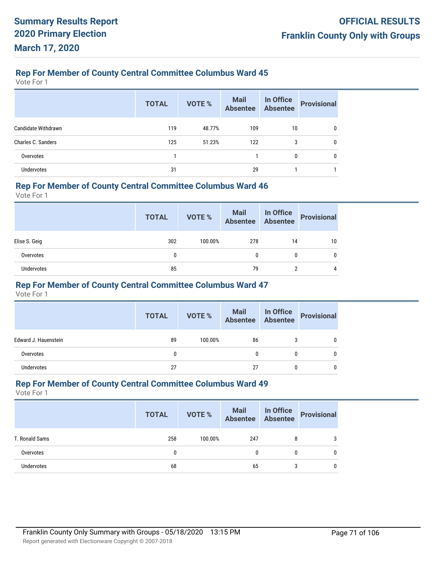Vote For 1

|                     | <b>TOTAL</b> | <b>VOTE %</b> | <b>Mail</b><br><b>Absentee</b> | In Office<br><b>Absentee</b> | <b>Provisional</b> |
|---------------------|--------------|---------------|--------------------------------|------------------------------|--------------------|
| Candidate Withdrawn | 119          | 48.77%        | 109                            | 10                           | 0                  |
| Charles C. Sanders  | 125          | 51.23%        | 122                            | 3                            | 0                  |
| Overvotes           |              |               |                                | 0                            | 0                  |
| <b>Undervotes</b>   | 31           |               | 29                             |                              |                    |

#### **Rep For Member of County Central Committee Columbus Ward 46**

Vote For 1

|                   | <b>TOTAL</b> | VOTE %  | Mail In Office<br>Absentee Absentee |    | <b>Provisional</b> |
|-------------------|--------------|---------|-------------------------------------|----|--------------------|
| Elise S. Geig     | 302          | 100.00% | 278                                 | 14 | 10                 |
| Overvotes         | 0            |         | 0                                   | 0  | 0                  |
| <b>Undervotes</b> | 85           |         | 79                                  | n  | 4                  |

#### **Rep For Member of County Central Committee Columbus Ward 47**

Vote For 1

|                      | <b>TOTAL</b> | VOTE %  | Mail In Office<br>Absentee Absentee |   | <b>Provisional</b> |
|----------------------|--------------|---------|-------------------------------------|---|--------------------|
| Edward J. Hauenstein | 89           | 100.00% | 86                                  | 3 |                    |
| Overvotes            | 0            |         |                                     | 0 |                    |
| Undervotes           | 27           |         | 27                                  | ſ |                    |

#### **Rep For Member of County Central Committee Columbus Ward 49**

|                | <b>TOTAL</b> | VOTE %  | Mail In Office<br>Absentee Absentee |   | <b>Provisional</b> |
|----------------|--------------|---------|-------------------------------------|---|--------------------|
| T. Ronald Sams | 258          | 100.00% | 247                                 | 8 | 3                  |
| Overvotes      | 0            |         | 0                                   |   |                    |
| Undervotes     | 68           |         | 65                                  | 3 |                    |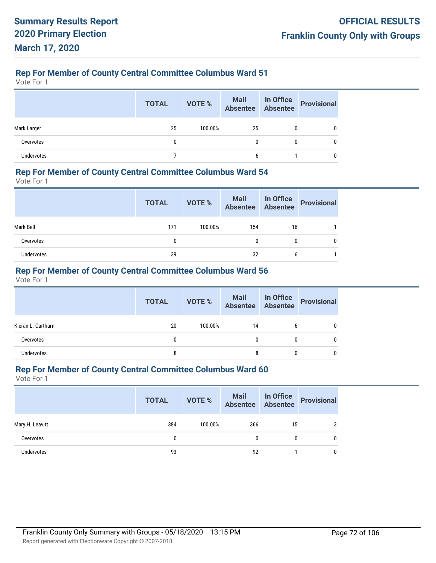Vote For 1

|                   | <b>TOTAL</b> | VOTE %  | Mail In Office<br>Absentee Absentee |   | <b>Provisional</b> |
|-------------------|--------------|---------|-------------------------------------|---|--------------------|
| Mark Larger       | 25           | 100.00% | 25                                  | 0 |                    |
| Overvotes         | 0            |         | 0                                   | 0 | 0                  |
| <b>Undervotes</b> |              |         | b                                   |   | 0                  |

#### **Rep For Member of County Central Committee Columbus Ward 54**

Vote For 1

|            | <b>TOTAL</b> | VOTE %  |     |    | Mail In Office<br>Absentee Absentee Provisional |
|------------|--------------|---------|-----|----|-------------------------------------------------|
| Mark Bell  | 171          | 100.00% | 154 | 16 |                                                 |
| Overvotes  | 0            |         | 0   |    |                                                 |
| Undervotes | 39           |         | 32  | b  |                                                 |

## **Rep For Member of County Central Committee Columbus Ward 56**

Vote For 1

|                    | <b>TOTAL</b> | VOTE %  | Mail In Office<br>Absentee Absentee |   | <b>Provisional</b> |
|--------------------|--------------|---------|-------------------------------------|---|--------------------|
| Kieran L. Cartharn | 20           | 100.00% | 14                                  | b |                    |
| Overvotes          |              |         | 0                                   | 0 |                    |
| Undervotes         | 8            |         | 8                                   | 0 |                    |

## **Rep For Member of County Central Committee Columbus Ward 60**

|                   | <b>TOTAL</b> | <b>VOTE %</b> | Mail In Office<br>Absentee Absentee |    | Provisional |
|-------------------|--------------|---------------|-------------------------------------|----|-------------|
| Mary H. Leavitt   | 384          | 100.00%       | 366                                 | 15 | 3           |
| Overvotes         | 0            |               | 0                                   | 0  | 0           |
| <b>Undervotes</b> | 93           |               | 92                                  |    | 0           |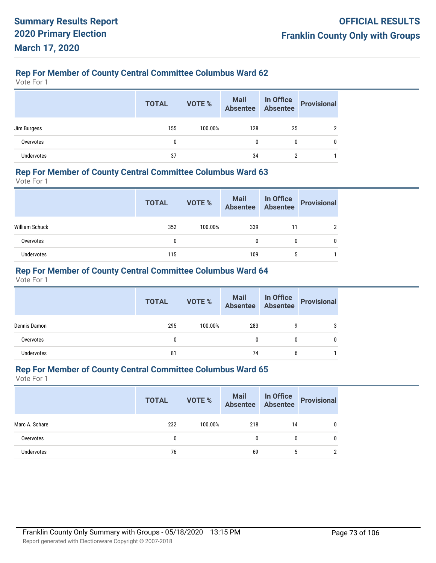Vote For 1

|                   | <b>TOTAL</b> | VOTE %  | Mail In Office<br>Absentee Absentee |    | <b>Provisional</b> |
|-------------------|--------------|---------|-------------------------------------|----|--------------------|
| Jim Burgess       | 155          | 100.00% | 128                                 | 25 | ົ                  |
| Overvotes         | 0            |         |                                     | 0  | 0                  |
| <b>Undervotes</b> | 37           |         | 34                                  |    |                    |

## **Rep For Member of County Central Committee Columbus Ward 63**

Vote For 1

|                | <b>TOTAL</b> | VOTE %  | Mail In Office<br>Absentee Absentee |    | Provisional |
|----------------|--------------|---------|-------------------------------------|----|-------------|
| William Schuck | 352          | 100.00% | 339                                 | 11 |             |
| Overvotes      | 0            |         | 0                                   | 0  |             |
| Undervotes     | 115          |         | 109                                 | 5  |             |

## **Rep For Member of County Central Committee Columbus Ward 64**

Vote For 1

|                   | <b>TOTAL</b> | VOTE %  | <b>Mail In Office</b><br>Absentee Absentee |   | Provisional |
|-------------------|--------------|---------|--------------------------------------------|---|-------------|
| Dennis Damon      | 295          | 100.00% | 283                                        |   | 3           |
| Overvotes         | $\mathbf{0}$ |         |                                            |   |             |
| <b>Undervotes</b> | 81           |         | 74                                         | b |             |

## **Rep For Member of County Central Committee Columbus Ward 65**

|                   | <b>TOTAL</b> | VOTE %  | Mail In Office<br>Absentee Absentee |    | Provisional |
|-------------------|--------------|---------|-------------------------------------|----|-------------|
| Marc A. Schare    | 232          | 100.00% | 218                                 | 14 |             |
| Overvotes         | 0            |         | 0                                   | 0  | 0           |
| <b>Undervotes</b> | 76           |         | 69                                  |    |             |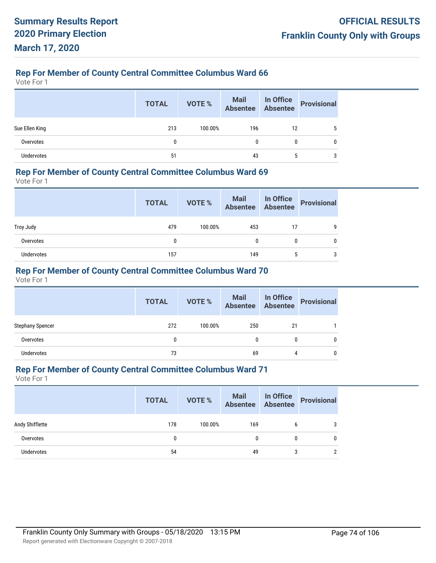Vote For 1

|                   | <b>TOTAL</b> | VOTE %  |     |    | Mail In Office<br>Absentee Absentee Provisional |
|-------------------|--------------|---------|-----|----|-------------------------------------------------|
| Sue Ellen King    | 213          | 100.00% | 196 | 12 | 5                                               |
| Overvotes         |              |         | 0   | 0  | 0                                               |
| <b>Undervotes</b> | 51           |         | 43  | b  | 3                                               |

## **Rep For Member of County Central Committee Columbus Ward 69**

Vote For 1

|            | <b>TOTAL</b> | <b>VOTE %</b> | Mail In Office<br>Absentee Absentee |              | Provisional |
|------------|--------------|---------------|-------------------------------------|--------------|-------------|
| Troy Judy  | 479          | 100.00%       | 453                                 | 17           |             |
| Overvotes  | 0            |               |                                     | $\mathbf{0}$ |             |
| Undervotes | 157          |               | 149                                 | 5            |             |

## **Rep For Member of County Central Committee Columbus Ward 70**

Vote For 1

|                         | <b>TOTAL</b> | <b>VOTE %</b> | Mail In Office<br>Absentee Absentee |    | <b>Provisional</b> |
|-------------------------|--------------|---------------|-------------------------------------|----|--------------------|
| <b>Stephany Spencer</b> | 272          | 100.00%       | 250                                 | 21 |                    |
| Overvotes               | 0            |               | 0                                   | 0  |                    |
| <b>Undervotes</b>       | 73           |               | 69                                  | 4  | 0                  |

## **Rep For Member of County Central Committee Columbus Ward 71**

|                   | <b>TOTAL</b> | <b>VOTE %</b> | <b>Mail In Office</b><br>Absentee Absentee |   | <b>Provisional</b> |
|-------------------|--------------|---------------|--------------------------------------------|---|--------------------|
| Andy Shifflette   | 178          | 100.00%       | 169                                        | 6 |                    |
| Overvotes         | 0            |               | 0                                          |   |                    |
| <b>Undervotes</b> | 54           |               | 49                                         | 3 |                    |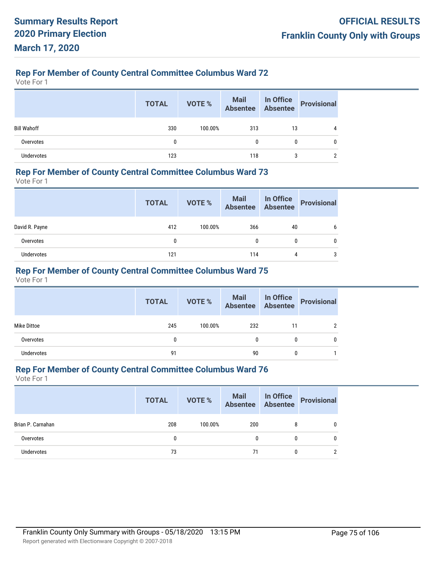Vote For 1

|                    | <b>TOTAL</b> | VOTE %  |     |    | Mail In Office<br>Absentee Absentee Provisional |
|--------------------|--------------|---------|-----|----|-------------------------------------------------|
| <b>Bill Wahoff</b> | 330          | 100.00% | 313 | 13 | 4                                               |
| Overvotes          | 0            |         |     | 0  | 0                                               |
| Undervotes         | 123          |         | 118 | 3  |                                                 |

### **Rep For Member of County Central Committee Columbus Ward 73**

Vote For 1

|                | <b>TOTAL</b> | VOTE %  | Mail In Office<br>Absentee Absentee |    | Provisional |
|----------------|--------------|---------|-------------------------------------|----|-------------|
| David R. Payne | 412          | 100.00% | 366                                 | 40 | 6           |
| Overvotes      | 0            |         | 0                                   | 0  |             |
| Undervotes     | 121          |         | 114                                 | 4  | 3           |

## **Rep For Member of County Central Committee Columbus Ward 75**

Vote For 1

|             | <b>TOTAL</b> | VOTE %  | Mail In Office<br>Absentee Absentee |              | Provisional |
|-------------|--------------|---------|-------------------------------------|--------------|-------------|
| Mike Dittoe | 245          | 100.00% | 232                                 | 11           | 2           |
| Overvotes   |              |         | 0                                   | 0            | 0           |
| Undervotes  | 91           |         | 90                                  | $\mathbf{0}$ |             |

## **Rep For Member of County Central Committee Columbus Ward 76**

|                   | <b>TOTAL</b> | VOTE %  | Mail In Office<br>Absentee Absentee |          | Provisional |
|-------------------|--------------|---------|-------------------------------------|----------|-------------|
| Brian P. Carnahan | 208          | 100.00% | 200                                 | 8        |             |
| Overvotes         | 0            |         | 0                                   | $\bf{0}$ |             |
| Undervotes        | 73           |         | 71                                  |          |             |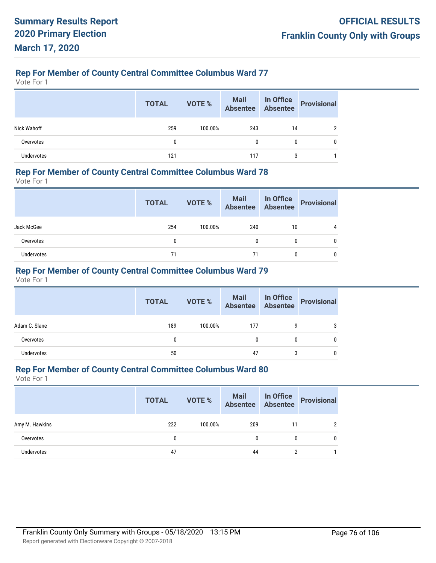Vote For 1

|                   | <b>TOTAL</b> | VOTE %  | Mail In Office<br>Absentee Absentee |              | <b>Provisional</b> |
|-------------------|--------------|---------|-------------------------------------|--------------|--------------------|
| Nick Wahoff       | 259          | 100.00% | 243                                 | 14           | ∩                  |
| Overvotes         | 0            |         |                                     | $\mathbf{0}$ | 0                  |
| <b>Undervotes</b> | 121          |         | 117                                 | 3            |                    |

## **Rep For Member of County Central Committee Columbus Ward 78**

Vote For 1

|            | <b>TOTAL</b> | VOTE %  | Mail In Office<br>Absentee Absentee |    | Provisional |
|------------|--------------|---------|-------------------------------------|----|-------------|
| Jack McGee | 254          | 100.00% | 240                                 | 10 | 4           |
| Overvotes  | 0            |         | 0                                   | 0  |             |
| Undervotes | 71           |         | 71                                  | 0  |             |

## **Rep For Member of County Central Committee Columbus Ward 79**

Vote For 1

|               | <b>TOTAL</b> | VOTE %  | Mail In Office<br>Absentee Absentee |   | <b>Provisional</b> |
|---------------|--------------|---------|-------------------------------------|---|--------------------|
| Adam C. Slane | 189          | 100.00% | 177                                 | 9 | 3                  |
| Overvotes     | 0            |         | 0                                   | 0 | 0                  |
| Undervotes    | 50           |         | 47                                  | 3 | 0                  |

## **Rep For Member of County Central Committee Columbus Ward 80**

|                   | <b>TOTAL</b> | VOTE %  | Mail In Office<br>Absentee Absentee |    | Provisional |
|-------------------|--------------|---------|-------------------------------------|----|-------------|
| Amy M. Hawkins    | 222          | 100.00% | 209                                 | 11 |             |
| Overvotes         | 0            |         | 0                                   | 0  | 0           |
| <b>Undervotes</b> | 47           |         | 44                                  |    |             |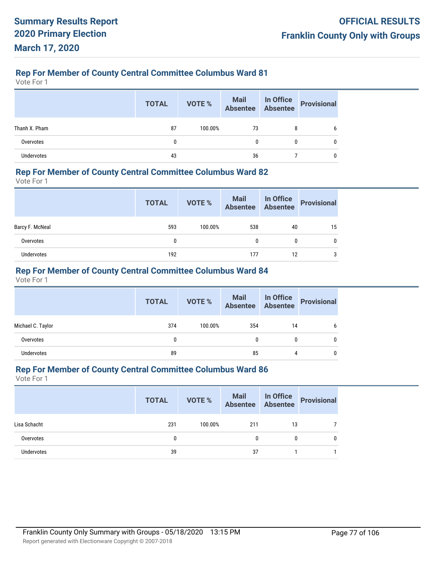Vote For 1

|                   | <b>TOTAL</b> | VOTE %  | Mail In Office<br>Absentee Absentee |              | Provisional |
|-------------------|--------------|---------|-------------------------------------|--------------|-------------|
| Thanh X. Pham     | 87           | 100.00% | 73                                  | 8            | b           |
| Overvotes         | 0            |         |                                     | $\mathbf{0}$ | 0           |
| <b>Undervotes</b> | 43           |         | 36                                  |              |             |

### **Rep For Member of County Central Committee Columbus Ward 82**

Vote For 1

|                 | <b>TOTAL</b> | VOTE %  | Mail In Office<br>Absentee Absentee |    | Provisional |
|-----------------|--------------|---------|-------------------------------------|----|-------------|
| Barcy F. McNeal | 593          | 100.00% | 538                                 | 40 | 15          |
| Overvotes       | 0            |         | $\mathbf{0}$                        | 0  |             |
| Undervotes      | 192          |         | 177                                 | 12 | 3           |

## **Rep For Member of County Central Committee Columbus Ward 84**

Vote For 1

|                   | <b>TOTAL</b> | VOTE %  | Mail In Office<br>Absentee Absentee |    | <b>Provisional</b> |
|-------------------|--------------|---------|-------------------------------------|----|--------------------|
| Michael C. Taylor | 374          | 100.00% | 354                                 | 14 | 6                  |
| Overvotes         | 0            |         | 0                                   | 0  | 0                  |
| <b>Undervotes</b> | 89           |         | 85                                  | 4  | 0                  |

## **Rep For Member of County Central Committee Columbus Ward 86**

|              | <b>TOTAL</b> | <b>VOTE %</b> |     |    | Mail In Office<br>Absentee Absentee Provisional |
|--------------|--------------|---------------|-----|----|-------------------------------------------------|
| Lisa Schacht | 231          | 100.00%       | 211 | 13 |                                                 |
| Overvotes    |              |               | 0   | 0  | 0                                               |
| Undervotes   | 39           |               | 37  |    |                                                 |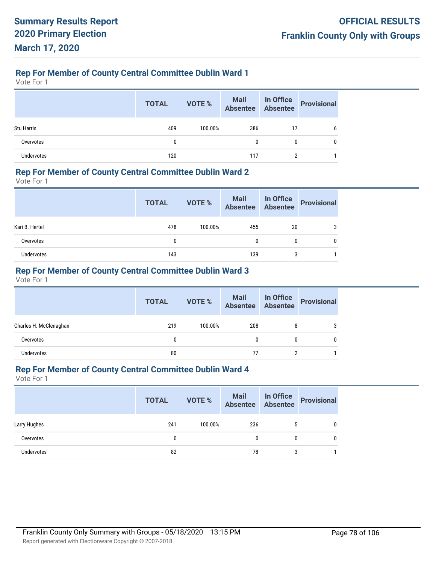Vote For 1

|                   | <b>TOTAL</b> | <b>VOTE %</b> | Mail In Office<br>Absentee Absentee |    | <b>Provisional</b> |
|-------------------|--------------|---------------|-------------------------------------|----|--------------------|
| <b>Stu Harris</b> | 409          | 100.00%       | 386                                 | 17 | b                  |
| Overvotes         | 0            |               | 0<br>$\mathbf{0}$                   |    | 0                  |
| <b>Undervotes</b> | 120          |               | 117                                 |    |                    |

## **Rep For Member of County Central Committee Dublin Ward 2**

Vote For 1

|                | <b>TOTAL</b> | VOTE %  | Mail In Office<br>Absentee Absentee |    | Provisional |
|----------------|--------------|---------|-------------------------------------|----|-------------|
| Kari B. Hertel | 478          | 100.00% | 455                                 | 20 | 3           |
| Overvotes      |              |         | 0                                   | 0  |             |
| Undervotes     | 143          |         | 139                                 | 3  |             |

## **Rep For Member of County Central Committee Dublin Ward 3**

Vote For 1

|                        | <b>TOTAL</b> | VOTE %  | Mail In Office<br>Absentee Absentee |   | <b>Provisional</b> |
|------------------------|--------------|---------|-------------------------------------|---|--------------------|
| Charles H. McClenaghan | 219          | 100.00% | 208                                 | 8 | 3                  |
| Overvotes              | 0            |         | 0                                   | 0 |                    |
| <b>Undervotes</b>      | 80           |         | 77                                  |   |                    |

## **Rep For Member of County Central Committee Dublin Ward 4**

|              | <b>TOTAL</b> | <b>VOTE %</b> | <b>Mail In Office</b><br>Absentee Absentee |   | Provisional  |
|--------------|--------------|---------------|--------------------------------------------|---|--------------|
| Larry Hughes | 241          | 100.00%       | 236                                        |   | 0            |
| Overvotes    | 0            |               | 0                                          |   | $\mathbf{0}$ |
| Undervotes   | 82           |               | 78                                         | 3 |              |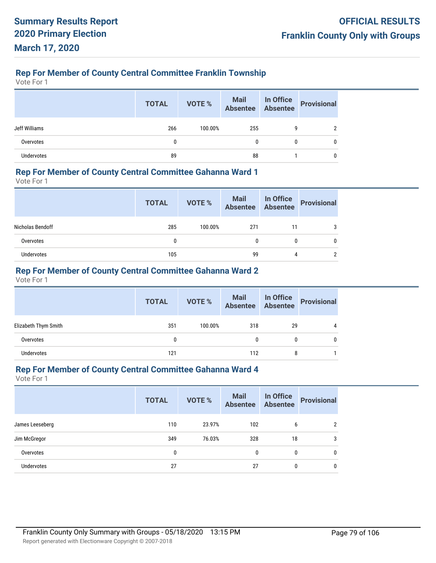# **Rep For Member of County Central Committee Franklin Township**

Vote For 1

|               | <b>TOTAL</b> | VOTE %  |     |   | Mail In Office<br>Absentee Absentee Provisional |
|---------------|--------------|---------|-----|---|-------------------------------------------------|
| Jeff Williams | 266          | 100.00% | 255 | 9 |                                                 |
| Overvotes     |              |         | 0   | 0 |                                                 |
| Undervotes    | 89           |         | 88  |   |                                                 |

### **Rep For Member of County Central Committee Gahanna Ward 1**

Vote For 1

|                  | <b>TOTAL</b> | VOTE %  | Mail In Office<br>Absentee Absentee |    | Provisional |
|------------------|--------------|---------|-------------------------------------|----|-------------|
| Nicholas Bendoff | 285          | 100.00% | 271                                 | 11 | 3           |
| Overvotes        | 0            |         | 0                                   | 0  |             |
| Undervotes       | 105          |         | 99                                  | 4  |             |

## **Rep For Member of County Central Committee Gahanna Ward 2**

Vote For 1

|                      | <b>TOTAL</b> | VOTE %  | Mail In Office<br>Absentee Absentee |    | <b>Provisional</b> |
|----------------------|--------------|---------|-------------------------------------|----|--------------------|
| Elizabeth Thym Smith | 351          | 100.00% | 318                                 | 29 | 4                  |
| Overvotes            | $\mathbf{0}$ |         |                                     | 0  |                    |
| <b>Undervotes</b>    | 121          |         | 112                                 | 8  |                    |

## **Rep For Member of County Central Committee Gahanna Ward 4**

|                   | <b>TOTAL</b> | <b>VOTE %</b> | <b>Mail</b><br><b>Absentee</b> | In Office<br>Absentee | <b>Provisional</b> |
|-------------------|--------------|---------------|--------------------------------|-----------------------|--------------------|
| James Leeseberg   | 110          | 23.97%        | 102                            | 6                     | 2                  |
| Jim McGregor      | 349          | 76.03%        | 328                            | 18                    | 3                  |
| Overvotes         | 0            |               | 0                              | 0                     | 0                  |
| <b>Undervotes</b> | 27           |               | 27                             | 0                     | 0                  |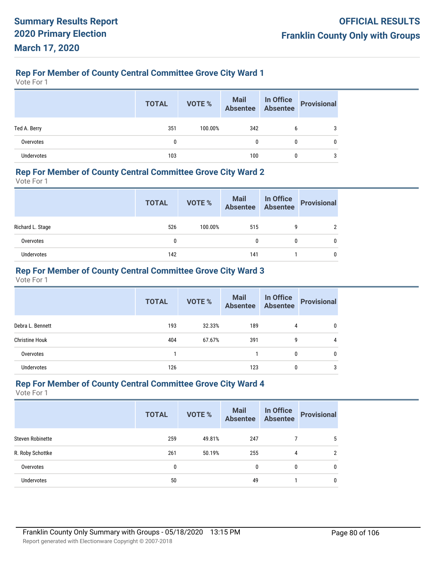# **Rep For Member of County Central Committee Grove City Ward 1**

Vote For 1

|                   | <b>TOTAL</b> | VOTE %  | Mail In Office<br>Absentee Absentee |   | Provisional |
|-------------------|--------------|---------|-------------------------------------|---|-------------|
| Ted A. Berry      | 351          | 100.00% | 342                                 | b |             |
| Overvotes         | 0            |         | 0                                   | 0 |             |
| <b>Undervotes</b> | 103          |         | 100                                 |   |             |

## **Rep For Member of County Central Committee Grove City Ward 2**

Vote For 1

|                  | <b>TOTAL</b> | VOTE %  | Mail In Office<br>Absentee Absentee |   | Provisional |
|------------------|--------------|---------|-------------------------------------|---|-------------|
| Richard L. Stage | 526          | 100.00% | 515                                 | 9 |             |
| Overvotes        | 0            |         | 0                                   | 0 |             |
| Undervotes       | 142          |         | 141                                 |   |             |

## **Rep For Member of County Central Committee Grove City Ward 3**

Vote For 1

|                       | <b>TOTAL</b> | <b>VOTE %</b> | Mail<br>Absentee | In Office<br>Absentee | <b>Provisional</b> |
|-----------------------|--------------|---------------|------------------|-----------------------|--------------------|
| Debra L. Bennett      | 193          | 32.33%        | 189              | 4                     | 0                  |
| <b>Christine Houk</b> | 404          | 67.67%        | 391              | 9                     | 4                  |
| Overvotes             |              |               |                  | 0                     | 0                  |
| <b>Undervotes</b>     | 126          |               | 123              | 0                     | 3                  |

## **Rep For Member of County Central Committee Grove City Ward 4**

|                         | <b>TOTAL</b> | <b>VOTE %</b> | <b>Mail</b><br><b>Absentee</b> | In Office<br><b>Absentee</b> | <b>Provisional</b> |
|-------------------------|--------------|---------------|--------------------------------|------------------------------|--------------------|
| <b>Steven Robinette</b> | 259          | 49.81%        | 247                            |                              | 5                  |
| R. Roby Schottke        | 261          | 50.19%        | 255                            | 4                            | $\mathcal{P}$      |
| Overvotes               | 0            |               | 0                              | $\mathbf{0}$                 | $\mathbf{0}$       |
| Undervotes              | 50           |               | 49                             |                              | 0                  |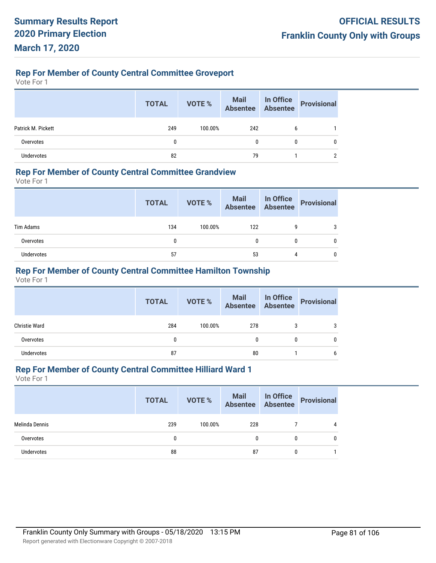# **Rep For Member of County Central Committee Groveport**

Vote For 1

|                    | <b>TOTAL</b> | VOTE %  | Mail In Office<br>Absentee Absentee |   | Provisional |
|--------------------|--------------|---------|-------------------------------------|---|-------------|
| Patrick M. Pickett | 249          | 100.00% | 242                                 | 6 |             |
| Overvotes          | 0            |         | 0                                   |   |             |
| <b>Undervotes</b>  | 82           |         | 79                                  |   |             |

### **Rep For Member of County Central Committee Grandview**

Vote For 1

|            | <b>TOTAL</b> | VOTE %  | Mail In Office<br>Absentee Absentee |   | Provisional |
|------------|--------------|---------|-------------------------------------|---|-------------|
| Tim Adams  | 134          | 100.00% | 122                                 | 9 |             |
| Overvotes  | 0            |         |                                     | 0 |             |
| Undervotes | 57           |         | 53                                  | 4 |             |

## **Rep For Member of County Central Committee Hamilton Township**

Vote For 1

|                      | <b>TOTAL</b> | VOTE %  | Mail In Office<br>Absentee Absentee |   | <b>Provisional</b> |
|----------------------|--------------|---------|-------------------------------------|---|--------------------|
| <b>Christie Ward</b> | 284          | 100.00% | 278                                 | 3 | 3                  |
| Overvotes            |              |         | 0                                   | 0 | 0                  |
| Undervotes           | 87           |         | 80                                  |   | b                  |

## **Rep For Member of County Central Committee Hilliard Ward 1**

|                   | <b>TOTAL</b> | VOTE %  |     |              | Mail In Office<br>Absentee Absentee Provisional |
|-------------------|--------------|---------|-----|--------------|-------------------------------------------------|
| Melinda Dennis    | 239          | 100.00% | 228 |              | 4                                               |
| Overvotes         | 0            |         | 0   | $\mathbf{0}$ |                                                 |
| <b>Undervotes</b> | 88           |         | 87  | $\mathbf{0}$ |                                                 |
|                   |              |         |     |              |                                                 |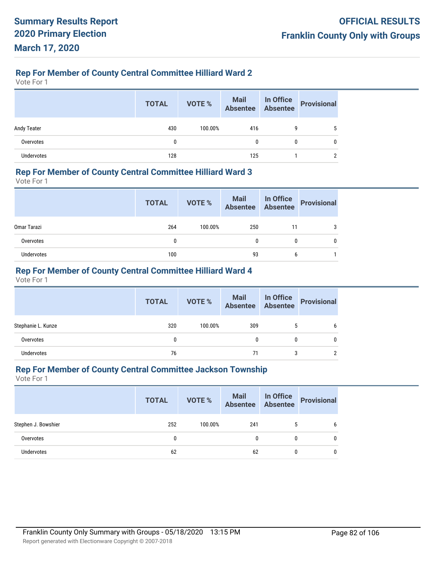# **Rep For Member of County Central Committee Hilliard Ward 2**

Vote For 1

|                    | <b>TOTAL</b> | VOTE %  | Mail In Office<br>Absentee Absentee |   | Provisional |
|--------------------|--------------|---------|-------------------------------------|---|-------------|
| <b>Andy Teater</b> | 430          | 100.00% | 416                                 |   |             |
| Overvotes          |              |         | 0                                   | 0 |             |
| <b>Undervotes</b>  | 128          |         | 125                                 |   |             |

## **Rep For Member of County Central Committee Hilliard Ward 3**

Vote For 1

|                    | <b>TOTAL</b> | VOTE %  | Mail In Office<br>Absentee Absentee |    | Provisional |
|--------------------|--------------|---------|-------------------------------------|----|-------------|
| <b>Omar Tarazi</b> | 264          | 100.00% | 250                                 | 11 | 3           |
| Overvotes          | 0            |         | 0                                   | 0  |             |
| Undervotes         | 100          |         | 93                                  | 6  |             |

## **Rep For Member of County Central Committee Hilliard Ward 4**

Vote For 1

|                    | <b>TOTAL</b> | VOTE %  | Mail In Office<br>Absentee Absentee |   | <b>Provisional</b> |
|--------------------|--------------|---------|-------------------------------------|---|--------------------|
| Stephanie L. Kunze | 320          | 100.00% | 309                                 | ა | 6                  |
| Overvotes          | 0            |         | 0                                   | 0 | 0                  |
| <b>Undervotes</b>  | 76           |         | 71                                  | 3 | າ                  |

## **Rep For Member of County Central Committee Jackson Township**

|                     | <b>TOTAL</b> | <b>VOTE %</b> | Mail In Office<br>Absentee Absentee |   | Provisional |
|---------------------|--------------|---------------|-------------------------------------|---|-------------|
| Stephen J. Bowshier | 252          | 100.00%       | 241                                 |   | 6           |
| Overvotes           | 0            |               | 0                                   | 0 | 0           |
| <b>Undervotes</b>   | 62           |               | 62                                  | 0 | 0           |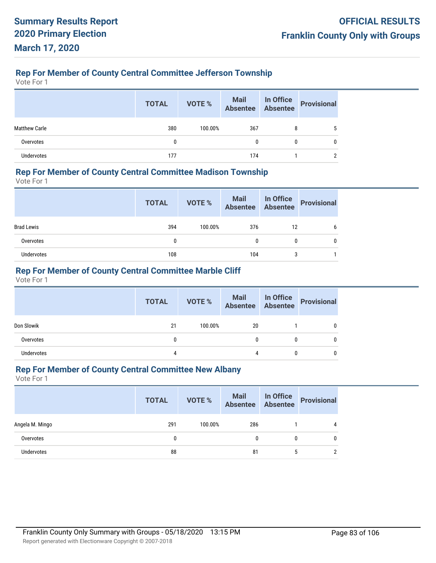# **Rep For Member of County Central Committee Jefferson Township**

Vote For 1

|                      | <b>TOTAL</b> | VOTE %  | Mail In Office<br>Absentee Absentee |   | Provisional |
|----------------------|--------------|---------|-------------------------------------|---|-------------|
| <b>Matthew Carle</b> | 380          | 100.00% | 367                                 | 8 |             |
| Overvotes            | 0            |         | 0                                   |   |             |
| Undervotes           | 177          |         | 174                                 |   |             |

## **Rep For Member of County Central Committee Madison Township**

Vote For 1

|                   | <b>TOTAL</b> | VOTE %  |     |    | Mail In Office<br>Absentee Absentee Provisional |
|-------------------|--------------|---------|-----|----|-------------------------------------------------|
| <b>Brad Lewis</b> | 394          | 100.00% | 376 | 12 |                                                 |
| Overvotes         | 0            |         | 0   |    |                                                 |
| Undervotes        | 108          |         | 104 |    |                                                 |

## **Rep For Member of County Central Committee Marble Cliff**

Vote For 1

|            | <b>TOTAL</b> | VOTE %  | Mail In Office<br>Absentee Absentee |   | Provisional |
|------------|--------------|---------|-------------------------------------|---|-------------|
| Don Slowik | 21           | 100.00% | 20                                  |   |             |
| Overvotes  | 0            |         |                                     | 0 |             |
| Undervotes | 4            |         | 4                                   | 0 |             |

## **Rep For Member of County Central Committee New Albany**

|                   | <b>TOTAL</b> | VOTE %  |     |   | Mail In Office<br>Absentee Absentee Provisional |
|-------------------|--------------|---------|-----|---|-------------------------------------------------|
| Angela M. Mingo   | 291          | 100.00% | 286 |   | 4                                               |
| Overvotes         | 0            |         | 0   | 0 | 0                                               |
| <b>Undervotes</b> | 88           |         | 81  | 5 |                                                 |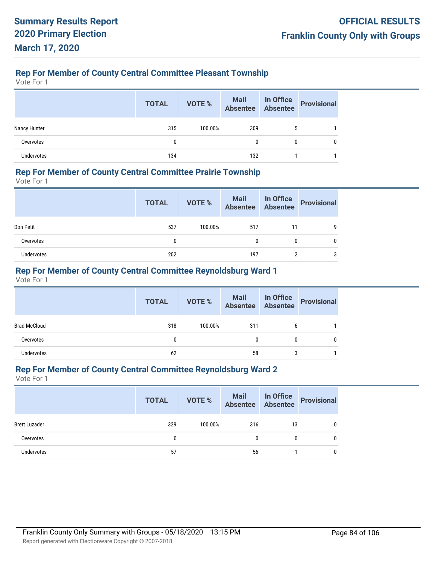# **Rep For Member of County Central Committee Pleasant Township**

Vote For 1

|                   | <b>TOTAL</b> | VOTE %  | Mail In Office<br>Absentee Absentee |   | Provisional |
|-------------------|--------------|---------|-------------------------------------|---|-------------|
| Nancy Hunter      | 315          | 100.00% | 309                                 | ა |             |
| Overvotes         | 0            |         | 0                                   | 0 |             |
| <b>Undervotes</b> | 134          |         | 132                                 |   |             |

## **Rep For Member of County Central Committee Prairie Township**

Vote For 1

|            | <b>TOTAL</b> | VOTE %  |     |    | Mail In Office<br>Absentee Absentee Provisional |
|------------|--------------|---------|-----|----|-------------------------------------------------|
| Don Petit  | 537          | 100.00% | 517 | 11 | q                                               |
| Overvotes  | 0            |         | 0   |    |                                                 |
| Undervotes | 202          |         | 197 |    |                                                 |

## **Rep For Member of County Central Committee Reynoldsburg Ward 1**

Vote For 1

|                     | <b>TOTAL</b> | VOTE %  | Mail In Office<br>Absentee Absentee |   | <b>Provisional</b> |
|---------------------|--------------|---------|-------------------------------------|---|--------------------|
| <b>Brad McCloud</b> | 318          | 100.00% | 311                                 | b |                    |
| Overvotes           | 0            |         | 0                                   | 0 |                    |
| <b>Undervotes</b>   | 62           |         | 58                                  | 3 |                    |

## **Rep For Member of County Central Committee Reynoldsburg Ward 2**

|                      | <b>TOTAL</b> | VOTE %  | Mail In Office<br>Absentee Absentee Provisional |    |   |
|----------------------|--------------|---------|-------------------------------------------------|----|---|
| <b>Brett Luzader</b> | 329          | 100.00% | 316                                             | 13 | 0 |
| Overvotes            | 0            |         | 0                                               | 0  | 0 |
| Undervotes           | 57           |         | 56                                              |    | 0 |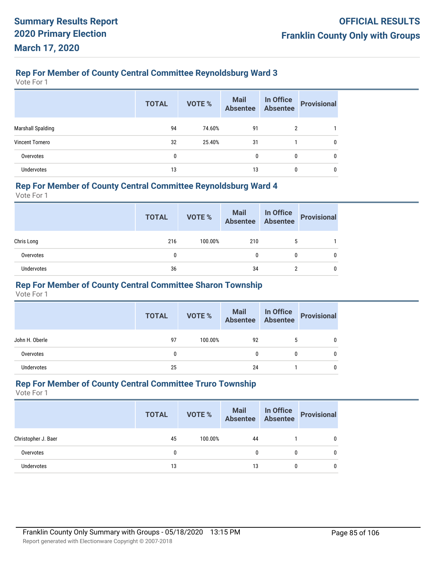## **Rep For Member of County Central Committee Reynoldsburg Ward 3**

Vote For 1

|                          | <b>TOTAL</b> | <b>VOTE %</b> | Mail<br>Absentee | In Office<br>Absentee | <b>Provisional</b> |
|--------------------------|--------------|---------------|------------------|-----------------------|--------------------|
| <b>Marshall Spalding</b> | 94           | 74.60%        | 91               | 2                     |                    |
| <b>Vincent Tornero</b>   | 32           | 25.40%        | 31               |                       | 0                  |
| Overvotes                | 0            |               | $\mathbf{0}$     | 0                     | 0                  |
| Undervotes               | 13           |               | 13               | 0                     | 0                  |

## **Rep For Member of County Central Committee Reynoldsburg Ward 4**

Vote For 1

|                   | <b>TOTAL</b> | VOTE %  | Mail In Office<br>Absentee Absentee |   | Provisional |
|-------------------|--------------|---------|-------------------------------------|---|-------------|
| Chris Long        | 216          | 100.00% | 210                                 | ა |             |
| Overvotes         | 0            |         | 0                                   | 0 | 0           |
| <b>Undervotes</b> | 36           |         | 34                                  | ŋ |             |

## **Rep For Member of County Central Committee Sharon Township**

Vote For 1

|                | <b>TOTAL</b> | VOTE %  | Mail In Office<br>Absentee Absentee |   | <b>Provisional</b> |
|----------------|--------------|---------|-------------------------------------|---|--------------------|
| John H. Oberle | 97           | 100.00% | 92                                  | 5 |                    |
| Overvotes      |              |         | 0                                   | 0 |                    |
| Undervotes     | 25           |         | 24                                  |   |                    |

## **Rep For Member of County Central Committee Truro Township**

|                     | <b>TOTAL</b> | VOTE %  |    | Mail In Office<br>Absentee Absentee Provisional |
|---------------------|--------------|---------|----|-------------------------------------------------|
| Christopher J. Baer | 45           | 100.00% | 44 |                                                 |
| Overvotes           | 0            |         | 0  |                                                 |
| Undervotes          | 13           |         | 13 |                                                 |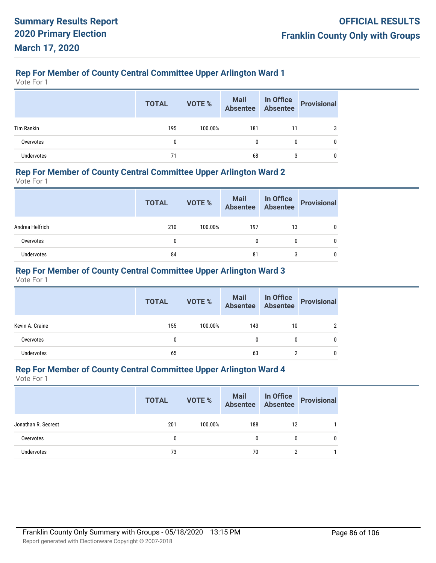# **Rep For Member of County Central Committee Upper Arlington Ward 1**

Vote For 1

|                   | <b>TOTAL</b> | <b>VOTE %</b> |     |    | Mail In Office<br>Absentee Absentee Provisional |
|-------------------|--------------|---------------|-----|----|-------------------------------------------------|
| <b>Tim Rankin</b> | 195          | 100.00%       | 181 | 11 |                                                 |
| Overvotes         | $\mathbf{0}$ |               | 0   | 0  |                                                 |
| Undervotes        | 71           |               | 68  |    |                                                 |

## **Rep For Member of County Central Committee Upper Arlington Ward 2**

Vote For 1

|                 | <b>TOTAL</b> | VOTE %  |     |    | Mail In Office<br>Absentee Absentee Provisional |
|-----------------|--------------|---------|-----|----|-------------------------------------------------|
| Andrea Helfrich | 210          | 100.00% | 197 | 13 |                                                 |
| Overvotes       | 0            |         | 0   |    |                                                 |
| Undervotes      | 84           |         | 81  |    |                                                 |

## **Rep For Member of County Central Committee Upper Arlington Ward 3**

Vote For 1

| <b>TOTAL</b> | VOTE %  |     |    | Provisional                         |
|--------------|---------|-----|----|-------------------------------------|
| 155          | 100.00% | 143 | 10 | ∩                                   |
| 0            |         | 0   | 0  |                                     |
| 65           |         | 63  |    |                                     |
|              |         |     |    | Mail In Office<br>Absentee Absentee |

## **Rep For Member of County Central Committee Upper Arlington Ward 4**

|                     | <b>TOTAL</b> | <b>VOTE %</b> | <b>Mail In Office</b><br>Absentee Absentee |    | Provisional |
|---------------------|--------------|---------------|--------------------------------------------|----|-------------|
| Jonathan R. Secrest | 201          | 100.00%       | 188                                        | 12 |             |
| Overvotes           | 0            |               | 0                                          | 0  |             |
| Undervotes          | 73           |               | 70                                         |    |             |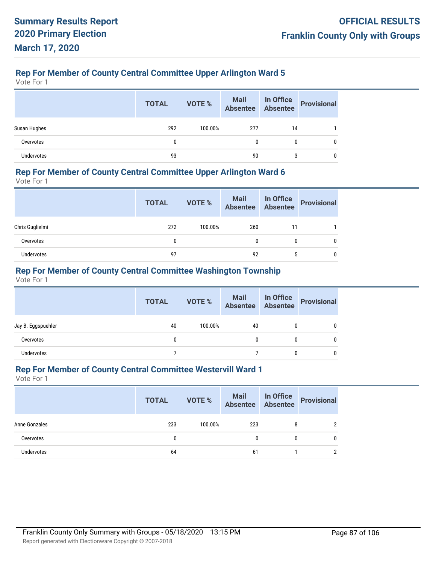# **Rep For Member of County Central Committee Upper Arlington Ward 5**

Vote For 1

|                   | <b>TOTAL</b> | VOTE %  | Mail In Office<br>Absentee Absentee |    | Provisional |
|-------------------|--------------|---------|-------------------------------------|----|-------------|
| Susan Hughes      | 292          | 100.00% | 277                                 | 14 |             |
| Overvotes         | $\mathbf{0}$ |         | 0                                   | 0  |             |
| <b>Undervotes</b> | 93           |         | 90                                  |    |             |

## **Rep For Member of County Central Committee Upper Arlington Ward 6**

Vote For 1

|                 | <b>TOTAL</b> | VOTE %  | Mail In Office<br>Absentee Absentee |    | Provisional |
|-----------------|--------------|---------|-------------------------------------|----|-------------|
| Chris Guglielmi | 272          | 100.00% | 260                                 | 11 |             |
| Overvotes       | 0            |         |                                     | 0  |             |
| Undervotes      | 97           |         | 92                                  |    |             |

## **Rep For Member of County Central Committee Washington Township**

Vote For 1

|                    | <b>TOTAL</b> | <b>VOTE %</b> | Mail In Office<br>Absentee Absentee |   | <b>Provisional</b> |
|--------------------|--------------|---------------|-------------------------------------|---|--------------------|
| Jay B. Eggspuehler | 40           | 100.00%       | 40                                  | 0 |                    |
| Overvotes          | 0            |               | 0                                   | 0 |                    |
| Undervotes         |              |               |                                     |   |                    |

## **Rep For Member of County Central Committee Westervill Ward 1**

|               | <b>TOTAL</b> | VOTE %  | Mail In Office<br>Absentee Absentee |   | Provisional |
|---------------|--------------|---------|-------------------------------------|---|-------------|
| Anne Gonzales | 233          | 100.00% | 223                                 | 8 | 2           |
| Overvotes     |              |         | 0                                   | 0 | 0           |
| Undervotes    | 64           |         | 61                                  |   | ŋ           |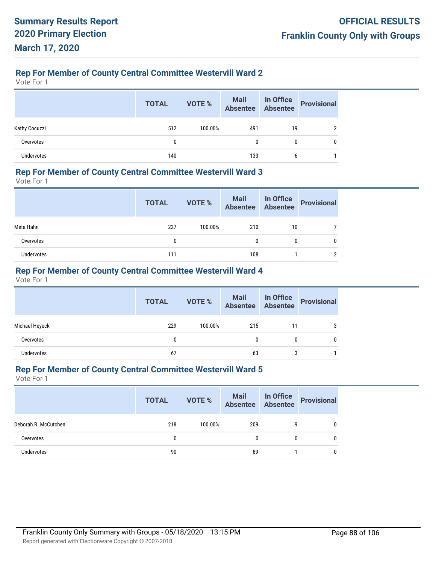# **Rep For Member of County Central Committee Westervill Ward 2**

Vote For 1

|                   | <b>TOTAL</b> | VOTE %  | Mail In Office<br>Absentee Absentee |    | Provisional |
|-------------------|--------------|---------|-------------------------------------|----|-------------|
| Kathy Cocuzzi     | 512          | 100.00% | 491                                 | 19 |             |
| Overvotes         | 0            |         | 0                                   | 0  | 0           |
| <b>Undervotes</b> | 140          |         | 133                                 | b  |             |

### **Rep For Member of County Central Committee Westervill Ward 3**

Vote For 1

|            | <b>TOTAL</b> | VOTE %  |     |    | Mail In Office<br>Absentee Absentee Provisional |
|------------|--------------|---------|-----|----|-------------------------------------------------|
| Meta Hahn  | 227          | 100.00% | 210 | 10 |                                                 |
| Overvotes  | 0            |         | 0   |    |                                                 |
| Undervotes | 111          |         | 108 |    |                                                 |

## **Rep For Member of County Central Committee Westervill Ward 4**

Vote For 1

|                   | <b>TOTAL</b> | VOTE %  | Mail In Office<br>Absentee Absentee |    | Provisional |
|-------------------|--------------|---------|-------------------------------------|----|-------------|
| Michael Heyeck    | 229          | 100.00% | 215                                 | 11 |             |
| Overvotes         | 0            |         |                                     |    |             |
| <b>Undervotes</b> | 67           |         | 63                                  | 3  |             |

## **Rep For Member of County Central Committee Westervill Ward 5**

|                      | <b>TOTAL</b> | VOTE %  | Mail In Office<br>Absentee Absentee |          | Provisional |
|----------------------|--------------|---------|-------------------------------------|----------|-------------|
| Deborah R. McCutchen | 218          | 100.00% | 209                                 | 9        | 0           |
| Overvotes            | 0            |         | 0                                   | $\bf{0}$ | 0           |
| Undervotes           | 90           |         | 89                                  |          |             |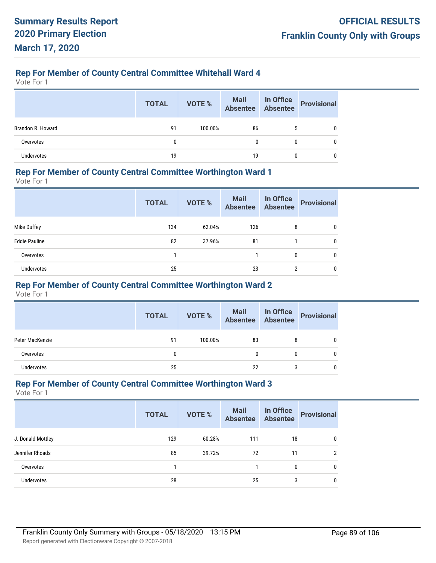## **Rep For Member of County Central Committee Whitehall Ward 4**

Vote For 1

|                   | <b>TOTAL</b> | VOTE %  | Mail In Office<br>Absentee Absentee |   | <b>Provisional</b> |
|-------------------|--------------|---------|-------------------------------------|---|--------------------|
| Brandon R. Howard | 91           | 100.00% | 86                                  |   | 0                  |
| Overvotes         | 0            |         |                                     | 0 | 0                  |
| <b>Undervotes</b> | 19           |         | 19                                  |   |                    |

### **Rep For Member of County Central Committee Worthington Ward 1**

Vote For 1

|                      | <b>TOTAL</b> | <b>VOTE %</b> | <b>Mail</b><br><b>Absentee</b> | In Office<br><b>Absentee</b> | <b>Provisional</b> |
|----------------------|--------------|---------------|--------------------------------|------------------------------|--------------------|
| Mike Duffey          | 134          | 62.04%        | 126                            | 8                            | 0                  |
| <b>Eddie Pauline</b> | 82           | 37.96%        | 81                             |                              | 0                  |
| Overvotes            |              |               |                                | 0                            | 0                  |
| <b>Undervotes</b>    | 25           |               | 23                             | 2                            | 0                  |

## **Rep For Member of County Central Committee Worthington Ward 2**

Vote For 1

|                 | <b>TOTAL</b> | VOTE %  | Mail In Office<br>Absentee Absentee |   | Provisional |
|-----------------|--------------|---------|-------------------------------------|---|-------------|
| Peter MacKenzie | 91           | 100.00% | 83                                  | 8 |             |
| Overvotes       |              |         |                                     | 0 |             |
| Undervotes      | 25           |         | 22                                  | 3 |             |

## **Rep For Member of County Central Committee Worthington Ward 3**

|                   | <b>TOTAL</b> | <b>VOTE %</b> | <b>Mail</b><br><b>Absentee</b> | In Office<br><b>Absentee</b> | <b>Provisional</b> |
|-------------------|--------------|---------------|--------------------------------|------------------------------|--------------------|
| J. Donald Mottley | 129          | 60.28%        | 111                            | 18                           | 0                  |
| Jennifer Rhoads   | 85           | 39.72%        | 72                             | 11                           | 2                  |
| Overvotes         |              |               |                                | 0                            | 0                  |
| Undervotes        | 28           |               | 25                             | 3                            | 0                  |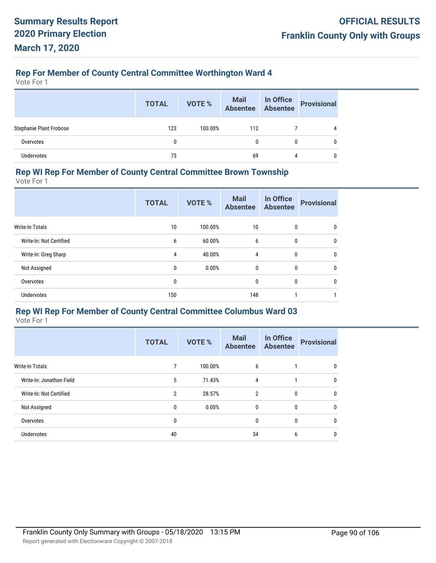## **Rep For Member of County Central Committee Worthington Ward 4**

Vote For 1

|                                | <b>TOTAL</b> | <b>VOTE %</b> | Mail In Office<br>Absentee Absentee | <b>Provisional</b> |
|--------------------------------|--------------|---------------|-------------------------------------|--------------------|
| <b>Stephanie Plant Frobose</b> | 123          | 100.00%       | 112                                 | 4                  |
| Overvotes                      | 0            |               | 0                                   |                    |
| <b>Undervotes</b>              | 73           |               | 69                                  | 0                  |

## **Rep WI Rep For Member of County Central Committee Brown Township**

Vote For 1

|                         | <b>TOTAL</b> | <b>VOTE %</b> | <b>Mail</b><br><b>Absentee</b> | In Office<br><b>Absentee</b> | <b>Provisional</b> |
|-------------------------|--------------|---------------|--------------------------------|------------------------------|--------------------|
| <b>Write-In Totals</b>  | 10           | 100.00%       | 10                             | $\mathbf{0}$                 | $\mathbf{0}$       |
| Write-In: Not Certified | 6            | 60.00%        | 6                              | 0                            | 0                  |
| Write-In: Greg Sharp    | 4            | 40.00%        | 4                              | 0                            | $\mathbf 0$        |
| Not Assigned            | $\mathbf 0$  | 0.00%         | $\mathbf{0}$                   | $\mathbf{0}$                 | $\mathbf{0}$       |
| Overvotes               | 0            |               | $\mathbf{0}$                   | $\mathbf{0}$                 | $\mathbf{0}$       |
| <b>Undervotes</b>       | 150          |               | 148                            |                              |                    |

## **Rep WI Rep For Member of County Central Committee Columbus Ward 03**

|                          | <b>TOTAL</b>   | <b>VOTE %</b> | <b>Mail</b><br><b>Absentee</b> | In Office<br><b>Absentee</b> | <b>Provisional</b> |
|--------------------------|----------------|---------------|--------------------------------|------------------------------|--------------------|
| <b>Write-In Totals</b>   | 7              | 100.00%       | 6                              |                              | 0                  |
| Write-In: Jonathon Field | 5              | 71.43%        | 4                              |                              | 0                  |
| Write-In: Not Certified  | $\overline{2}$ | 28.57%        | $\overline{2}$                 | $\mathbf{0}$                 | $\mathbf{0}$       |
| Not Assigned             | 0              | 0.00%         | 0                              | $\mathbf{0}$                 | $\mathbf 0$        |
| Overvotes                | 0              |               | 0                              | $\boldsymbol{0}$             | $\mathbf 0$        |
| Undervotes               | 40             |               | 34                             | 6                            | 0                  |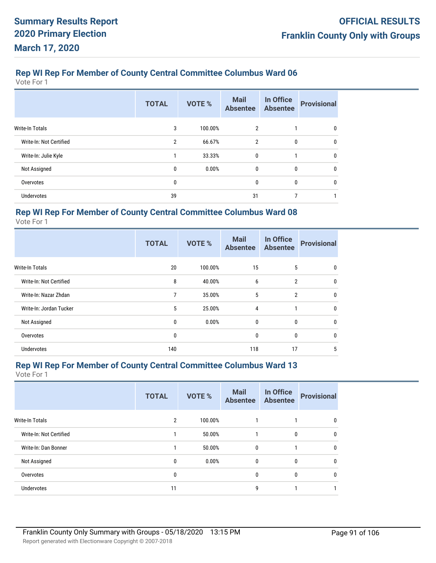Vote For 1

|                         | <b>TOTAL</b> | VOTE %  | <b>Mail</b><br><b>Absentee</b> | In Office<br><b>Absentee</b> | <b>Provisional</b> |
|-------------------------|--------------|---------|--------------------------------|------------------------------|--------------------|
| <b>Write-In Totals</b>  | 3            | 100.00% | 2                              |                              | 0                  |
| Write-In: Not Certified | 2            | 66.67%  | $\overline{2}$                 | 0                            | $\mathbf 0$        |
| Write-In: Julie Kyle    |              | 33.33%  | $\mathbf{0}$                   |                              | $\mathbf{0}$       |
| Not Assigned            | 0            | 0.00%   | $\mathbf{0}$                   | 0                            | 0                  |
| Overvotes               | 0            |         | 0                              | 0                            | $\mathbf 0$        |
| <b>Undervotes</b>       | 39           |         | 31                             |                              |                    |

## **Rep WI Rep For Member of County Central Committee Columbus Ward 08**

Vote For 1

|                         | <b>TOTAL</b> | VOTE %  | <b>Mail</b><br><b>Absentee</b> | In Office<br><b>Absentee</b> | <b>Provisional</b> |
|-------------------------|--------------|---------|--------------------------------|------------------------------|--------------------|
| <b>Write-In Totals</b>  | 20           | 100.00% | 15                             | 5                            | $\mathbf{0}$       |
| Write-In: Not Certified | 8            | 40.00%  | 6                              | $\overline{2}$               | $\mathbf 0$        |
| Write-In: Nazar Zhdan   | 7            | 35.00%  | 5                              | $\overline{2}$               | $\mathbf{0}$       |
| Write-In: Jordan Tucker | 5            | 25.00%  | 4                              | 1                            | $\mathbf{0}$       |
| Not Assigned            | $\mathbf{0}$ | 0.00%   | $\mathbf{0}$                   | $\mathbf{0}$                 | $\mathbf{0}$       |
| Overvotes               | 0            |         | $\mathbf{0}$                   | $\mathbf{0}$                 | $\mathbf{0}$       |
| Undervotes              | 140          |         | 118                            | 17                           | 5                  |

## **Rep WI Rep For Member of County Central Committee Columbus Ward 13**

|                         | <b>TOTAL</b> | VOTE %   | <b>Mail</b><br><b>Absentee</b> | In Office<br><b>Absentee</b> | <b>Provisional</b> |
|-------------------------|--------------|----------|--------------------------------|------------------------------|--------------------|
| <b>Write-In Totals</b>  | 2            | 100.00%  |                                |                              | $\mathbf{0}$       |
| Write-In: Not Certified |              | 50.00%   |                                | 0                            | $\mathbf{0}$       |
| Write-In: Dan Bonner    |              | 50.00%   | $\mathbf{0}$                   |                              | $\mathbf{0}$       |
| Not Assigned            | 0            | $0.00\%$ | $\mathbf{0}$                   | 0                            | 0                  |
| Overvotes               | 0            |          | $\mathbf{0}$                   | $\mathbf{0}$                 | $\mathbf{0}$       |
| Undervotes              | 11           |          | g                              |                              |                    |
|                         |              |          |                                |                              |                    |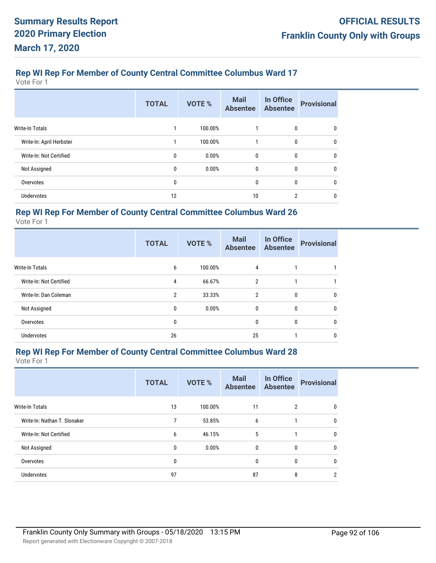Vote For 1

|                          | <b>TOTAL</b> | VOTE %  | <b>Mail</b><br><b>Absentee</b> | In Office<br><b>Absentee</b> | <b>Provisional</b> |
|--------------------------|--------------|---------|--------------------------------|------------------------------|--------------------|
| <b>Write-In Totals</b>   |              | 100.00% | 1                              | 0                            | 0                  |
| Write-In: April Herbster |              | 100.00% | 1                              | 0                            | $\mathbf 0$        |
| Write-In: Not Certified  | 0            | 0.00%   | $\mathbf{0}$                   | 0                            | $\mathbf 0$        |
| Not Assigned             | 0            | 0.00%   | $\mathbf{0}$                   | 0                            | 0                  |
| Overvotes                | 0            |         | 0                              | 0                            | 0                  |
| <b>Undervotes</b>        | 12           |         | 10                             | 2                            | 0                  |

## **Rep WI Rep For Member of County Central Committee Columbus Ward 26**

Vote For 1

|                         | <b>TOTAL</b>   | VOTE %  | <b>Mail</b><br><b>Absentee</b> | In Office<br><b>Absentee</b> | <b>Provisional</b> |
|-------------------------|----------------|---------|--------------------------------|------------------------------|--------------------|
| <b>Write-In Totals</b>  | 6              | 100.00% | 4                              |                              |                    |
| Write-In: Not Certified | 4              | 66.67%  | 2                              |                              |                    |
| Write-In: Dan Coleman   | $\overline{2}$ | 33.33%  | 2                              | $\mathbf{0}$                 | $\mathbf{0}$       |
| Not Assigned            | 0              | 0.00%   | $\mathbf{0}$                   | $\mathbf{0}$                 | $\mathbf{0}$       |
| Overvotes               | 0              |         | $\mathbf{0}$                   | $\mathbf{0}$                 | $\mathbf{0}$       |
| Undervotes              | 26             |         | 25                             |                              | 0                  |

## **Rep WI Rep For Member of County Central Committee Columbus Ward 28**

|                              | <b>TOTAL</b> | VOTE %  | <b>Mail</b><br><b>Absentee</b> | In Office<br><b>Absentee</b> | <b>Provisional</b> |
|------------------------------|--------------|---------|--------------------------------|------------------------------|--------------------|
| <b>Write-In Totals</b>       | 13           | 100.00% | 11                             | 2                            | 0                  |
| Write-In: Nathan T. Slonaker | 7            | 53.85%  | 6                              |                              | 0                  |
| Write-In: Not Certified      | 6            | 46.15%  | 5                              |                              | 0                  |
| Not Assigned                 | 0            | 0.00%   | 0                              | 0                            | 0                  |
| Overvotes                    | 0            |         | 0                              | $\mathbf{0}$                 | $\mathbf{0}$       |
| <b>Undervotes</b>            | 97           |         | 87                             | 8                            | 2                  |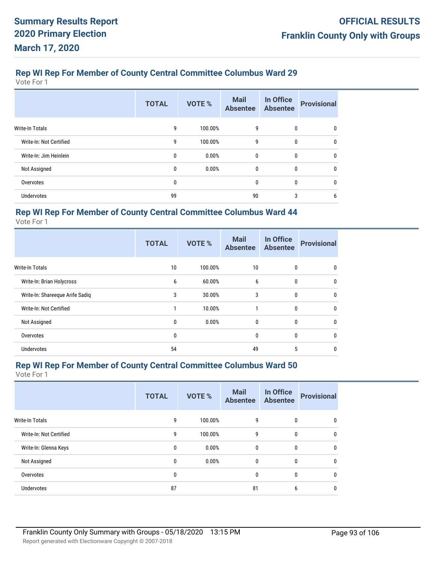Vote For 1

|                         | <b>TOTAL</b> | VOTE %  | <b>Mail</b><br><b>Absentee</b> | In Office<br><b>Absentee</b> | <b>Provisional</b> |
|-------------------------|--------------|---------|--------------------------------|------------------------------|--------------------|
| <b>Write-In Totals</b>  | 9            | 100.00% | 9                              | 0                            | 0                  |
| Write-In: Not Certified | 9            | 100.00% | 9                              | 0                            | 0                  |
| Write-In: Jim Heinlein  | 0            | 0.00%   | $\bf{0}$                       | 0                            | $\mathbf 0$        |
| Not Assigned            | 0            | 0.00%   | 0                              | 0                            | $\mathbf{0}$       |
| Overvotes               | 0            |         | 0                              | 0                            | 0                  |
| <b>Undervotes</b>       | 99           |         | 90                             | 3                            | 6                  |

## **Rep WI Rep For Member of County Central Committee Columbus Ward 44**

Vote For 1

|                                 | <b>TOTAL</b> | VOTE %  | <b>Mail</b><br><b>Absentee</b> | In Office<br><b>Absentee</b> | <b>Provisional</b> |
|---------------------------------|--------------|---------|--------------------------------|------------------------------|--------------------|
| <b>Write-In Totals</b>          | 10           | 100.00% | 10                             | $\mathbf{0}$                 | 0                  |
| Write-In: Brian Holycross       | 6            | 60.00%  | 6                              | 0                            | 0                  |
| Write-In: Shareeque Arife Sadiq | 3            | 30.00%  | 3                              | $\mathbf{0}$                 | $\mathbf{0}$       |
| Write-In: Not Certified         |              | 10.00%  | 1                              | 0                            | 0                  |
| Not Assigned                    | 0            | 0.00%   | $\mathbf{0}$                   | 0                            | 0                  |
| Overvotes                       | 0            |         | $\mathbf{0}$                   | 0                            | 0                  |
| Undervotes                      | 54           |         | 49                             | 5                            | 0                  |

## **Rep WI Rep For Member of County Central Committee Columbus Ward 50**

|                         | <b>TOTAL</b> | VOTE %  | <b>Mail</b><br><b>Absentee</b> | In Office<br><b>Absentee</b> | <b>Provisional</b> |
|-------------------------|--------------|---------|--------------------------------|------------------------------|--------------------|
| <b>Write-In Totals</b>  | 9            | 100.00% | 9                              | $\mathbf{0}$                 | $\mathbf{0}$       |
| Write-In: Not Certified | 9            | 100.00% | 9                              | $\mathbf{0}$                 | $\mathbf{0}$       |
| Write-In: Glenna Keys   | 0            | 0.00%   | $\mathbf{0}$                   | $\mathbf{0}$                 | $\mathbf{0}$       |
| Not Assigned            | 0            | 0.00%   | $\mathbf{0}$                   | 0                            | $\mathbf{0}$       |
| Overvotes               | 0            |         | $\mathbf{0}$                   | $\mathbf{0}$                 | $\mathbf{0}$       |
| <b>Undervotes</b>       | 87           |         | 81                             | 6                            | $\mathbf{0}$       |
|                         |              |         |                                |                              |                    |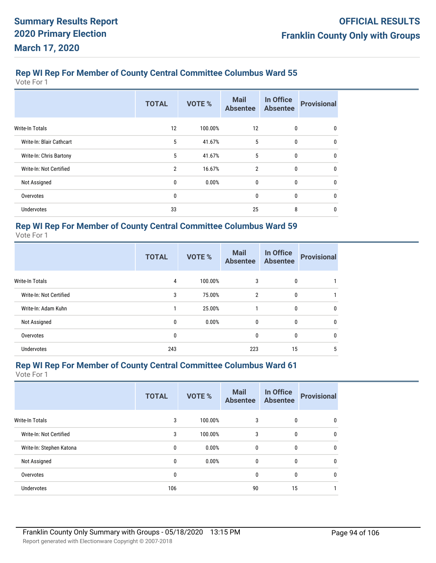Vote For 1

|                          | <b>TOTAL</b> | <b>VOTE %</b> | <b>Mail</b><br><b>Absentee</b> | In Office<br><b>Absentee</b> | <b>Provisional</b> |
|--------------------------|--------------|---------------|--------------------------------|------------------------------|--------------------|
| Write-In Totals          | 12           | 100.00%       | 12                             | 0                            | 0                  |
| Write-In: Blair Cathcart | 5            | 41.67%        | 5                              | 0                            | $\mathbf{0}$       |
| Write-In: Chris Bartony  | 5            | 41.67%        | 5                              | 0                            | 0                  |
| Write-In: Not Certified  | 2            | 16.67%        | $\overline{2}$                 | 0                            | $\mathbf{0}$       |
| Not Assigned             | 0            | 0.00%         | $\mathbf{0}$                   | 0                            | $\mathbf{0}$       |
| Overvotes                | 0            |               | 0                              | 0                            | 0                  |
| Undervotes               | 33           |               | 25                             | 8                            | $\mathbf{0}$       |

# **Rep WI Rep For Member of County Central Committee Columbus Ward 59**

Vote For 1

|                         | <b>TOTAL</b> | <b>VOTE %</b> | <b>Mail</b><br><b>Absentee</b> | In Office<br><b>Absentee</b> | <b>Provisional</b> |
|-------------------------|--------------|---------------|--------------------------------|------------------------------|--------------------|
| Write-In Totals         | 4            | 100.00%       | 3                              | 0                            |                    |
| Write-In: Not Certified | 3            | 75.00%        | $\overline{2}$                 | 0                            |                    |
| Write-In: Adam Kuhn     |              | 25.00%        | 1                              | 0                            | 0                  |
| Not Assigned            | $\mathbf{0}$ | 0.00%         | $\mathbf{0}$                   | 0                            | 0                  |
| Overvotes               | 0            |               | 0                              | 0                            | 0                  |
| <b>Undervotes</b>       | 243          |               | 223                            | 15                           | 5                  |

## **Rep WI Rep For Member of County Central Committee Columbus Ward 61**

| <b>TOTAL</b> | VOTE %  | <b>Mail</b><br><b>Absentee</b> | In Office<br><b>Absentee</b> | <b>Provisional</b> |
|--------------|---------|--------------------------------|------------------------------|--------------------|
| 3            | 100.00% | 3                              | 0                            | 0                  |
| 3            | 100.00% | 3                              | 0                            | $\mathbf 0$        |
| 0            | 0.00%   | 0                              | 0                            | $\mathbf{0}$       |
| 0            | 0.00%   | 0                              | 0                            | 0                  |
| 0            |         | $\mathbf{0}$                   | $\mathbf{0}$                 | $\mathbf{0}$       |
| 106          |         | 90                             | 15                           |                    |
|              |         |                                |                              |                    |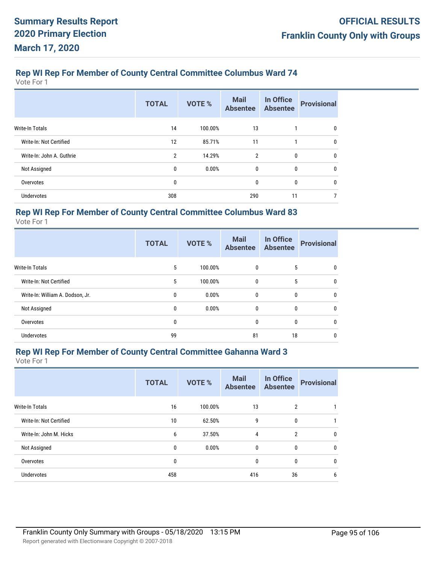Vote For 1

|                           | <b>TOTAL</b>   | VOTE %  | <b>Mail</b><br><b>Absentee</b> | In Office<br><b>Absentee</b> | <b>Provisional</b> |
|---------------------------|----------------|---------|--------------------------------|------------------------------|--------------------|
| Write-In Totals           | 14             | 100.00% | 13                             |                              | 0                  |
| Write-In: Not Certified   | 12             | 85.71%  | 11                             | 1                            | 0                  |
| Write-In: John A. Guthrie | $\overline{2}$ | 14.29%  | $\overline{2}$                 | 0                            | 0                  |
| Not Assigned              | 0              | 0.00%   | $\mathbf{0}$                   | 0                            | 0                  |
| Overvotes                 | 0              |         | 0                              | 0                            | 0                  |
| Undervotes                | 308            |         | 290                            | 11                           | 7                  |

## **Rep WI Rep For Member of County Central Committee Columbus Ward 83**

Vote For 1

|                                  | <b>TOTAL</b> | <b>VOTE %</b> | <b>Mail</b><br><b>Absentee</b> | In Office<br><b>Absentee</b> | <b>Provisional</b> |
|----------------------------------|--------------|---------------|--------------------------------|------------------------------|--------------------|
| <b>Write-In Totals</b>           | 5            | 100.00%       | 0                              | 5                            | 0                  |
| Write-In: Not Certified          | 5            | 100.00%       | $\mathbf{0}$                   | 5                            | 0                  |
| Write-In: William A. Dodson, Jr. | 0            | 0.00%         | $\mathbf{0}$                   | 0                            | $\mathbf 0$        |
| Not Assigned                     | $\mathbf{0}$ | 0.00%         | $\mathbf{0}$                   | $\mathbf{0}$                 | 0                  |
| Overvotes                        | 0            |               | $\mathbf{0}$                   | 0                            | 0                  |
| Undervotes                       | 99           |               | 81                             | 18                           | 0                  |

## **Rep WI Rep For Member of County Central Committee Gahanna Ward 3**

|                         | <b>TOTAL</b> | VOTE %  | <b>Mail</b><br><b>Absentee</b> | In Office<br><b>Absentee</b> | <b>Provisional</b> |
|-------------------------|--------------|---------|--------------------------------|------------------------------|--------------------|
| <b>Write-In Totals</b>  | 16           | 100.00% | 13                             | 2                            |                    |
| Write-In: Not Certified | 10           | 62.50%  | 9                              | $\mathbf{0}$                 |                    |
| Write-In: John M. Hicks | 6            | 37.50%  | 4                              | $\overline{2}$               | $\mathbf 0$        |
| Not Assigned            | 0            | 0.00%   | 0                              | 0                            | 0                  |
| Overvotes               | 0            |         | 0                              | $\mathbf{0}$                 | $\mathbf{0}$       |
| <b>Undervotes</b>       | 458          |         | 416                            | 36                           | 6                  |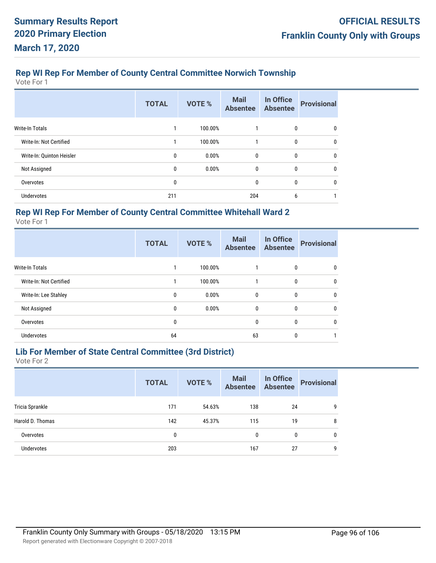# **Rep WI Rep For Member of County Central Committee Norwich Township**

Vote For 1

|                           | <b>TOTAL</b> | VOTE %  | <b>Mail</b><br><b>Absentee</b> | In Office<br><b>Absentee</b> | <b>Provisional</b> |
|---------------------------|--------------|---------|--------------------------------|------------------------------|--------------------|
| <b>Write-In Totals</b>    |              | 100.00% |                                | 0                            | 0                  |
| Write-In: Not Certified   |              | 100.00% | 1                              | 0                            | 0                  |
| Write-In: Quinton Heisler | 0            | 0.00%   | $\mathbf{0}$                   | 0                            | 0                  |
| Not Assigned              | 0            | 0.00%   | $\mathbf{0}$                   | 0                            | 0                  |
| Overvotes                 | 0            |         | 0                              | 0                            | 0                  |
| <b>Undervotes</b>         | 211          |         | 204                            | 6                            |                    |

## **Rep WI Rep For Member of County Central Committee Whitehall Ward 2**

Vote For 1

|                         | <b>TOTAL</b> | VOTE %  | <b>Mail</b><br><b>Absentee</b> | In Office<br><b>Absentee</b> | <b>Provisional</b> |
|-------------------------|--------------|---------|--------------------------------|------------------------------|--------------------|
| <b>Write-In Totals</b>  |              | 100.00% |                                | 0                            | 0                  |
| Write-In: Not Certified |              | 100.00% | 1                              | $\mathbf{0}$                 | $\mathbf{0}$       |
| Write-In: Lee Stahley   | 0            | 0.00%   | $\mathbf{0}$                   | 0                            | 0                  |
| Not Assigned            | 0            | 0.00%   | $\mathbf{0}$                   | $\mathbf{0}$                 | $\mathbf{0}$       |
| Overvotes               | 0            |         | $\mathbf{0}$                   | $\mathbf{0}$                 | $\mathbf{0}$       |
| <b>Undervotes</b>       | 64           |         | 63                             | $\mathbf{0}$                 |                    |

# **Lib For Member of State Central Committee (3rd District)**

|                  | <b>TOTAL</b> | VOTE % | <b>Mail</b><br><b>Absentee</b> | In Office<br><b>Absentee</b> | <b>Provisional</b> |
|------------------|--------------|--------|--------------------------------|------------------------------|--------------------|
| Tricia Sprankle  | 171          | 54.63% | 138                            | 24                           | -9                 |
| Harold D. Thomas | 142          | 45.37% | 115                            | 19                           | 8                  |
| Overvotes        | 0            |        | 0                              | 0                            | 0                  |
| Undervotes       | 203          |        | 167                            | 27                           | 9                  |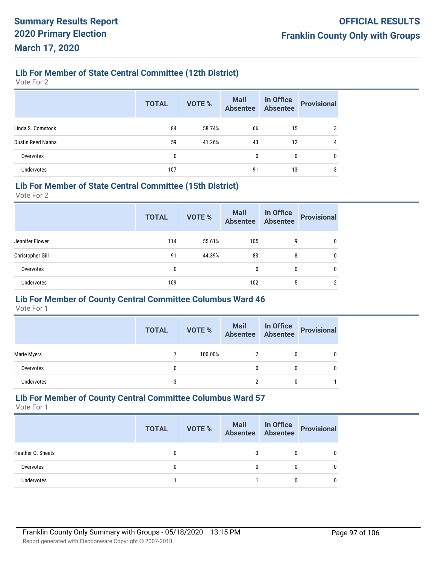## **Lib For Member of State Central Committee (12th District)**

Vote For 2

|                   | <b>TOTAL</b> | <b>VOTE %</b> | Mail<br>Absentee | In Office<br>Absentee | <b>Provisional</b> |
|-------------------|--------------|---------------|------------------|-----------------------|--------------------|
| Linda S. Comstock | 84           | 58.74%        | 66               | 15                    | 3                  |
| Dustin Reed Nanna | 59           | 41.26%        | 43               | 12                    | 4                  |
| Overvotes         | 0            |               | 0                | 0                     | 0                  |
| <b>Undervotes</b> | 107          |               | 91               | 13                    | 3                  |

## **Lib For Member of State Central Committee (15th District)**

Vote For 2

|                   | <b>TOTAL</b> | <b>VOTE %</b> | <b>Mail</b><br><b>Absentee</b> | In Office<br><b>Absentee</b> | <b>Provisional</b> |
|-------------------|--------------|---------------|--------------------------------|------------------------------|--------------------|
| Jennifer Flower   | 114          | 55.61%        | 105                            | 9                            | 0                  |
| Christopher Gill  | 91           | 44.39%        | 83                             | 8                            | 0                  |
| Overvotes         | 0            |               | 0                              | 0                            | 0                  |
| <b>Undervotes</b> | 109          |               | 102                            | 5                            | ົ                  |

## **Lib For Member of County Central Committee Columbus Ward 46**

Vote For 1

|             | <b>TOTAL</b> | <b>VOTE %</b> | Mail In Office<br>Absentee Absentee | <b>Provisional</b> |
|-------------|--------------|---------------|-------------------------------------|--------------------|
| Marie Myers |              | 100.00%       |                                     |                    |
| Overvotes   | 0            |               | $\mathbf{0}$                        |                    |
| Undervotes  | 3            |               |                                     |                    |

## **Lib For Member of County Central Committee Columbus Ward 57**

|                   | <b>TOTAL</b> | VOTE % | Mail In Office<br>Absentee Absentee | Provisional  |
|-------------------|--------------|--------|-------------------------------------|--------------|
| Heather O. Sheets |              |        | 0                                   | 0            |
| Overvotes         |              |        | 0                                   | $\mathbf{0}$ |
| Undervotes        |              |        |                                     | 0            |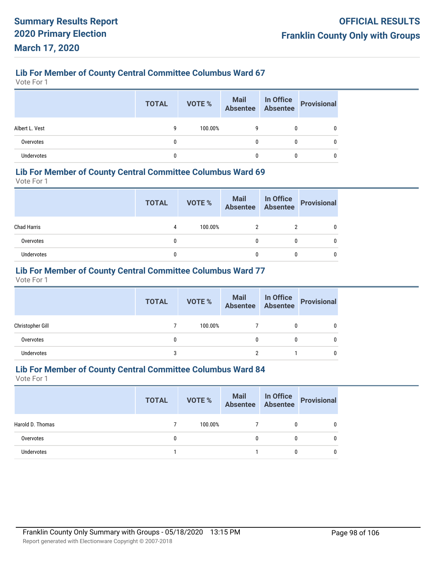Vote For 1

|                | <b>TOTAL</b> | VOTE %  | Mail In Office<br>Absentee Absentee |   | Provisional |
|----------------|--------------|---------|-------------------------------------|---|-------------|
| Albert L. Vest | g            | 100.00% | g                                   | 0 |             |
| Overvotes      | 0            |         | $\mathbf{0}$                        | 0 | 0           |
| Undervotes     |              |         | 0                                   |   |             |

## **Lib For Member of County Central Committee Columbus Ward 69**

Vote For 1

|                    | <b>TOTAL</b> | VOTE %  | Mail In Office<br>Absentee Absentee |   | Provisional |
|--------------------|--------------|---------|-------------------------------------|---|-------------|
| <b>Chad Harris</b> | 4            | 100.00% | 2                                   |   |             |
| Overvotes          | 0            |         | 0                                   | 0 |             |
| Undervotes         | 0            |         |                                     | 0 |             |

## **Lib For Member of County Central Committee Columbus Ward 77**

Vote For 1

|                  | <b>TOTAL</b> | <b>VOTE %</b> | Mail In Office<br>Absentee Absentee |   | <b>Provisional</b> |
|------------------|--------------|---------------|-------------------------------------|---|--------------------|
| Christopher Gill |              | 100.00%       |                                     | 0 |                    |
| Overvotes        | 0            |               | 0                                   | 0 |                    |
| Undervotes       | 3            |               |                                     |   |                    |

## **Lib For Member of County Central Committee Columbus Ward 84**

|                  | <b>TOTAL</b> | VOTE %  | Mail In Office<br>Absentee Absentee |   | Provisional |
|------------------|--------------|---------|-------------------------------------|---|-------------|
| Harold D. Thomas |              | 100.00% |                                     | 0 |             |
| Overvotes        |              |         | 0                                   |   |             |
| Undervotes       |              |         |                                     |   |             |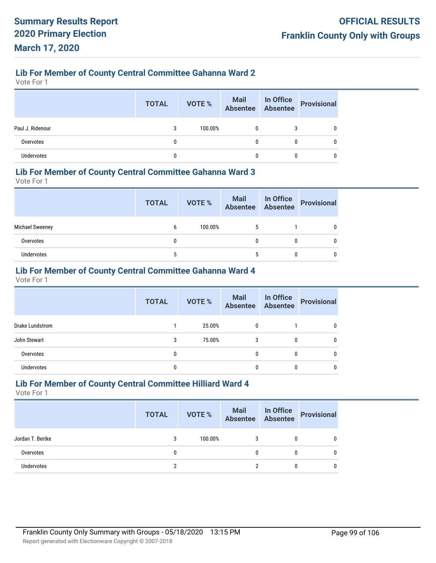## **Lib For Member of County Central Committee Gahanna Ward 2**

Vote For 1

|                  | <b>TOTAL</b> | <b>VOTE %</b> | Mail In Office<br>Absentee Absentee |   | Provisional |
|------------------|--------------|---------------|-------------------------------------|---|-------------|
| Paul J. Ridenour |              | 100.00%       | 0                                   | 3 |             |
| Overvotes        |              |               | 0                                   | 0 |             |
| Undervotes       |              |               |                                     |   |             |

## **Lib For Member of County Central Committee Gahanna Ward 3**

Vote For 1

|                   | <b>TOTAL</b> | <b>VOTE %</b> | <b>Mail In Office</b><br>Absentee Absentee |   | Provisional |
|-------------------|--------------|---------------|--------------------------------------------|---|-------------|
| Michael Sweeney   | 6            | 100.00%       | 5                                          |   |             |
| Overvotes         | 0            |               |                                            | 0 |             |
| <b>Undervotes</b> | 5            |               |                                            | 0 |             |

## **Lib For Member of County Central Committee Gahanna Ward 4**

Vote For 1

|                   | <b>TOTAL</b> | <b>VOTE %</b> | <b>Mail</b><br>Absentee | In Office<br>Absentee | <b>Provisional</b> |
|-------------------|--------------|---------------|-------------------------|-----------------------|--------------------|
| Drake Lundstrom   |              | 25.00%        | $\mathbf{0}$            |                       | 0                  |
| John Stewart      | 3            | 75.00%        | 3                       | 0                     | 0                  |
| Overvotes         | 0            |               | $\mathbf{0}$            | 0                     | 0                  |
| <b>Undervotes</b> | 0            |               | 0                       | 0                     | 0                  |

## **Lib For Member of County Central Committee Hilliard Ward 4**

|                  | <b>TOTAL</b> | <b>VOTE %</b> | Mail In Office<br>Absentee Absentee | Provisional |
|------------------|--------------|---------------|-------------------------------------|-------------|
| Jordan T. Bertke | 3            | 100.00%       | 3                                   |             |
| Overvotes        | 0            |               | 0                                   |             |
| Undervotes       |              |               |                                     |             |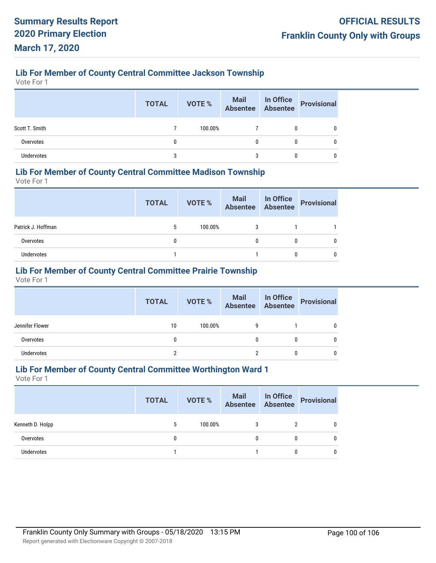# **Lib For Member of County Central Committee Jackson Township**

Vote For 1

|                | <b>TOTAL</b> | <b>VOTE %</b> |   | Mail In Office<br>Absentee Absentee Provisional |
|----------------|--------------|---------------|---|-------------------------------------------------|
| Scott T. Smith |              | 100.00%       | 0 |                                                 |
| Overvotes      |              |               | 0 |                                                 |
| Undervotes     |              |               |   |                                                 |

## **Lib For Member of County Central Committee Madison Township**

Vote For 1

|                    | <b>TOTAL</b> | VOTE %  |   | Mail In Office<br>Absentee Absentee Provisional |
|--------------------|--------------|---------|---|-------------------------------------------------|
| Patrick J. Hoffman | 5            | 100.00% |   |                                                 |
| Overvotes          | 0            |         | 0 |                                                 |
| Undervotes         |              |         |   |                                                 |

## **Lib For Member of County Central Committee Prairie Township**

Vote For 1

| <b>TOTAL</b> | <b>VOTE %</b> |   | Provisional                         |
|--------------|---------------|---|-------------------------------------|
| 10           | 100.00%       | 9 |                                     |
| 0            |               | 0 |                                     |
|              |               |   |                                     |
|              |               |   | Mail In Office<br>Absentee Absentee |

## **Lib For Member of County Central Committee Worthington Ward 1**

|                  | <b>TOTAL</b> | VOTE %  | Mail In Office<br>Absentee Absentee |   | Provisional |
|------------------|--------------|---------|-------------------------------------|---|-------------|
| Kenneth D. Holpp | 5            | 100.00% |                                     |   | 0           |
| Overvotes        | 0            |         |                                     | 0 | 0           |
| Undervotes       |              |         |                                     |   |             |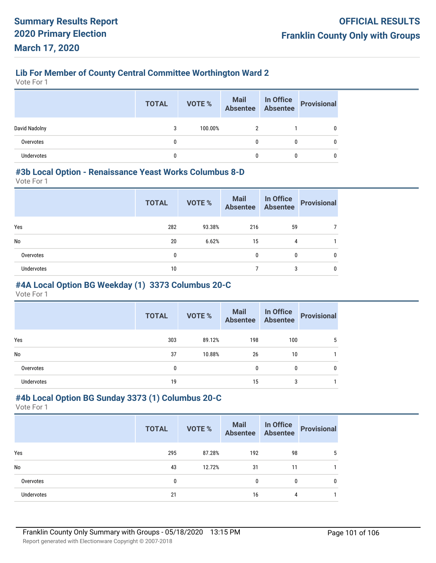## **Lib For Member of County Central Committee Worthington Ward 2**

Vote For 1

|                   | <b>TOTAL</b> | <b>VOTE %</b> | Mail In Office<br>Absentee Absentee |   | Provisional |
|-------------------|--------------|---------------|-------------------------------------|---|-------------|
| David Nadolny     |              | 100.00%       |                                     |   |             |
| Overvotes         |              |               | 0                                   | 0 |             |
| <b>Undervotes</b> |              |               |                                     |   |             |

## **#3b Local Option - Renaissance Yeast Works Columbus 8-D**

Vote For 1

|            | <b>TOTAL</b> | <b>VOTE %</b> | Mail<br>Absentee | In Office<br>Absentee | <b>Provisional</b> |
|------------|--------------|---------------|------------------|-----------------------|--------------------|
| Yes        | 282          | 93.38%        | 216              | 59                    |                    |
| No         | 20           | 6.62%         | 15               | 4                     |                    |
| Overvotes  | 0            |               | $\mathbf{0}$     | 0                     | 0                  |
| Undervotes | 10           |               |                  | 3                     | 0                  |

## **#4A Local Option BG Weekday (1) 3373 Columbus 20-C**

Vote For 1

|            | <b>TOTAL</b> | <b>VOTE %</b> | Mail In Office<br>Absentee Absentee |     | <b>Provisional</b> |
|------------|--------------|---------------|-------------------------------------|-----|--------------------|
| Yes        | 303          | 89.12%        | 198                                 | 100 |                    |
| No         | 37           | 10.88%        | 26                                  | 10  |                    |
| Overvotes  | 0            |               | 0                                   | 0   |                    |
| Undervotes | 19           |               | 15                                  | 3   |                    |

## **#4b Local Option BG Sunday 3373 (1) Columbus 20-C**

|                   | <b>TOTAL</b> | VOTE % | Mail In Office<br>Absentee Absentee |    | Provisional  |
|-------------------|--------------|--------|-------------------------------------|----|--------------|
| Yes               | 295          | 87.28% | 192                                 | 98 | 5            |
| No                | 43           | 12.72% | 31                                  | 11 |              |
| Overvotes         | 0            |        | 0                                   | 0  | $\mathbf{0}$ |
| <b>Undervotes</b> | 21           |        | 16                                  | 4  |              |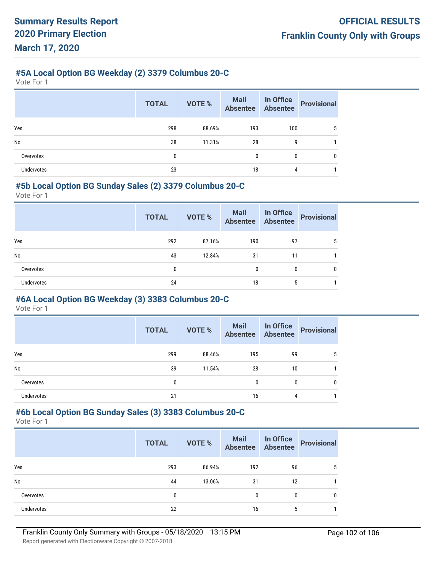# **#5A Local Option BG Weekday (2) 3379 Columbus 20-C**

Vote For 1

|            | <b>TOTAL</b> | VOTE % | Mail In Office<br>Absentee Absentee |     | <b>Provisional</b> |
|------------|--------------|--------|-------------------------------------|-----|--------------------|
| Yes        | 298          | 88.69% | 193                                 | 100 | 5                  |
| No         | 38           | 11.31% | 28                                  | 9   |                    |
| Overvotes  | 0            |        | $\mathbf{0}$                        | 0   | 0                  |
| Undervotes | 23           |        | 18                                  | 4   |                    |

## **#5b Local Option BG Sunday Sales (2) 3379 Columbus 20-C**

Vote For 1

|                   | <b>TOTAL</b> | <b>VOTE %</b> | Mail In Office<br>Absentee Absentee |    | <b>Provisional</b> |
|-------------------|--------------|---------------|-------------------------------------|----|--------------------|
| Yes               | 292          | 87.16%        | 190                                 | 97 |                    |
| <b>No</b>         | 43           | 12.84%        | 31                                  | 11 |                    |
| Overvotes         | 0            |               | 0                                   | 0  | 0                  |
| <b>Undervotes</b> | 24           |               | 18                                  | 5  |                    |

## **#6A Local Option BG Weekday (3) 3383 Columbus 20-C**

Vote For 1

|            | <b>TOTAL</b> | <b>VOTE %</b> | <b>Mail</b><br>Absentee | In Office<br>Absentee | <b>Provisional</b> |
|------------|--------------|---------------|-------------------------|-----------------------|--------------------|
| Yes        | 299          | 88.46%        | 195                     | 99                    | 5                  |
| <b>No</b>  | 39           | 11.54%        | 28                      | 10                    |                    |
| Overvotes  | 0            |               | $\mathbf{0}$            | 0                     | 0                  |
| Undervotes | 21           |               | 16                      | 4                     |                    |

# **#6b Local Option BG Sunday Sales (3) 3383 Columbus 20-C**

Vote For 1

|                   | <b>TOTAL</b> | <b>VOTE %</b> | Mail In Office<br>Absentee Absentee |    | <b>Provisional</b> |
|-------------------|--------------|---------------|-------------------------------------|----|--------------------|
| Yes               | 293          | 86.94%        | 192                                 | 96 | 5                  |
| <b>No</b>         | 44           | 13.06%        | 31                                  | 12 |                    |
| Overvotes         | 0            |               | 0                                   | 0  | 0                  |
| <b>Undervotes</b> | 22           |               | 16                                  | 5  |                    |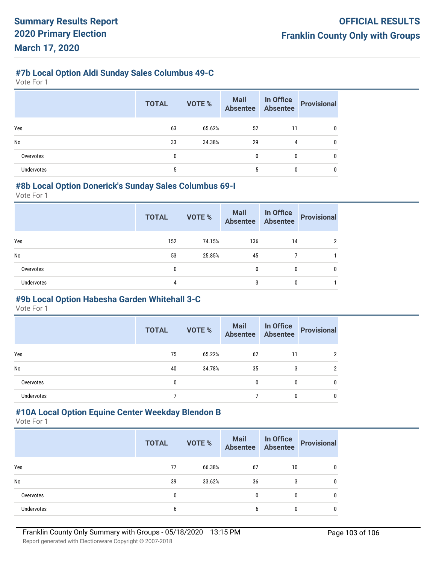## **#7b Local Option Aldi Sunday Sales Columbus 49-C**

Vote For 1

|                   | <b>TOTAL</b> | <b>VOTE %</b> | Mail<br>Absentee | In Office<br>Absentee | Provisional |
|-------------------|--------------|---------------|------------------|-----------------------|-------------|
| Yes               | 63           | 65.62%        | 52               | 11                    |             |
| No                | 33           | 34.38%        | 29               | 4                     |             |
| Overvotes         | 0            |               | $\mathbf{0}$     | 0                     |             |
| <b>Undervotes</b> | 5            |               | 5                |                       |             |

## **#8b Local Option Donerick's Sunday Sales Columbus 69-I**

Vote For 1

|                   | <b>TOTAL</b> | <b>VOTE %</b> | Mail<br>Absentee | In Office<br>Absentee | <b>Provisional</b> |
|-------------------|--------------|---------------|------------------|-----------------------|--------------------|
| Yes               | 152          | 74.15%        | 136              | 14                    | ∩                  |
| No                | 53           | 25.85%        | 45               |                       |                    |
| Overvotes         | 0            |               | $\Omega$         | 0                     | 0                  |
| <b>Undervotes</b> | 4            |               | 3                | 0                     |                    |

## **#9b Local Option Habesha Garden Whitehall 3-C**

Vote For 1

|                   | <b>TOTAL</b> | <b>VOTE %</b> | Mail In Office<br>Absentee Absentee |    | <b>Provisional</b> |
|-------------------|--------------|---------------|-------------------------------------|----|--------------------|
| Yes               | 75           | 65.22%        | 62                                  | 11 |                    |
| No                | 40           | 34.78%        | 35                                  | 3  | າ                  |
| Overvotes         | 0            |               | 0                                   | 0  | 0                  |
| <b>Undervotes</b> |              |               |                                     | 0  | 0                  |

# **#10A Local Option Equine Center Weekday Blendon B**

Vote For 1

|                   | <b>TOTAL</b> | <b>VOTE %</b> | <b>Mail In Office</b><br>Absentee Absentee |    | Provisional |
|-------------------|--------------|---------------|--------------------------------------------|----|-------------|
| Yes               | 77           | 66.38%        | 67                                         | 10 |             |
| No                | 39           | 33.62%        | 36                                         | 3  |             |
| Overvotes         | 0            |               | 0                                          | 0  |             |
| <b>Undervotes</b> | b            |               | 6                                          | 0  |             |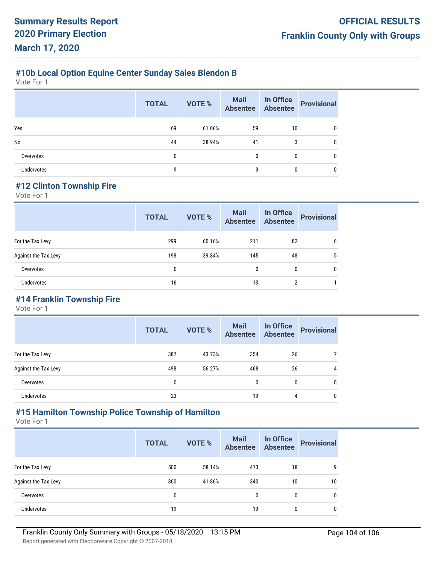# **#10b Local Option Equine Center Sunday Sales Blendon B**

Vote For 1

|            | <b>TOTAL</b> | <b>VOTE %</b> | Mail In Office<br>Absentee Absentee |    | <b>Provisional</b> |
|------------|--------------|---------------|-------------------------------------|----|--------------------|
| Yes        | 69           | 61.06%        | 59                                  | 10 |                    |
| No         | 44           | 38.94%        | 41                                  | 3  | 0                  |
| Overvotes  | 0            |               | 0                                   | 0  | 0                  |
| Undervotes | 9            |               | g                                   |    |                    |

## **#12 Clinton Township Fire**

Vote For 1

|                      | <b>TOTAL</b> | VOTE % | <b>Mail</b><br>Absentee | In Office<br><b>Absentee</b> | <b>Provisional</b> |
|----------------------|--------------|--------|-------------------------|------------------------------|--------------------|
| For the Tax Levy     | 299          | 60.16% | 211                     | 82                           | 6                  |
| Against the Tax Levy | 198          | 39.84% | 145                     | 48                           | 5                  |
| Overvotes            | $\mathbf{0}$ |        | $\mathbf{0}$            | 0                            | 0                  |
| Undervotes           | 16           |        | 13                      | $\overline{2}$               |                    |

## **#14 Franklin Township Fire**

Vote For 1

|                      | <b>TOTAL</b> | <b>VOTE %</b> | <b>Mail</b><br><b>Absentee</b> | In Office<br><b>Absentee</b> | <b>Provisional</b> |
|----------------------|--------------|---------------|--------------------------------|------------------------------|--------------------|
| For the Tax Levy     | 387          | 43.73%        | 354                            | 26                           |                    |
| Against the Tax Levy | 498          | 56.27%        | 468                            | 26                           | 4                  |
| Overvotes            | 0            |               | $\mathbf{0}$                   | 0                            | 0                  |
| Undervotes           | 23           |               | 19                             | 4                            | 0                  |

## **#15 Hamilton Township Police Township of Hamilton**

|                      | <b>TOTAL</b> | <b>VOTE %</b> | <b>Mail</b><br><b>Absentee</b> | In Office<br><b>Absentee</b> | <b>Provisional</b> |
|----------------------|--------------|---------------|--------------------------------|------------------------------|--------------------|
| For the Tax Levy     | 500          | 58.14%        | 473                            | 18                           | 9                  |
| Against the Tax Levy | 360          | 41.86%        | 340                            | 10                           | 10                 |
| Overvotes            | 0            |               | 0                              | 0                            | 0                  |
| <b>Undervotes</b>    | 19           |               | 19                             | 0                            | 0                  |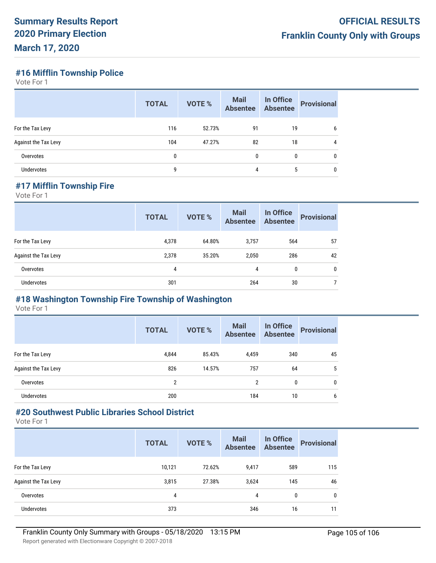## **#16 Mifflin Township Police**

Vote For 1

|                             | <b>TOTAL</b> | <b>VOTE %</b> | <b>Mail</b><br><b>Absentee</b> | In Office<br>Absentee | <b>Provisional</b> |
|-----------------------------|--------------|---------------|--------------------------------|-----------------------|--------------------|
| For the Tax Levy            | 116          | 52.73%        | 91                             | 19                    | 6                  |
| <b>Against the Tax Levy</b> | 104          | 47.27%        | 82                             | 18                    | 4                  |
| Overvotes                   | 0            |               | $\mathbf{0}$                   | 0                     | 0                  |
| Undervotes                  | g            |               | 4                              | 5                     | 0                  |

## **#17 Mifflin Township Fire**

Vote For 1

|                      | <b>TOTAL</b> | <b>VOTE %</b> | <b>Mail</b><br><b>Absentee</b> | In Office<br><b>Absentee</b> | <b>Provisional</b> |
|----------------------|--------------|---------------|--------------------------------|------------------------------|--------------------|
| For the Tax Levy     | 4,378        | 64.80%        | 3,757                          | 564                          | 57                 |
| Against the Tax Levy | 2,378        | 35.20%        | 2,050                          | 286                          | 42                 |
| Overvotes            | 4            |               | 4                              | 0                            | 0                  |
| Undervotes           | 301          |               | 264                            | 30                           |                    |

## **#18 Washington Township Fire Township of Washington**

Vote For 1

|                      | <b>TOTAL</b>   | <b>VOTE %</b> | <b>Mail</b><br><b>Absentee</b> | In Office<br><b>Absentee</b> | <b>Provisional</b> |
|----------------------|----------------|---------------|--------------------------------|------------------------------|--------------------|
| For the Tax Levy     | 4.844          | 85.43%        | 4,459                          | 340                          | 45                 |
| Against the Tax Levy | 826            | 14.57%        | 757                            | 64                           | 5                  |
| Overvotes            | $\overline{2}$ |               | 2                              | 0                            | $\mathbf{0}$       |
| Undervotes           | 200            |               | 184                            | 10                           | 6                  |

# **#20 Southwest Public Libraries School District**

|                      | <b>TOTAL</b> | <b>VOTE %</b> | <b>Mail</b><br><b>Absentee</b> | In Office<br><b>Absentee</b> | <b>Provisional</b> |
|----------------------|--------------|---------------|--------------------------------|------------------------------|--------------------|
| For the Tax Levy     | 10,121       | 72.62%        | 9,417                          | 589                          | 115                |
| Against the Tax Levy | 3,815        | 27.38%        | 3,624                          | 145                          | 46                 |
| Overvotes            | 4            |               | 4                              | 0                            | $\mathbf 0$        |
| <b>Undervotes</b>    | 373          |               | 346                            | 16                           | 11                 |